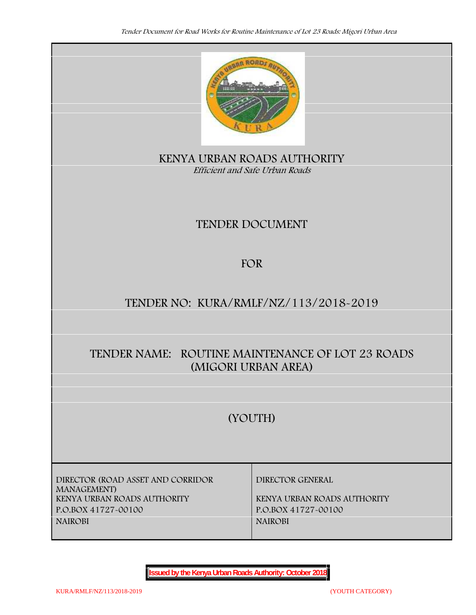

**KENYA URBAN ROADS AUTHORITY** *Efficient and Safe Urban Roads*

# **TENDER DOCUMENT**

# **FOR**

# **TENDER NO: KURA/RMLF/NZ/113/2018-2019**

# **TENDER NAME: ROUTINE MAINTENANCE OF LOT 23 ROADS (MIGORI URBAN AREA)**

# **(YOUTH)**

**DIRECTOR (ROAD ASSET AND CORRIDOR MANAGEMENT) KENYA URBAN ROADS AUTHORITY KENYA URBAN ROADS AUTHORITY P.O.BOX 41727-00100 P.O.BOX 41727-00100 NAIROBI NAIROBI**

**DIRECTOR GENERAL**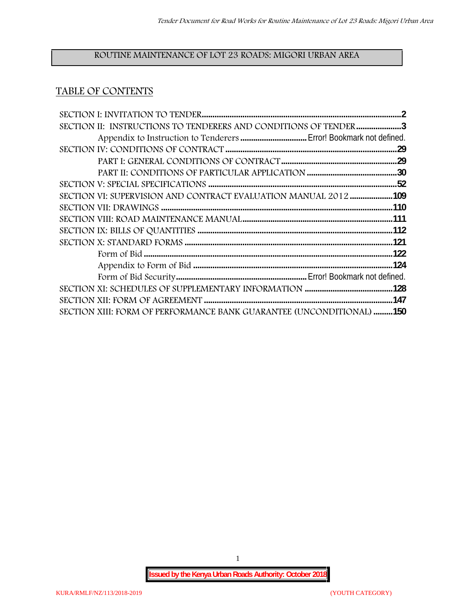## **ROUTINE MAINTENANCE OF LOT 23 ROADS: MIGORI URBAN AREA**

## **TABLE OF CONTENTS**

| SECTION II: INSTRUCTIONS TO TENDERERS AND CONDITIONS OF TENDER 3     |  |
|----------------------------------------------------------------------|--|
|                                                                      |  |
|                                                                      |  |
|                                                                      |  |
|                                                                      |  |
|                                                                      |  |
| SECTION VI: SUPERVISION AND CONTRACT EVALUATION MANUAL 2012109       |  |
|                                                                      |  |
|                                                                      |  |
|                                                                      |  |
|                                                                      |  |
|                                                                      |  |
|                                                                      |  |
|                                                                      |  |
|                                                                      |  |
|                                                                      |  |
| SECTION XIII: FORM OF PERFORMANCE BANK GUARANTEE (UNCONDITIONAL) 150 |  |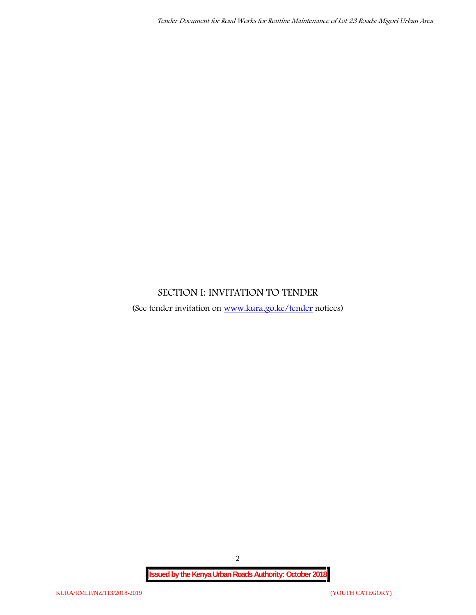## **SECTION I: INVITATION TO TENDER**

(See tender invitation on www.kura.go.ke/tender notices)

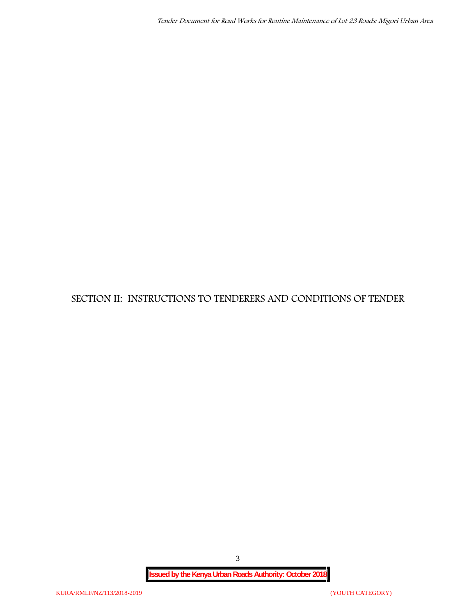**SECTION II: INSTRUCTIONS TO TENDERERS AND CONDITIONS OF TENDER**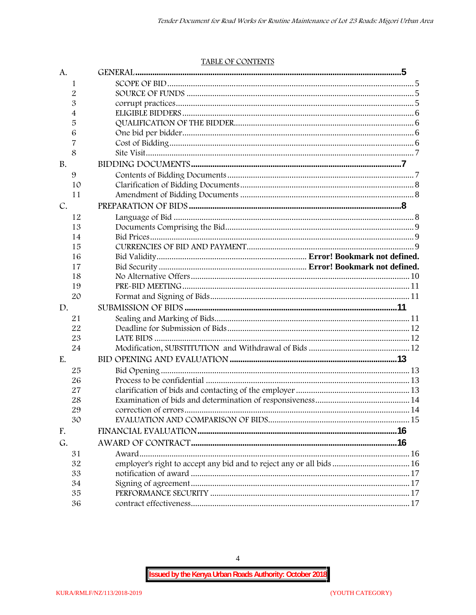#### TABLE OF CONTENTS

| A.        |                                                                      |  |
|-----------|----------------------------------------------------------------------|--|
| 1         |                                                                      |  |
| 2         |                                                                      |  |
| 3         |                                                                      |  |
| 4         |                                                                      |  |
| 5         |                                                                      |  |
| 6         |                                                                      |  |
| 7         |                                                                      |  |
| 8         |                                                                      |  |
| <b>B.</b> |                                                                      |  |
| 9         |                                                                      |  |
| 10        |                                                                      |  |
| 11        |                                                                      |  |
| C.        |                                                                      |  |
| 12        |                                                                      |  |
| 13        |                                                                      |  |
| 14        |                                                                      |  |
| 15        |                                                                      |  |
| 16        |                                                                      |  |
| 17        |                                                                      |  |
| 18        |                                                                      |  |
| 19        |                                                                      |  |
| 20        |                                                                      |  |
| D.        |                                                                      |  |
| 21        |                                                                      |  |
| 22        |                                                                      |  |
| 23        |                                                                      |  |
| 24        |                                                                      |  |
| E.        |                                                                      |  |
| 25        |                                                                      |  |
| 26        |                                                                      |  |
| 27        |                                                                      |  |
| 28        |                                                                      |  |
| 29        |                                                                      |  |
| 30        |                                                                      |  |
| F.        |                                                                      |  |
| G.        |                                                                      |  |
| 31        |                                                                      |  |
| 32        | employer's right to accept any bid and to reject any or all bids  16 |  |
| 33        |                                                                      |  |
| 34        |                                                                      |  |
| 35        |                                                                      |  |
| 36        |                                                                      |  |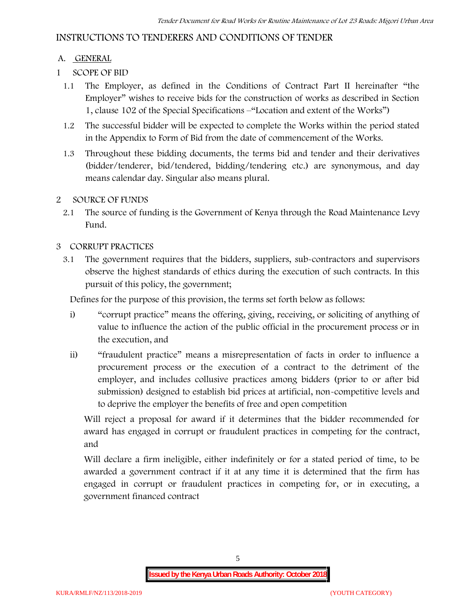## **INSTRUCTIONS TO TENDERERS AND CONDITIONS OF TENDER**

## **A. GENERAL**

- **1 SCOPE OF BID**
	- 1.1 The Employer, as defined in the Conditions of Contract Part II hereinafter "the Employer" wishes to receive bids for the construction of works as described in Section 1, clause 102 of the Special Specifications –"Location and extent of the Works")
	- 1.2 The successful bidder will be expected to complete the Works within the period stated in the Appendix to Form of Bid from the date of commencement of the Works.
	- 1.3 Throughout these bidding documents, the terms bid and tender and their derivatives (bidder/tenderer, bid/tendered, bidding/tendering etc.) are synonymous, and day means calendar day. Singular also means plural.

## **2 SOURCE OF FUNDS**

2.1 The source of funding is the Government of Kenya through the Road Maintenance Levy Fund.

## **3 CORRUPT PRACTICES**

3.1 The government requires that the bidders, suppliers, sub-contractors and supervisors observe the highest standards of ethics during the execution of such contracts. In this pursuit of this policy, the government;

Defines for the purpose of this provision, the terms set forth below as follows:

- i) "corrupt practice" means the offering, giving, receiving, or soliciting of anything of value to influence the action of the public official in the procurement process or in the execution, and
- ii) "fraudulent practice" means a misrepresentation of facts in order to influence a procurement process or the execution of a contract to the detriment of the employer, and includes collusive practices among bidders (prior to or after bid submission) designed to establish bid prices at artificial, non-competitive levels and to deprive the employer the benefits of free and open competition

Will reject a proposal for award if it determines that the bidder recommended for award has engaged in corrupt or fraudulent practices in competing for the contract, and

Will declare a firm ineligible, either indefinitely or for a stated period of time, to be awarded a government contract if it at any time it is determined that the firm has engaged in corrupt or fraudulent practices in competing for, or in executing, a government financed contract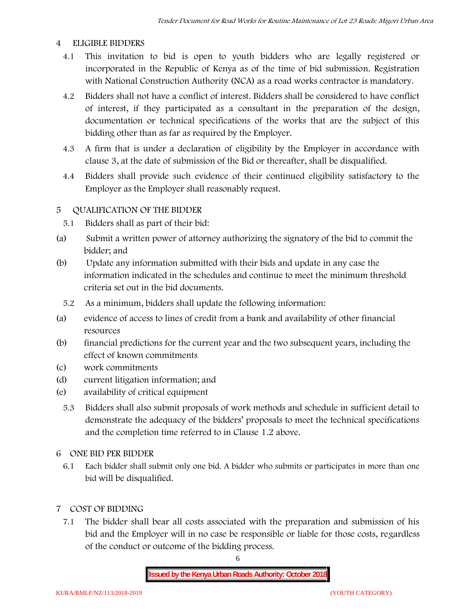### **4 ELIGIBLE BIDDERS**

- 4.1 This invitation to bid is open to youth bidders who are legally registered or incorporated in the Republic of Kenya as of the time of bid submission. Registration with National Construction Authority (NCA) as a road works contractor is mandatory.
- 4.2 Bidders shall not have a conflict of interest. Bidders shall be considered to have conflict of interest, if they participated as a consultant in the preparation of the design, documentation or technical specifications of the works that are the subject of this bidding other than as far as required by the Employer.
- 4.3 A firm that is under a declaration of eligibility by the Employer in accordance with clause 3, at the date of submission of the Bid or thereafter, shall be disqualified.
- 4.4 Bidders shall provide such evidence of their continued eligibility satisfactory to the Employer as the Employer shall reasonably request.

## **5 QUALIFICATION OF THE BIDDER**

- 5.1 Bidders shall as part of their bid:
- (a) Submit a written power of attorney authorizing the signatory of the bid to commit the bidder; and
- (b) Update any information submitted with their bids and update in any case the information indicated in the schedules and continue to meet the minimum threshold criteria set out in the bid documents.
	- 5.2 As a minimum, bidders shall update the following information:
- (a) evidence of access to lines of credit from a bank and availability of other financial resources
- (b) financial predictions for the current year and the two subsequent years, including the effect of known commitments
- (c) work commitments
- (d) current litigation information; and
- (e) availability of critical equipment
	- 5.3 Bidders shall also submit proposals of work methods and schedule in sufficient detail to demonstrate the adequacy of the bidders' proposals to meet the technical specifications and the completion time referred to in Clause 1.2 above.
- **6 ONE BID PER BIDDER**
	- 6.1 Each bidder shall submit only one bid. A bidder who submits or participates in more than one bid will be disqualified.
- **7 COST OF BIDDING**
	- 7.1 The bidder shall bear all costs associated with the preparation and submission of his bid and the Employer will in no case be responsible or liable for those costs, regardless of the conduct or outcome of the bidding process.

6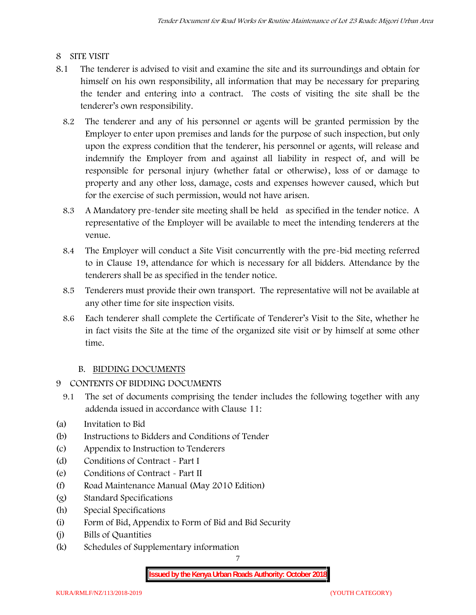## **8 SITE VISIT**

- 8.1 The tenderer is advised to visit and examine the site and its surroundings and obtain for himself on his own responsibility, all information that may be necessary for preparing the tender and entering into a contract. The costs of visiting the site shall be the tenderer's own responsibility.
	- 8.2 The tenderer and any of his personnel or agents will be granted permission by the Employer to enter upon premises and lands for the purpose of such inspection, but only upon the express condition that the tenderer, his personnel or agents, will release and indemnify the Employer from and against all liability in respect of, and will be responsible for personal injury (whether fatal or otherwise), loss of or damage to property and any other loss, damage, costs and expenses however caused, which but for the exercise of such permission, would not have arisen.
	- 8.3 A Mandatory pre-tender site meeting shall be held as specified in the tender notice. A representative of the Employer will be available to meet the intending tenderers at the venue.
	- 8.4 The Employer will conduct a Site Visit concurrently with the pre-bid meeting referred to in Clause 19, attendance for which is necessary for all bidders. Attendance by the tenderers shall be as specified in the tender notice.
	- 8.5 Tenderers must provide their own transport. The representative will not be available at any other time for site inspection visits.
	- 8.6 Each tenderer shall complete the Certificate of Tenderer's Visit to the Site, whether he in fact visits the Site at the time of the organized site visit or by himself at some other time.

## **B. BIDDING DOCUMENTS**

- **9 CONTENTS OF BIDDING DOCUMENTS**
	- 9.1 The set of documents comprising the tender includes the following together with any addenda issued in accordance with Clause 11:
- (a) Invitation to Bid
- (b) Instructions to Bidders and Conditions of Tender
- (c) Appendix to Instruction to Tenderers
- (d) Conditions of Contract Part I
- (e) Conditions of Contract Part II
- (f) Road Maintenance Manual (May 2010 Edition)
- (g) Standard Specifications
- (h) Special Specifications
- (i) Form of Bid, Appendix to Form of Bid and Bid Security
- (j) Bills of Quantities
- (k) Schedules of Supplementary information

7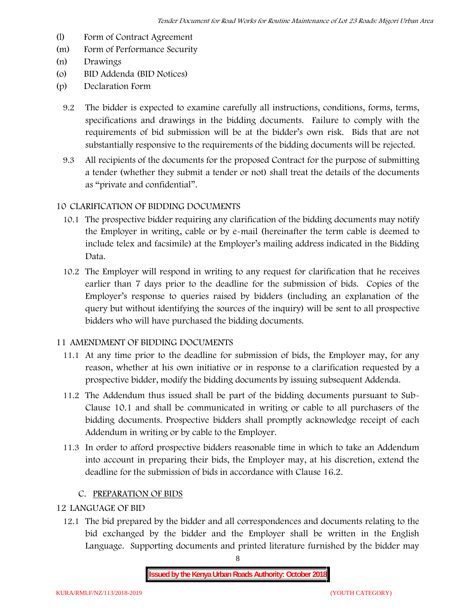- (l) Form of Contract Agreement
- (m) Form of Performance Security
- (n) Drawings
- (o) BID Addenda (BID Notices)
- (p) Declaration Form
	- 9.2 The bidder is expected to examine carefully all instructions, conditions, forms, terms, specifications and drawings in the bidding documents. Failure to comply with the requirements of bid submission will be at the bidder's own risk. Bids that are not substantially responsive to the requirements of the bidding documents will be rejected.
	- 9.3 All recipients of the documents for the proposed Contract for the purpose of submitting a tender (whether they submit a tender or not) shall treat the details of the documents as "private and confidential".

## **10 CLARIFICATION OF BIDDING DOCUMENTS**

- 10.1 The prospective bidder requiring any clarification of the bidding documents may notify the Employer in writing, cable or by e-mail (hereinafter the term cable is deemed to include telex and facsimile) at the Employer's mailing address indicated in the Bidding Data.
- 10.2 The Employer will respond in writing to any request for clarification that he receives earlier than 7 days prior to the deadline for the submission of bids. Copies of the Employer's response to queries raised by bidders (including an explanation of the query but without identifying the sources of the inquiry) will be sent to all prospective bidders who will have purchased the bidding documents.

### **11 AMENDMENT OF BIDDING DOCUMENTS**

- 11.1 At any time prior to the deadline for submission of bids, the Employer may, for any reason, whether at his own initiative or in response to a clarification requested by a prospective bidder, modify the bidding documents by issuing subsequent Addenda.
- 11.2 The Addendum thus issued shall be part of the bidding documents pursuant to Sub- Clause 10.1 and shall be communicated in writing or cable to all purchasers of the bidding documents. Prospective bidders shall promptly acknowledge receipt of each Addendum in writing or by cable to the Employer.
- 11.3 In order to afford prospective bidders reasonable time in which to take an Addendum into account in preparing their bids, the Employer may, at his discretion, extend the deadline for the submission of bids in accordance with Clause 16.2.

### **C. PREPARATION OF BIDS**

## **12 LANGUAGE OF BID**

12.1 The bid prepared by the bidder and all correspondences and documents relating to the bid exchanged by the bidder and the Employer shall be written in the English Language. Supporting documents and printed literature furnished by the bidder may

8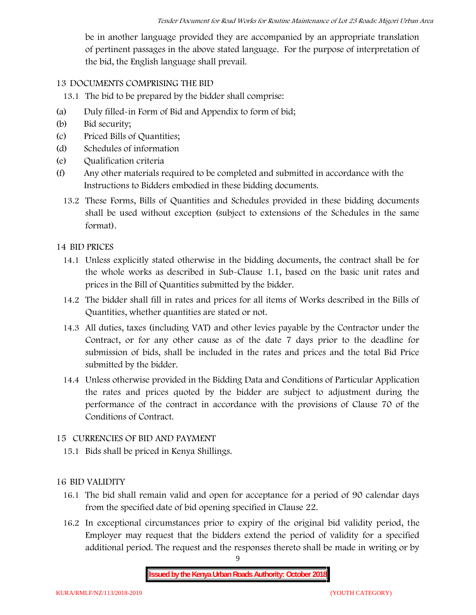be in another language provided they are accompanied by an appropriate translation of pertinent passages in the above stated language. For the purpose of interpretation of the bid, the English language shall prevail.

### **13 DOCUMENTS COMPRISING THE BID**

13.1 The bid to be prepared by the bidder shall comprise:

- (a) Duly filled-in Form of Bid and Appendix to form of bid;
- (b) Bid security;
- (c) Priced Bills of Quantities;
- (d) Schedules of information
- (e) Qualification criteria
- (f) Any other materials required to be completed and submitted in accordance with the Instructions to Bidders embodied in these bidding documents.
	- 13.2 These Forms, Bills of Quantities and Schedules provided in these bidding documents shall be used without exception (subject to extensions of the Schedules in the same format).

### **14 BID PRICES**

- 14.1 Unless explicitly stated otherwise in the bidding documents, the contract shall be for the whole works as described in Sub-Clause 1.1, based on the basic unit rates and prices in the Bill of Quantities submitted by the bidder.
- 14.2 The bidder shall fill in rates and prices for all items of Works described in the Bills of Quantities, whether quantities are stated or not.
- 14.3 All duties, taxes (including VAT) and other levies payable by the Contractor under the Contract, or for any other cause as of the date 7 days prior to the deadline for submission of bids, shall be included in the rates and prices and the total Bid Price submitted by the bidder.
- 14.4 Unless otherwise provided in the Bidding Data and Conditions of Particular Application the rates and prices quoted by the bidder are subject to adjustment during the performance of the contract in accordance with the provisions of Clause 70 of the Conditions of Contract.

### **15 CURRENCIES OF BID AND PAYMENT**

15.1 Bids shall be priced in Kenya Shillings.

### **16 BID VALIDITY**

- 16.1 The bid shall remain valid and open for acceptance for a period of 90 calendar days from the specified date of bid opening specified in Clause 22.
- 16.2 In exceptional circumstances prior to expiry of the original bid validity period, the Employer may request that the bidders extend the period of validity for a specified additional period. The request and the responses thereto shall be made in writing or by

9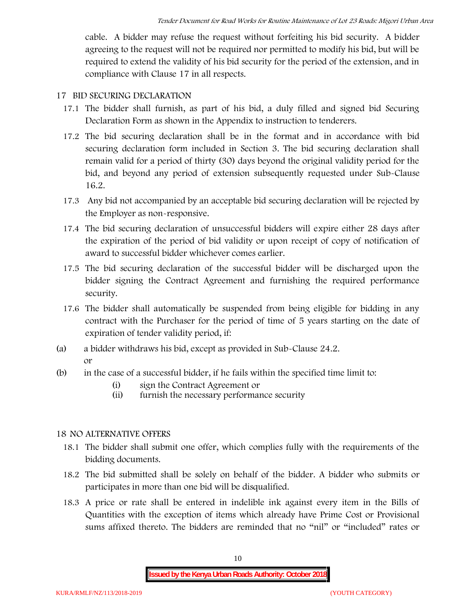cable. A bidder may refuse the request without forfeiting his bid security. A bidder agreeing to the request will not be required nor permitted to modify his bid, but will be required to extend the validity of his bid security for the period of the extension, and in compliance with Clause 17 in all respects.

### **17 BID SECURING DECLARATION**

- 17.1 The bidder shall furnish, as part of his bid, a duly filled and signed bid Securing Declaration Form as shown in the Appendix to instruction to tenderers.
- 17.2 The bid securing declaration shall be in the format and in accordance with bid securing declaration form included in Section 3. The bid securing declaration shall remain valid for a period of thirty (30) days beyond the original validity period for the bid, and beyond any period of extension subsequently requested under Sub-Clause 16.2.
- 17.3 Any bid not accompanied by an acceptable bid securing declaration will be rejected by the Employer as non-responsive.
- 17.4 The bid securing declaration of unsuccessful bidders will expire either 28 days after the expiration of the period of bid validity or upon receipt of copy of notification of award to successful bidder whichever comes earlier.
- 17.5 The bid securing declaration of the successful bidder will be discharged upon the bidder signing the Contract Agreement and furnishing the required performance security.
- 17.6 The bidder shall automatically be suspended from being eligible for bidding in any contract with the Purchaser for the period of time of 5 years starting on the date of expiration of tender validity period, if:
- (a) a bidder withdraws his bid, except as provided in Sub-Clause 24.2. or
- (b) in the case of a successful bidder, if he fails within the specified time limit to:
	- (i) sign the Contract Agreement or
	- (ii) furnish the necessary performance security

### **18 NO ALTERNATIVE OFFERS**

- 18.1 The bidder shall submit one offer, which complies fully with the requirements of the bidding documents.
- 18.2 The bid submitted shall be solely on behalf of the bidder. A bidder who submits or participates in more than one bid will be disqualified.
- 18.3 A price or rate shall be entered in indelible ink against every item in the Bills of Quantities with the exception of items which already have Prime Cost or Provisional sums affixed thereto. The bidders are reminded that no "nil" or "included" rates or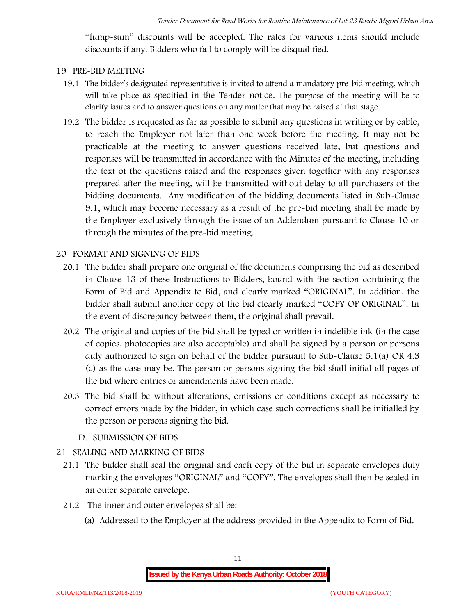"lump-sum" discounts will be accepted. The rates for various items should include discounts if any. Bidders who fail to comply will be disqualified.

#### **19 PRE-BID MEETING**

- 19.1 The bidder's designated representative is invited to attend a mandatory pre-bid meeting, which will take place as specified in the Tender notice. The purpose of the meeting will be to clarify issues and to answer questions on any matter that may be raised at that stage.
- 19.2 The bidder is requested as far as possible to submit any questions in writing or by cable, to reach the Employer not later than one week before the meeting. It may not be practicable at the meeting to answer questions received late, but questions and responses will be transmitted in accordance with the Minutes of the meeting, including the text of the questions raised and the responses given together with any responses prepared after the meeting, will be transmitted without delay to all purchasers of the bidding documents. Any modification of the bidding documents listed in Sub-Clause 9.1, which may become necessary as a result of the pre-bid meeting shall be made by the Employer exclusively through the issue of an Addendum pursuant to Clause 10 or through the minutes of the pre-bid meeting.

#### **20 FORMAT AND SIGNING OF BIDS**

- 20.1 The bidder shall prepare one original of the documents comprising the bid as described in Clause 13 of these Instructions to Bidders, bound with the section containing the Form of Bid and Appendix to Bid, and clearly marked "ORIGINAL". In addition, the bidder shall submit another copy of the bid clearly marked "COPY OF ORIGINAL". In the event of discrepancy between them, the original shall prevail.
- 20.2 The original and copies of the bid shall be typed or written in indelible ink (in the case of copies, photocopies are also acceptable) and shall be signed by a person or persons duly authorized to sign on behalf of the bidder pursuant to Sub-Clause 5.1(a) OR 4.3 (c) as the case may be. The person or persons signing the bid shall initial all pages of the bid where entries or amendments have been made.
- 20.3 The bid shall be without alterations, omissions or conditions except as necessary to correct errors made by the bidder, in which case such corrections shall be initialled by the person or persons signing the bid.

#### **D. SUBMISSION OF BIDS**

#### **21 SEALING AND MARKING OF BIDS**

- 21.1 The bidder shall seal the original and each copy of the bid in separate envelopes duly marking the envelopes "ORIGINAL" and "COPY". The envelopes shall then be sealed in an outer separate envelope.
- 21.2 The inner and outer envelopes shall be:
	- (a) Addressed to the Employer at the address provided in the Appendix to Form of Bid.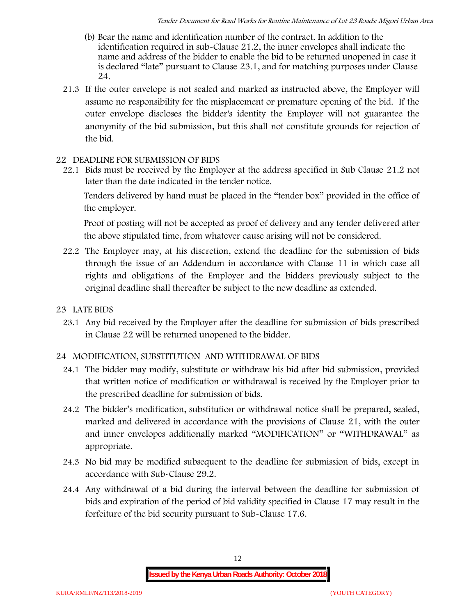- (b) Bear the name and identification number of the contract. In addition to the identification required in sub-Clause 21.2, the inner envelopes shall indicate the name and address of the bidder to enable the bid to be returned unopened in case it is declared "late" pursuant to Clause 23.1, and for matching purposes under Clause 24.
- 21.3 If the outer envelope is not sealed and marked as instructed above, the Employer will assume no responsibility for the misplacement or premature opening of the bid. If the outer envelope discloses the bidder's identity the Employer will not guarantee the anonymity of the bid submission, but this shall not constitute grounds for rejection of the bid.

#### **22 DEADLINE FOR SUBMISSION OF BIDS**

22.1 Bids must be received by the Employer at the address specified in Sub Clause 21.2 not later than **the date indicated in the tender notice.**

Tenders delivered by hand must be placed in the "tender box" provided in the office of the employer.

Proof of posting will not be accepted as proof of delivery and any tender delivered after the above stipulated time, from whatever cause arising will not be considered.

- 22.2 The Employer may, at his discretion, extend the deadline for the submission of bids through the issue of an Addendum in accordance with Clause 11 in which case all rights and obligations of the Employer and the bidders previously subject to the original deadline shall thereafter be subject to the new deadline as extended.
- **23 LATE BIDS**
	- 23.1 Any bid received by the Employer after the deadline for submission of bids prescribed in Clause 22 will be returned unopened to the bidder.

### **24 MODIFICATION, SUBSTITUTION AND WITHDRAWAL OF BIDS**

- 24.1 The bidder may modify, substitute or withdraw his bid after bid submission, provided that written notice of modification or withdrawal is received by the Employer prior to the prescribed deadline for submission of bids.
- 24.2 The bidder's modification, substitution or withdrawal notice shall be prepared, sealed, marked and delivered in accordance with the provisions of Clause 21, with the outer and inner envelopes additionally marked "MODIFICATION" or "WITHDRAWAL" as appropriate.
- 24.3 No bid may be modified subsequent to the deadline for submission of bids, except in accordance with Sub-Clause 29.2.
- 24.4 Any withdrawal of a bid during the interval between the deadline for submission of bids and expiration of the period of bid validity specified in Clause 17 may result in the forfeiture of the bid security pursuant to Sub-Clause 17.6.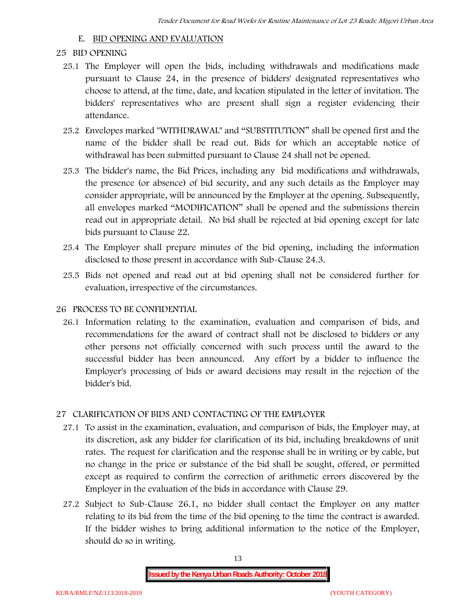#### **E. BID OPENING AND EVALUATION**

#### **25 BID OPENING**

- 25.1 The Employer will open the bids, including withdrawals and modifications made pursuant to Clause 24, in the presence of bidders' designated representatives who choose to attend, at the time, date, and location stipulated in the letter of invitation. The bidders' representatives who are present shall sign a register evidencing their attendance.
- 25.2 Envelopes marked "WITHDRAWAL" and "SUBSTITUTION" shall be opened first and the name of the bidder shall be read out. Bids for which an acceptable notice of withdrawal has been submitted pursuant to Clause 24 shall not be opened.
- 25.3 The bidder's name, the Bid Prices, including any bid modifications and withdrawals, the presence (or absence) of bid security, and any such details as the Employer may consider appropriate, will be announced by the Employer at the opening. Subsequently, all envelopes marked "MODIFICATION" shall be opened and the submissions therein read out in appropriate detail. No bid shall be rejected at bid opening except for late bids pursuant to Clause 22.
- 25.4 The Employer shall prepare minutes of the bid opening, including the information disclosed to those present in accordance with Sub-Clause 24.3.
- 25.5 Bids not opened and read out at bid opening shall not be considered further for evaluation, irrespective of the circumstances.

#### **26 PROCESS TO BE CONFIDENTIAL**

26.1 Information relating to the examination, evaluation and comparison of bids, and recommendations for the award of contract shall not be disclosed to bidders or any other persons not officially concerned with such process until the award to the successful bidder has been announced. Any effort by a bidder to influence the Employer's processing of bids or award decisions may result in the rejection of the bidder's bid.

### **27 CLARIFICATION OF BIDS AND CONTACTING OF THE EMPLOYER**

- 27.1 To assist in the examination, evaluation, and comparison of bids, the Employer may, at its discretion, ask any bidder for clarification of its bid, including breakdowns of unit rates. The request for clarification and the response shall be in writing or by cable, but no change in the price or substance of the bid shall be sought, offered, or permitted except as required to confirm the correction of arithmetic errors discovered by the Employer in the evaluation of the bids in accordance with Clause 29.
- 27.2 Subject to Sub-Clause 26.1, no bidder shall contact the Employer on any matter relating to its bid from the time of the bid opening to the time the contract is awarded. If the bidder wishes to bring additional information to the notice of the Employer, should do so in writing.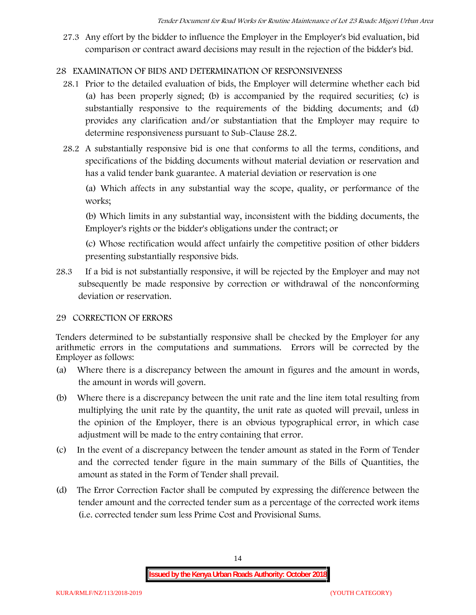27.3 Any effort by the bidder to influence the Employer in the Employer's bid evaluation, bid comparison or contract award decisions may result in the rejection of the bidder's bid.

## **28 EXAMINATION OF BIDS AND DETERMINATION OF RESPONSIVENESS**

- 28.1 Prior to the detailed evaluation of bids, the Employer will determine whether each bid (a) has been properly signed; (b) is accompanied by the required securities; (c) is substantially responsive to the requirements of the bidding documents; and (d) provides any clarification and/or substantiation that the Employer may require to determine responsiveness pursuant to Sub-Clause 28.2.
- 28.2 A substantially responsive bid is one that conforms to all the terms, conditions, and specifications of the bidding documents without material deviation or reservation and has a valid tender bank guarantee. A material deviation or reservation is one

(a) Which affects in any substantial way the scope, quality, or performance of the works;

(b) Which limits in any substantial way, inconsistent with the bidding documents, the Employer's rights or the bidder's obligations under the contract; or

(c) Whose rectification would affect unfairly the competitive position of other bidders presenting substantially responsive bids.

28.3 If a bid is not substantially responsive, it will be rejected by the Employer and may not subsequently be made responsive by correction or withdrawal of the nonconforming deviation or reservation.

### **29 CORRECTION OF ERRORS**

Tenders determined to be substantially responsive shall be checked by the Employer for any arithmetic errors in the computations and summations. Errors will be corrected by the Employer as follows:

- (a) Where there is a discrepancy between the amount in figures and the amount in words, the amount in words will govern.
- (b) Where there is a discrepancy between the unit rate and the line item total resulting from multiplying the unit rate by the quantity, the unit rate as quoted will prevail, unless in the opinion of the Employer, there is an obvious typographical error, in which case adjustment will be made to the entry containing that error.
- (c) In the event of a discrepancy between the tender amount as stated in the Form of Tender and the corrected tender figure in the main summary of the Bills of Quantities, the amount as stated in the Form of Tender shall prevail.
- (d) The Error Correction Factor shall be computed by expressing the difference between the tender amount and the corrected tender sum as a percentage of the corrected work items (i.e. corrected tender sum less Prime Cost and Provisional Sums.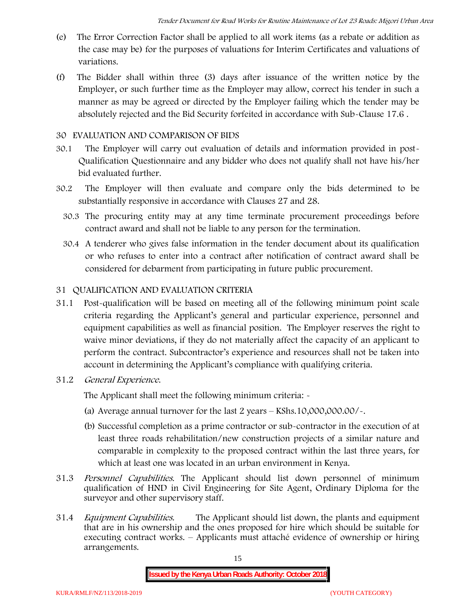- (e) The Error Correction Factor shall be applied to all work items (as a rebate or addition as the case may be) for the purposes of valuations for Interim Certificates and valuations of variations.
- (f) The Bidder shall within three (3) days after issuance of the written notice by the Employer, or such further time as the Employer may allow, correct his tender in such a manner as may be agreed or directed by the Employer failing which the tender may be absolutely rejected and the Bid Security forfeited in accordance with Sub-Clause 17.6 .

#### **30 EVALUATION AND COMPARISON OF BIDS**

- 30.1 The Employer will carry out evaluation of details and information provided in post- Qualification Questionnaire and any bidder who does not qualify shall not have his/her bid evaluated further.
- 30.2 The Employer will then evaluate and compare only the bids determined to be substantially responsive in accordance with Clauses 27 and 28.
	- 30.3 The procuring entity may at any time terminate procurement proceedings before contract award and shall not be liable to any person for the termination.
	- 30.4 A tenderer who gives false information in the tender document about its qualification or who refuses to enter into a contract after notification of contract award shall be considered for debarment from participating in future public procurement.

### **31 QUALIFICATION AND EVALUATION CRITERIA**

- 31.1 Post-qualification will be based on meeting all of the following minimum point scale criteria regarding the Applicant's general and particular experience, personnel and equipment capabilities as well as financial position. The Employer reserves the right to waive minor deviations, if they do not materially affect the capacity of an applicant to perform the contract. Subcontractor's experience and resources shall not be taken into account in determining the Applicant's compliance with qualifying criteria.
- **31.2** *General Experience***.**

The Applicant shall meet the following minimum criteria: -

- (a) Average annual turnover for the last 2 years **KShs.10,000,000.00/-.**
- (b) Successful completion as a prime contractor or sub-contractor in the execution of at least three roads rehabilitation/new construction projects of a similar nature and comparable in complexity to the proposed contract within the last three years, for which at least one was located in an urban environment in Kenya.
- 31.3 *Personnel Capabilities***.** The Applicant should list down personnel of minimum qualification of HND in Civil Engineering for Site Agent, Ordinary Diploma for the surveyor and other supervisory staff.
- 31.4 *Equipment Capabilities.* The Applicant should list down, the plants and equipment that are in his ownership and the ones proposed for hire which should be suitable for executing contract works. – Applicants must attaché evidence of ownership or hiring arrangements.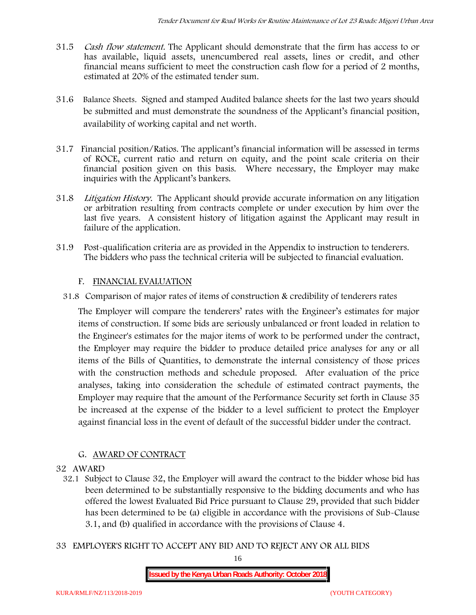- 31.5 *Cash flow statement.* The Applicant should demonstrate that the firm has access to or has available, liquid assets, unencumbered real assets, lines or credit, and other financial means sufficient to meet the construction cash flow for a period of 2 months, estimated at 20% of the estimated tender sum.
- 31.6 **Balance Sheets***.* Signed and stamped Audited balance sheets for the last two years should be submitted and must demonstrate the soundness of the Applicant's financial position, availability of working capital and net worth.
- 31.7 **Financial position/Ratios.** The applicant's financial information will be assessed in terms of ROCE, current ratio and return on equity, and the point scale criteria on their financial position given on this basis. Where necessary, the Employer may make inquiries with the Applicant's bankers.
- 31.8 *Litigation History.* The Applicant should provide accurate information on any litigation or arbitration resulting from contracts complete or under execution by him over the last five years. A consistent history of litigation against the Applicant may result in failure of the application.
- 31.9 Post-qualification criteria are as provided in the Appendix to instruction to tenderers. The bidders who pass the technical criteria will be subjected to financial evaluation.

### **F. FINANCIAL EVALUATION**

31.8 Comparison of major rates of items of construction & credibility of tenderers rates

The Employer will compare the tenderers' rates with the Engineer's estimates for major items of construction. If some bids are seriously unbalanced or front loaded in relation to the Engineer's estimates for the major items of work to be performed under the contract, the Employer may require the bidder to produce detailed price analyses for any or all items of the Bills of Quantities, to demonstrate the internal consistency of those prices with the construction methods and schedule proposed. After evaluation of the price analyses, taking into consideration the schedule of estimated contract payments, the Employer may require that the amount of the Performance Security set forth in Clause 35 be increased at the expense of the bidder to a level sufficient to protect the Employer against financial loss in the event of default of the successful bidder under the contract.

### **G. AWARD OF CONTRACT**

#### **32 AWARD**

- 32.1 Subject to Clause 32, the Employer will award the contract to the bidder whose bid has been determined to be substantially responsive to the bidding documents and who has offered the lowest Evaluated Bid Price pursuant to Clause 29, provided that such bidder has been determined to be (a) eligible in accordance with the provisions of Sub-Clause 3.1, and (b) qualified in accordance with the provisions of Clause 4.
- **33 EMPLOYER'S RIGHT TO ACCEPT ANY BID AND TO REJECT ANY OR ALL BIDS**

16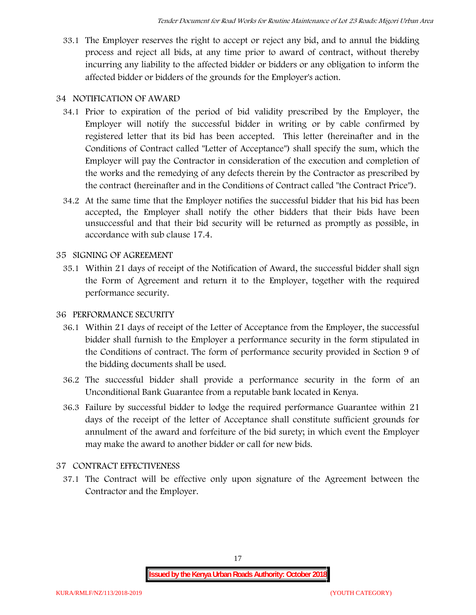33.1 The Employer reserves the right to accept or reject any bid, and to annul the bidding process and reject all bids, at any time prior to award of contract, without thereby incurring any liability to the affected bidder or bidders or any obligation to inform the affected bidder or bidders of the grounds for the Employer's action.

## **34 NOTIFICATION OF AWARD**

- 34.1 Prior to expiration of the period of bid validity prescribed by the Employer, the Employer will notify the successful bidder in writing or by cable confirmed by registered letter that its bid has been accepted. This letter (hereinafter and in the Conditions of Contract called "Letter of Acceptance") shall specify the sum, which the Employer will pay the Contractor in consideration of the execution and completion of the works and the remedying of any defects therein by the Contractor as prescribed by the contract (hereinafter and in the Conditions of Contract called "the Contract Price").
- 34.2 At the same time that the Employer notifies the successful bidder that his bid has been accepted, the Employer shall notify the other bidders that their bids have been unsuccessful and that their bid security will be returned as promptly as possible, in accordance with sub clause 17.4.

## **35 SIGNING OF AGREEMENT**

35.1 Within 21 days of receipt of the Notification of Award, the successful bidder shall sign the Form of Agreement and return it to the Employer, together with the required performance security.

### **36 PERFORMANCE SECURITY**

- 36.1 Within 21 days of receipt of the Letter of Acceptance from the Employer, the successful bidder shall furnish to the Employer a performance security in the form stipulated in the Conditions of contract. The form of performance security provided in Section 9 of the bidding documents shall be used.
- 36.2 The successful bidder shall provide a performance security in the form of an Unconditional Bank Guarantee from a reputable bank located in Kenya.
- 36.3 Failure by successful bidder to lodge the required performance Guarantee within 21 days of the receipt of the letter of Acceptance shall constitute sufficient grounds for annulment of the award and forfeiture of the bid surety; in which event the Employer may make the award to another bidder or call for new bids.

## **37 CONTRACT EFFECTIVENESS**

37.1 The Contract will be effective only upon signature of the Agreement between the Contractor and the Employer.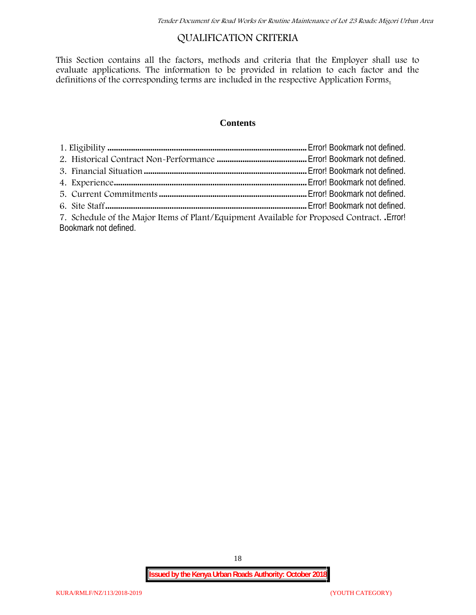## **QUALIFICATION CRITERIA**

This Section contains all the factors, methods and criteria that the Employer shall use to evaluate applications. The information to be provided in relation to each factor and the definitions of the corresponding terms are included in the respective Application Forms.

### **Contents**

| 7. Schedule of the Major Items of Plant/Equipment Available for Proposed Contract. Error! |  |
|-------------------------------------------------------------------------------------------|--|
| Bookmark not defined.                                                                     |  |

18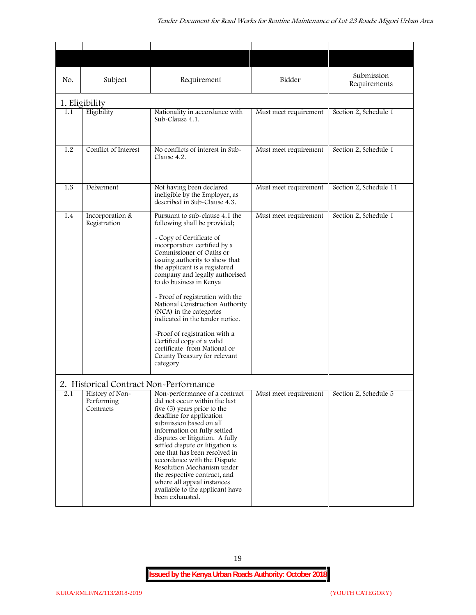| No. | Subject                                                                              | Requirement                                                                                                                                                                                                                                                                                                                                                                                                                                                                                                                                                           | Bidder                | Submission<br>Requirements |
|-----|--------------------------------------------------------------------------------------|-----------------------------------------------------------------------------------------------------------------------------------------------------------------------------------------------------------------------------------------------------------------------------------------------------------------------------------------------------------------------------------------------------------------------------------------------------------------------------------------------------------------------------------------------------------------------|-----------------------|----------------------------|
|     | 1. Eligibility                                                                       |                                                                                                                                                                                                                                                                                                                                                                                                                                                                                                                                                                       |                       |                            |
| 1.1 | Eligibility                                                                          | Nationality in accordance with<br>Sub-Clause 4.1.                                                                                                                                                                                                                                                                                                                                                                                                                                                                                                                     | Must meet requirement | Section 2, Schedule 1      |
| 1.2 | Conflict of Interest                                                                 | No conflicts of interest in Sub-<br>Clause 4.2.                                                                                                                                                                                                                                                                                                                                                                                                                                                                                                                       | Must meet requirement | Section 2, Schedule 1      |
| 1.3 | Debarment                                                                            | Not having been declared<br>ineligible by the Employer, as<br>described in Sub-Clause 4.3.                                                                                                                                                                                                                                                                                                                                                                                                                                                                            | Must meet requirement | Section 2, Schedule 11     |
| 1.4 | Incorporation &<br>Registration                                                      | Pursuant to sub-clause 4.1 the<br>following shall be provided;<br>- Copy of Certificate of<br>incorporation certified by a<br>Commissioner of Oaths or<br>issuing authority to show that<br>the applicant is a registered<br>company and legally authorised<br>to do business in Kenya<br>- Proof of registration with the<br>National Construction Authority<br>(NCA) in the categories<br>indicated in the tender notice.<br>-Proof of registration with a<br>Certified copy of a valid<br>certificate from National or<br>County Treasury for relevant<br>category | Must meet requirement | Section 2, Schedule 1      |
| 2.1 | 2. Historical Contract Non-Performance<br>History of Non-<br>Performing<br>Contracts | Non-performance of a contract<br>did not occur within the last<br>five (5) years prior to the<br>deadline for application<br>submission based on all<br>information on fully settled<br>disputes or litigation. A fully<br>settled dispute or litigation is<br>one that has been resolved in<br>accordance with the Dispute<br>Resolution Mechanism under<br>the respective contract, and<br>where all appeal instances<br>available to the applicant have<br>been exhausted.                                                                                         | Must meet requirement | Section 2, Schedule 5      |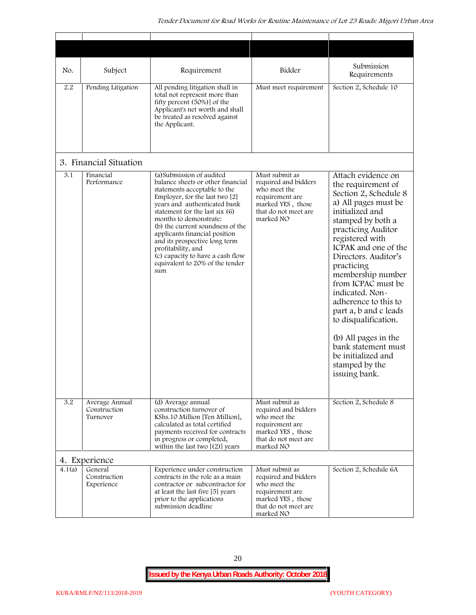| No.    | Subject                                    | Requirement                                                                                                                                                                                                                                                                                                                                                                                                                            | Bidder                                                                                                                              | Submission<br>Requirements                                                                                                                                                                                                                                                                                                                                                                                                                                                              |
|--------|--------------------------------------------|----------------------------------------------------------------------------------------------------------------------------------------------------------------------------------------------------------------------------------------------------------------------------------------------------------------------------------------------------------------------------------------------------------------------------------------|-------------------------------------------------------------------------------------------------------------------------------------|-----------------------------------------------------------------------------------------------------------------------------------------------------------------------------------------------------------------------------------------------------------------------------------------------------------------------------------------------------------------------------------------------------------------------------------------------------------------------------------------|
| 2.2    | Pending Litigation                         | All pending litigation shall in<br>total not represent more than<br>fifty percent (50%)] of the<br>Applicant's net worth and shall<br>be treated as resolved against<br>the Applicant.                                                                                                                                                                                                                                                 | Must meet requirement                                                                                                               | Section 2, Schedule 10                                                                                                                                                                                                                                                                                                                                                                                                                                                                  |
|        | 3. Financial Situation                     |                                                                                                                                                                                                                                                                                                                                                                                                                                        |                                                                                                                                     |                                                                                                                                                                                                                                                                                                                                                                                                                                                                                         |
| 3.1    | Financial<br>Performance                   | (a) Submission of audited<br>balance sheets or other financial<br>statements acceptable to the<br>Employer, for the last two [2]<br>years and authenticated bank<br>statement for the last six (6)<br>months to demonstrate:<br>(b) the current soundness of the<br>applicants financial position<br>and its prospective long term<br>profitability, and<br>(c) capacity to have a cash flow<br>equivalent to 20% of the tender<br>sum | Must submit as<br>required and bidders<br>who meet the<br>requirement are<br>marked YES, those<br>that do not meet are<br>marked NO | Attach evidence on<br>the requirement of<br>Section 2, Schedule 8<br>a) All pages must be<br>initialized and<br>stamped by both a<br>practicing Auditor<br>registered with<br>ICPAK and one of the<br>Directors. Auditor's<br>practicing<br>membership number<br>from ICPAC must be<br>indicated. Non-<br>adherence to this to<br>part a, b and c leads<br>to disqualification.<br>(b) All pages in the<br>bank statement must<br>be initialized and<br>stamped by the<br>issuing bank. |
| 3.2    | Average Annual<br>Construction<br>Turnover | (d) Average annual<br>construction turnover of<br>KShs.10 Million [Ten Million],<br>calculated as total certified<br>payments received for contracts<br>in progress or completed,<br>within the last two $[(2)]$ years                                                                                                                                                                                                                 | Must submit as<br>required and bidders<br>who meet the<br>requirement are<br>marked YES, those<br>that do not meet are<br>marked NO | Section 2, Schedule 8                                                                                                                                                                                                                                                                                                                                                                                                                                                                   |
|        | 4. Experience                              |                                                                                                                                                                                                                                                                                                                                                                                                                                        |                                                                                                                                     |                                                                                                                                                                                                                                                                                                                                                                                                                                                                                         |
| 4.1(a) | General<br>Construction<br>Experience      | Experience under construction<br>contracts in the role as a main<br>contractor or subcontractor for<br>at least the last five [5] years<br>prior to the applications<br>submission deadline                                                                                                                                                                                                                                            | Must submit as<br>required and bidders<br>who meet the<br>requirement are<br>marked YES, those<br>that do not meet are<br>marked NO | Section 2, Schedule 6A                                                                                                                                                                                                                                                                                                                                                                                                                                                                  |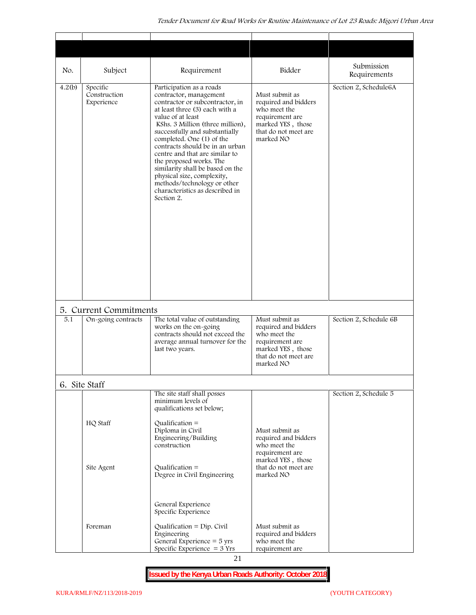| No.    | Subject                                      | Requirement                                                                                                                                                                                                                                                                                                                                                                                                                                                                                       | Bidder                                                                                                                              | Submission<br>Requirements |
|--------|----------------------------------------------|---------------------------------------------------------------------------------------------------------------------------------------------------------------------------------------------------------------------------------------------------------------------------------------------------------------------------------------------------------------------------------------------------------------------------------------------------------------------------------------------------|-------------------------------------------------------------------------------------------------------------------------------------|----------------------------|
| 4.2(b) | Specific<br>Construction<br>Experience       | Participation as a roads<br>contractor, management<br>contractor or subcontractor, in<br>at least three (3) each with a<br>value of at least<br>KShs. 3 Million (three million),<br>successfully and substantially<br>completed. One (1) of the<br>contracts should be in an urban<br>centre and that are similar to<br>the proposed works. The<br>similarity shall be based on the<br>physical size, complexity,<br>methods/technology or other<br>characteristics as described in<br>Section 2. | Must submit as<br>required and bidders<br>who meet the<br>requirement are<br>marked YES, those<br>that do not meet are<br>marked NO | Section 2, Schedule6A      |
| 5.1    | 5. Current Commitments<br>On-going contracts | The total value of outstanding                                                                                                                                                                                                                                                                                                                                                                                                                                                                    | Must submit as                                                                                                                      | Section 2, Schedule 6B     |
|        |                                              | works on the on-going<br>contracts should not exceed the<br>average annual turnover for the<br>last two years.                                                                                                                                                                                                                                                                                                                                                                                    | required and bidders<br>who meet the<br>requirement are<br>marked YES, those<br>that do not meet are<br>marked NO                   |                            |
|        | 6. Site Staff                                |                                                                                                                                                                                                                                                                                                                                                                                                                                                                                                   |                                                                                                                                     |                            |
|        | HQ Staff                                     | The site staff shall posses<br>minimum levels of<br>qualifications set below;<br>Qualification $=$<br>Diploma in Civil                                                                                                                                                                                                                                                                                                                                                                            | Must submit as                                                                                                                      | Section 2, Schedule 5      |
|        |                                              | Engineering/Building                                                                                                                                                                                                                                                                                                                                                                                                                                                                              | required and bidders<br>who meet the                                                                                                |                            |
|        | Site Agent                                   | construction<br>Qualification $=$<br>Degree in Civil Engineering                                                                                                                                                                                                                                                                                                                                                                                                                                  | requirement are<br>marked YES, those<br>that do not meet are<br>marked NO                                                           |                            |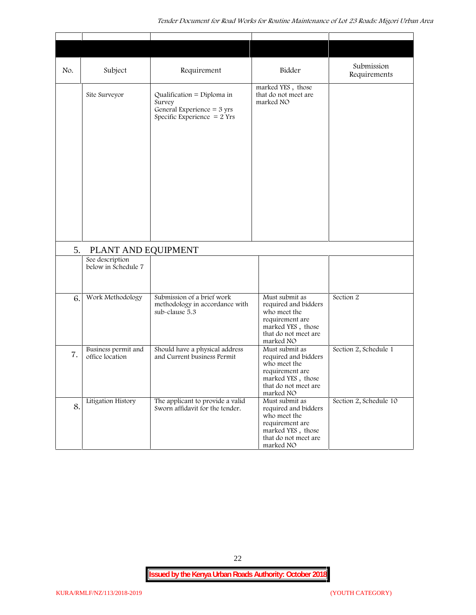| No. | Subject                                                       | Requirement                                                                                                   | Bidder                                                                                                                              | Submission<br>Requirements |
|-----|---------------------------------------------------------------|---------------------------------------------------------------------------------------------------------------|-------------------------------------------------------------------------------------------------------------------------------------|----------------------------|
|     | Site Surveyor                                                 | Qualification = Diploma in<br>Survey<br>General Experience = $3 \text{ yrs}$<br>Specific Experience $= 2$ Yrs | marked YES, those<br>that do not meet are<br>marked NO                                                                              |                            |
| 5.  | PLANT AND EQUIPMENT<br>See description<br>below in Schedule 7 |                                                                                                               |                                                                                                                                     |                            |
|     |                                                               |                                                                                                               |                                                                                                                                     |                            |
| 6.  | Work Methodology                                              | Submission of a brief work<br>methodology in accordance with<br>sub-clause 5.3                                | Must submit as<br>required and bidders<br>who meet the<br>requirement are<br>marked YES, those<br>that do not meet are<br>marked NO | Section 2                  |
| 7.  | Business permit and<br>office location                        | Should have a physical address<br>and Current business Permit                                                 | Must submit as<br>required and bidders<br>who meet the<br>requirement are<br>marked YES, those<br>that do not meet are<br>marked NO | Section 2, Schedule 1      |
| 8.  | Litigation History                                            | The applicant to provide a valid<br>Sworn affidavit for the tender.                                           | Must submit as<br>required and bidders<br>who meet the<br>requirement are<br>marked YES, those<br>that do not meet are<br>marked NO | Section 2, Schedule 10     |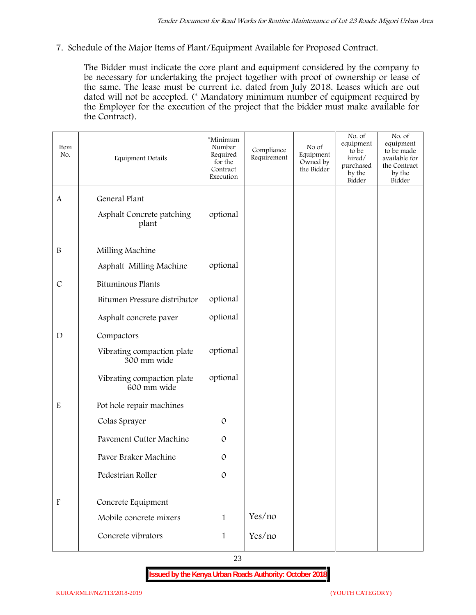**7. Schedule of the Major Items of Plant/Equipment Available for Proposed Contract.**

The Bidder must indicate the core plant and equipment considered by the company to be necessary for undertaking the project together with proof of ownership or lease of the same. The lease must be current i.e. dated from July 2018. Leases which are out dated will not be accepted. (\* Mandatory minimum number of equipment required by the Employer for the execution of the project that the bidder must make available for the Contract).

| Item<br>No.               | <b>Equipment Details</b>                  | *Minimum<br>Number<br>Required<br>for the<br>Contract<br>Execution | Compliance<br>Requirement | No of<br>Equipment<br>Owned by<br>the Bidder | No. of<br>equipment<br>to be<br>hired/<br>purchased<br>by the<br>Bidder | No. of<br>equipment<br>to be made<br>available for<br>the Contract<br>by the<br>Bidder |
|---------------------------|-------------------------------------------|--------------------------------------------------------------------|---------------------------|----------------------------------------------|-------------------------------------------------------------------------|----------------------------------------------------------------------------------------|
| $\mathbf{A}$              | General Plant                             |                                                                    |                           |                                              |                                                                         |                                                                                        |
|                           | Asphalt Concrete patching<br>plant        | optional                                                           |                           |                                              |                                                                         |                                                                                        |
| $\, {\bf B}$              | Milling Machine                           |                                                                    |                           |                                              |                                                                         |                                                                                        |
|                           | Asphalt Milling Machine                   | optional                                                           |                           |                                              |                                                                         |                                                                                        |
| $\mathcal{C}$             | <b>Bituminous Plants</b>                  |                                                                    |                           |                                              |                                                                         |                                                                                        |
|                           | Bitumen Pressure distributor              | optional                                                           |                           |                                              |                                                                         |                                                                                        |
|                           | Asphalt concrete paver                    | optional                                                           |                           |                                              |                                                                         |                                                                                        |
| $\mathbf D$               | Compactors                                |                                                                    |                           |                                              |                                                                         |                                                                                        |
|                           | Vibrating compaction plate<br>300 mm wide | optional                                                           |                           |                                              |                                                                         |                                                                                        |
|                           | Vibrating compaction plate<br>600 mm wide | optional                                                           |                           |                                              |                                                                         |                                                                                        |
| ${\bf E}$                 | Pot hole repair machines                  |                                                                    |                           |                                              |                                                                         |                                                                                        |
|                           | Colas Sprayer                             | $\mathcal{O}$                                                      |                           |                                              |                                                                         |                                                                                        |
|                           | Pavement Cutter Machine                   | $\mathcal{O}$                                                      |                           |                                              |                                                                         |                                                                                        |
|                           | Paver Braker Machine                      | $\mathcal{O}$                                                      |                           |                                              |                                                                         |                                                                                        |
|                           | Pedestrian Roller                         | $\mathcal{O}$                                                      |                           |                                              |                                                                         |                                                                                        |
|                           |                                           |                                                                    |                           |                                              |                                                                         |                                                                                        |
| $\boldsymbol{\mathrm{F}}$ | Concrete Equipment                        |                                                                    |                           |                                              |                                                                         |                                                                                        |
|                           | Mobile concrete mixers                    | $\mathbf{1}$                                                       | Yes/no                    |                                              |                                                                         |                                                                                        |
|                           | Concrete vibrators                        | $\mathbf 1$                                                        | Yes/no                    |                                              |                                                                         |                                                                                        |
|                           |                                           |                                                                    |                           |                                              |                                                                         |                                                                                        |

23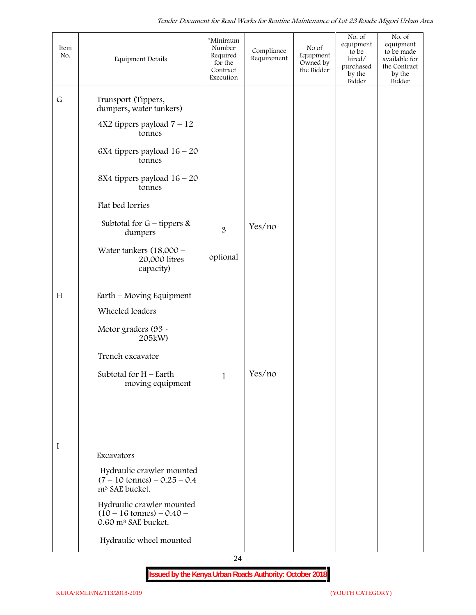| Item<br>No.        | <b>Equipment Details</b>                                                                                                                                                                                                                        | *Minimum<br>Number<br>Required<br>for the<br>Contract<br>Execution | Compliance<br>Requirement | No of<br>Equipment<br>Owned by<br>the Bidder | No. of<br>equipment<br>to be<br>hired/<br>purchased<br>by the<br>Bidder | No. of<br>equipment<br>to be made<br>available for<br>the Contract<br>by the<br>Bidder |
|--------------------|-------------------------------------------------------------------------------------------------------------------------------------------------------------------------------------------------------------------------------------------------|--------------------------------------------------------------------|---------------------------|----------------------------------------------|-------------------------------------------------------------------------|----------------------------------------------------------------------------------------|
| $\mathsf{G}% _{0}$ | Transport (Tippers,<br>dumpers, water tankers)<br>$4X2$ tippers payload $7 - 12$<br>tonnes<br>6X4 tippers payload $16 - 20$<br>tonnes                                                                                                           |                                                                    |                           |                                              |                                                                         |                                                                                        |
|                    | 8X4 tippers payload $16 - 20$<br>tonnes<br>Flat bed lorries                                                                                                                                                                                     |                                                                    |                           |                                              |                                                                         |                                                                                        |
|                    | Subtotal for $G$ – tippers &<br>dumpers                                                                                                                                                                                                         | 3                                                                  | Yes/no                    |                                              |                                                                         |                                                                                        |
|                    | Water tankers $(18,000 -$<br>20,000 litres<br>capacity)                                                                                                                                                                                         | optional                                                           |                           |                                              |                                                                         |                                                                                        |
| H                  | Earth – Moving Equipment<br>Wheeled loaders<br>Motor graders (93 -<br>205kW)<br>Trench excavator<br>Subtotal for $H$ – Earth<br>moving equipment                                                                                                | $\mathbf{1}$                                                       | Yes/no                    |                                              |                                                                         |                                                                                        |
| I                  | Excavators<br>Hydraulic crawler mounted<br>$(7 - 10 \text{ tonnes}) - 0.25 - 0.4$<br>m <sup>3</sup> SAE bucket.<br>Hydraulic crawler mounted<br>$(10 - 16 \text{ tonnes}) - 0.40$<br>0.60 m <sup>3</sup> SAE bucket.<br>Hydraulic wheel mounted |                                                                    |                           |                                              |                                                                         |                                                                                        |

24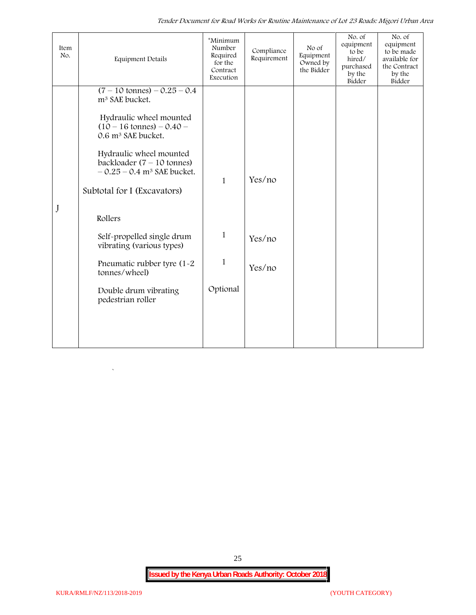*Tender Document for Road Works for Routine Maintenance of Lot 23 Roads: Migori Urban Area*

| Item<br>No. | <b>Equipment Details</b>                                                                                                                                                                                                                                                                                                                                                                                                                                     | *Minimum<br>Number<br>Required<br>for the<br>Contract<br>Execution | Compliance<br>Requirement  | No of<br>Equipment<br>Owned by<br>the Bidder | No. of<br>equipment<br>to be<br>hired/<br>purchased<br>by the<br>Bidder | No. of<br>equipment<br>to be made<br>available for<br>the Contract<br>by the<br>Bidder |
|-------------|--------------------------------------------------------------------------------------------------------------------------------------------------------------------------------------------------------------------------------------------------------------------------------------------------------------------------------------------------------------------------------------------------------------------------------------------------------------|--------------------------------------------------------------------|----------------------------|----------------------------------------------|-------------------------------------------------------------------------|----------------------------------------------------------------------------------------|
| J           | $(7 - 10 \text{ tonnes}) - 0.25 - 0.4$<br>m <sup>3</sup> SAE bucket.<br>Hydraulic wheel mounted<br>$(10 - 16 \text{ tonnes}) - 0.40 -$<br>0.6 m <sup>3</sup> SAE bucket.<br>Hydraulic wheel mounted<br>backloader $(7 - 10$ tonnes)<br>$-0.25 - 0.4$ m <sup>3</sup> SAE bucket.<br>Subtotal for I (Excavators)<br>Rollers<br>Self-propelled single drum<br>vibrating (various types)<br>Pneumatic rubber tyre (1-2<br>tonnes/wheel)<br>Double drum vibrating | $\mathbf{1}$<br>$\mathbf{1}$<br>$\mathbf{1}$<br>Optional           | Yes/no<br>Yes/no<br>Yes/no |                                              |                                                                         |                                                                                        |
|             | pedestrian roller                                                                                                                                                                                                                                                                                                                                                                                                                                            |                                                                    |                            |                                              |                                                                         |                                                                                        |

25

 $\ddot{\phantom{0}}$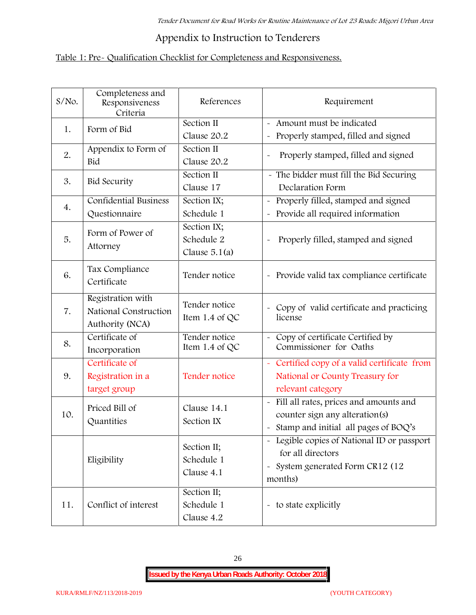# **Appendix to Instruction to Tenderers**

## **Table 1: Pre- Qualification Checklist for Completeness and Responsiveness.**

| S/No. | Completeness and<br>Responsiveness<br>Criteria                | References                                   | Requirement                                                                                                                               |
|-------|---------------------------------------------------------------|----------------------------------------------|-------------------------------------------------------------------------------------------------------------------------------------------|
| 1.    | Form of Bid                                                   | Section II<br>Clause 20.2                    | Amount must be indicated<br>Properly stamped, filled and signed<br>$\tilde{\phantom{a}}$                                                  |
| 2.    | Appendix to Form of<br>Bid                                    | Section II<br>Clause 20.2                    | Properly stamped, filled and signed<br>$\sim$                                                                                             |
| 3.    | <b>Bid Security</b>                                           | Section II<br>Clause 17                      | - The bidder must fill the Bid Securing<br>Declaration Form                                                                               |
| 4.    | <b>Confidential Business</b><br>Questionnaire                 | Section IX;<br>Schedule 1                    | Properly filled, stamped and signed<br>Provide all required information                                                                   |
| 5.    | Form of Power of<br>Attorney                                  | Section IX;<br>Schedule 2<br>Clause $5.1(a)$ | Properly filled, stamped and signed                                                                                                       |
| 6.    | Tax Compliance<br>Certificate                                 | Tender notice                                | - Provide valid tax compliance certificate                                                                                                |
| 7.    | Registration with<br>National Construction<br>Authority (NCA) | Tender notice<br>Item 1.4 of QC              | - Copy of valid certificate and practicing<br>license                                                                                     |
| 8.    | Certificate of<br>Incorporation                               | Tender notice<br>Item 1.4 of QC              | Copy of certificate Certified by<br>Commissioner for Oaths                                                                                |
| 9.    | Certificate of<br>Registration in a<br>target group           | Tender notice                                | - Certified copy of a valid certificate from<br>National or County Treasury for<br>relevant category                                      |
| 10.   | Priced Bill of<br>Quantities                                  | Clause 14.1<br>Section IX                    | Fill all rates, prices and amounts and<br>$\tilde{\phantom{a}}$<br>counter sign any alteration(s)<br>Stamp and initial all pages of BOQ's |
|       | Eligibility                                                   | Section II;<br>Schedule 1<br>Clause 4.1      | Legible copies of National ID or passport<br>for all directors<br>System generated Form CR12 (12<br>$\tilde{}$<br>months)                 |
| 11.   | Conflict of interest                                          | Section II;<br>Schedule 1<br>Clause 4.2      | - to state explicitly                                                                                                                     |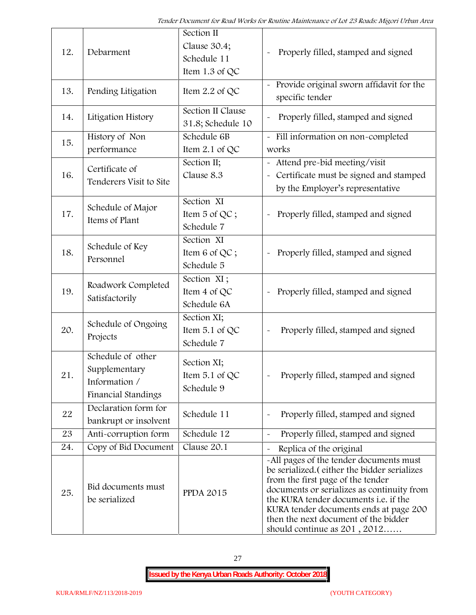| 12. | Debarment                                                                  | Section II<br>Clause 30.4;<br>Schedule 11<br>Item 1.3 of QC | Properly filled, stamped and signed                                                                                                                                                                                                                                                                                                     |
|-----|----------------------------------------------------------------------------|-------------------------------------------------------------|-----------------------------------------------------------------------------------------------------------------------------------------------------------------------------------------------------------------------------------------------------------------------------------------------------------------------------------------|
| 13. | Pending Litigation                                                         | Item 2.2 of QC                                              | Provide original sworn affidavit for the<br>specific tender                                                                                                                                                                                                                                                                             |
| 14. | Litigation History                                                         | Section II Clause<br>31.8; Schedule 10                      | Properly filled, stamped and signed                                                                                                                                                                                                                                                                                                     |
| 15. | History of Non<br>performance                                              | Schedule 6B<br>Item 2.1 of QC                               | - Fill information on non-completed<br>works                                                                                                                                                                                                                                                                                            |
| 16. | Certificate of<br>Tenderers Visit to Site                                  | Section II;<br>Clause 8.3                                   | Attend pre-bid meeting/visit<br>Certificate must be signed and stamped<br>$\widetilde{\phantom{m}}$<br>by the Employer's representative                                                                                                                                                                                                 |
| 17. | Schedule of Major<br>Items of Plant                                        | Section XI<br>Item 5 of QC;<br>Schedule 7                   | Properly filled, stamped and signed                                                                                                                                                                                                                                                                                                     |
| 18. | Schedule of Key<br>Personnel                                               | Section XI<br>Item 6 of QC;<br>Schedule 5                   | Properly filled, stamped and signed                                                                                                                                                                                                                                                                                                     |
| 19. | Roadwork Completed<br>Satisfactorily                                       | Section XI;<br>Item 4 of QC<br>Schedule 6A                  | Properly filled, stamped and signed<br>$\tilde{}$                                                                                                                                                                                                                                                                                       |
| 20. | Schedule of Ongoing<br>Projects                                            | Section XI;<br>Item 5.1 of QC<br>Schedule 7                 | Properly filled, stamped and signed                                                                                                                                                                                                                                                                                                     |
| 21  | Schedule of other<br>Supplementary<br>Information /<br>Financial Standings | Section XI;<br>Item 5.1 of QC<br>Schedule 9                 | Properly filled, stamped and signed                                                                                                                                                                                                                                                                                                     |
| 22  | Declaration form for<br>bankrupt or insolvent                              | Schedule 11                                                 | Properly filled, stamped and signed                                                                                                                                                                                                                                                                                                     |
| 23  | Anti-corruption form                                                       | Schedule 12                                                 | Properly filled, stamped and signed                                                                                                                                                                                                                                                                                                     |
| 24. | Copy of Bid Document                                                       | Clause 20.1                                                 | Replica of the original                                                                                                                                                                                                                                                                                                                 |
| 25. | Bid documents must<br>be serialized                                        | <b>PPDA 2015</b>                                            | -All pages of the tender documents must<br>be serialized. (either the bidder serializes<br>from the first page of the tender<br>documents or serializes as continuity from<br>the KURA tender documents i.e. if the<br>KURA tender documents ends at page 200<br>then the next document of the bidder<br>should continue as $201, 2012$ |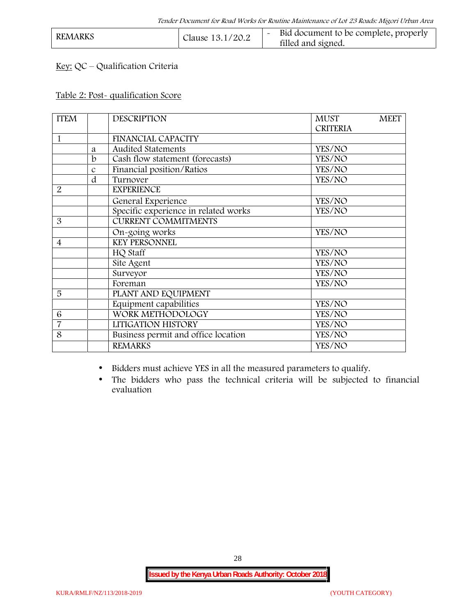| <b>REMARKS</b> | Clause 13.1/20.2 | Bid document to be complete, properly<br>filled and signed. |  |
|----------------|------------------|-------------------------------------------------------------|--|
|                |                  |                                                             |  |

## **Key:** QC – Qualification Criteria

#### **Table 2: Post- qualification Score**

| <b>ITEM</b>    |               | <b>DESCRIPTION</b>                   | <b>MEET</b><br><b>MUST</b><br><b>CRITERIA</b> |
|----------------|---------------|--------------------------------------|-----------------------------------------------|
| 1              |               | <b>FINANCIAL CAPACITY</b>            |                                               |
|                | a             | <b>Audited Statements</b>            | YES/NO                                        |
|                | b             | Cash flow statement (forecasts)      | YES/NO                                        |
|                | $\mathcal{C}$ | Financial position/Ratios            | YES/NO                                        |
|                | d             | Turnover                             | YES/NO                                        |
| $\overline{2}$ |               | <b>EXPERIENCE</b>                    |                                               |
|                |               | General Experience                   | YES/NO                                        |
|                |               | Specific experience in related works | YES/NO                                        |
| 3              |               | <b>CURRENT COMMITMENTS</b>           |                                               |
|                |               | On-going works                       | YES/NO                                        |
| $\overline{4}$ |               | <b>KEY PERSONNEL</b>                 |                                               |
|                |               | HQ Staff                             | YES/NO                                        |
|                |               | Site Agent                           | YES/NO                                        |
|                |               | Surveyor                             | YES/NO                                        |
|                |               | Foreman                              | YES/NO                                        |
| 5              |               | PLANT AND EQUIPMENT                  |                                               |
|                |               | Equipment capabilities               | YES/NO                                        |
| 6              |               | WORK METHODOLOGY                     | YES/NO                                        |
| $\overline{7}$ |               | LITIGATION HISTORY                   | YES/NO                                        |
| 8              |               | Business permit and office location  | YES/NO                                        |
|                |               | <b>REMARKS</b>                       | YES/NO                                        |

Bidders must achieve YES in all the measured parameters to qualify.

 The bidders who pass the technical criteria will be subjected to financial evaluation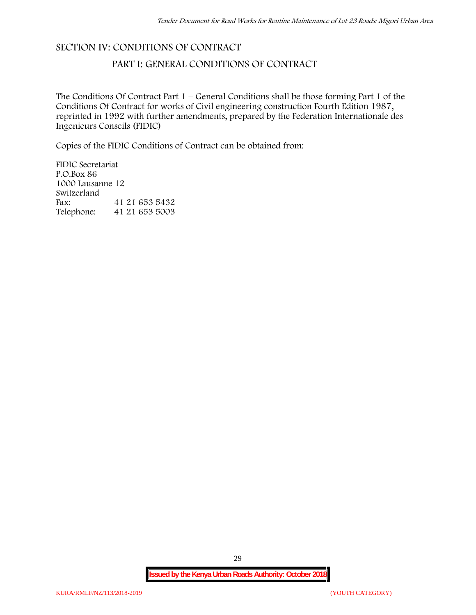### **SECTION IV: CONDITIONS OF CONTRACT**

### **PART I: GENERAL CONDITIONS OF CONTRACT**

The Conditions Of Contract Part 1 – General Conditions shall be those forming Part 1 of the Conditions Of Contract for works of Civil engineering construction Fourth Edition 1987, reprinted in 1992 with further amendments, prepared by the Federation Internationale des Ingenieurs Conseils (FIDIC)

Copies of the FIDIC Conditions of Contract can be obtained from:

FIDIC Secretariat P.O.Box 86 1000 Lausanne 12 **Switzerland** Fax: 41 21 653 5432 Telephone: 41 21 653 5003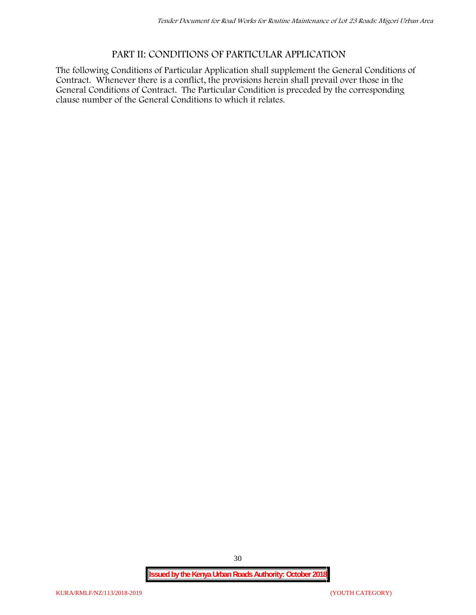## **PART II: CONDITIONS OF PARTICULAR APPLICATION**

The following Conditions of Particular Application shall supplement the General Conditions of Contract. Whenever there is a conflict, the provisions herein shall prevail over those in the General Conditions of Contract. The Particular Condition is preceded by the corresponding clause number of the General Conditions to which it relates.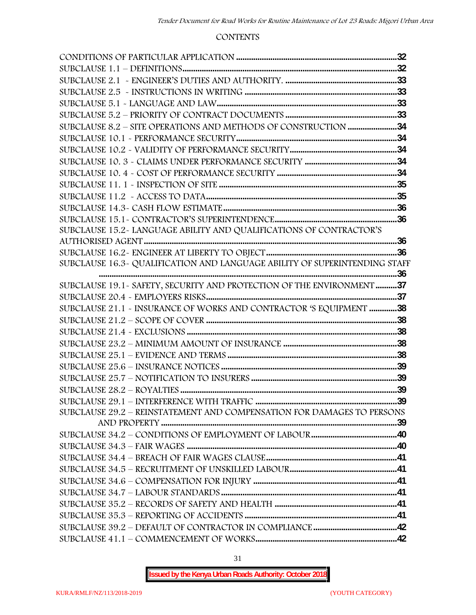#### **CONTENTS**

| SUBCLAUSE 8.2 - SITE OPERATIONS AND METHODS OF CONSTRUCTION 34             |  |
|----------------------------------------------------------------------------|--|
|                                                                            |  |
|                                                                            |  |
|                                                                            |  |
|                                                                            |  |
|                                                                            |  |
|                                                                            |  |
|                                                                            |  |
|                                                                            |  |
| SUBCLAUSE 15.2-LANGUAGE ABILITY AND QUALIFICATIONS OF CONTRACTOR'S         |  |
|                                                                            |  |
|                                                                            |  |
| SUBCLAUSE 16.3~ QUALIFICATION AND LANGUAGE ABILITY OF SUPERINTENDING STAFF |  |
|                                                                            |  |
| SUBCLAUSE 19.1 - SAFETY, SECURITY AND PROTECTION OF THE ENVIRONMENT 37     |  |
|                                                                            |  |
| SUBCLAUSE 21.1 - INSURANCE OF WORKS AND CONTRACTOR 'S EQUIPMENT 38         |  |
|                                                                            |  |
|                                                                            |  |
|                                                                            |  |
|                                                                            |  |
|                                                                            |  |
|                                                                            |  |
|                                                                            |  |
|                                                                            |  |
| SUBCLAUSE 29.2 - REINSTATEMENT AND COMPENSATION FOR DAMAGES TO PERSONS     |  |
|                                                                            |  |
|                                                                            |  |
|                                                                            |  |
|                                                                            |  |
|                                                                            |  |
|                                                                            |  |
|                                                                            |  |
|                                                                            |  |
|                                                                            |  |
|                                                                            |  |
|                                                                            |  |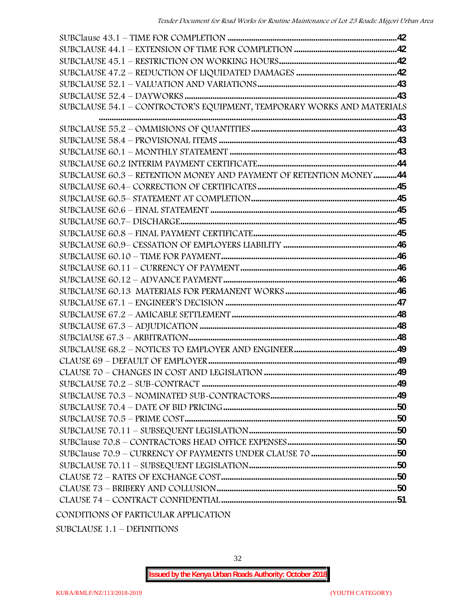| SUBCLAUSE 54.1 - CONTROCTOR'S EQUIPMENT, TEMPORARY WORKS AND MATERIALS |  |
|------------------------------------------------------------------------|--|
|                                                                        |  |
|                                                                        |  |
|                                                                        |  |
|                                                                        |  |
|                                                                        |  |
| SUBCLAUSE 60.3 - RETENTION MONEY AND PAYMENT OF RETENTION MONEY44      |  |
|                                                                        |  |
|                                                                        |  |
|                                                                        |  |
|                                                                        |  |
|                                                                        |  |
|                                                                        |  |
|                                                                        |  |
|                                                                        |  |
|                                                                        |  |
|                                                                        |  |
|                                                                        |  |
|                                                                        |  |
|                                                                        |  |
|                                                                        |  |
|                                                                        |  |
|                                                                        |  |
|                                                                        |  |
|                                                                        |  |
|                                                                        |  |
|                                                                        |  |
|                                                                        |  |
|                                                                        |  |
|                                                                        |  |
|                                                                        |  |
|                                                                        |  |
|                                                                        |  |
|                                                                        |  |
|                                                                        |  |

SUBCLAUSE 1.1 – DEFINITIONS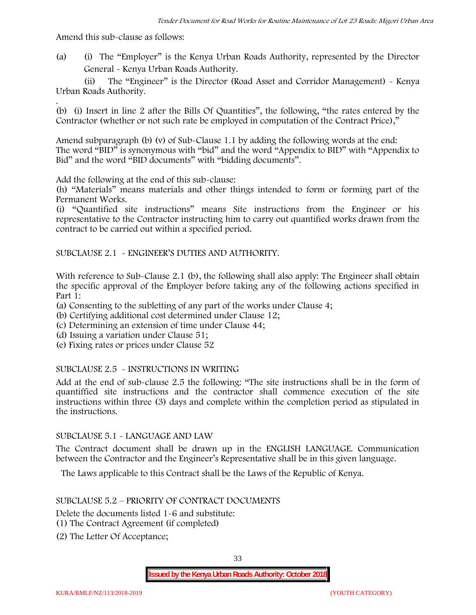Amend this sub-clause as follows:

(a) (i) The "Employer" is the Kenya Urban Roads Authority, represented by the Director General - Kenya Urban Roads Authority.

(ii) The "Engineer" is the Director (Road Asset and Corridor Management) - Kenya Urban Roads Authority.

.(b) (i) Insert in line 2 after the Bills Of Quantities", the following, "the rates entered by the Contractor (whether or not such rate be employed in computation of the Contract Price),"

Amend subparagraph (b) (v) of Sub-Clause 1.1 by adding the following words at the end: The word "BID" is synonymous with "bid" and the word "Appendix to BID" with "Appendix to Bid" and the word "BID documents" with "bidding documents".

Add the following at the end of this sub-clause:

(h) "Materials" means materials and other things intended to form or forming part of the Permanent Works.

(i) "Quantified site instructions" means Site instructions from the Engineer or his representative to the Contractor instructing him to carry out quantified works drawn from the contract to be carried out within a specified period.

SUBCLAUSE 2.1 - ENGINEER'S DUTIES AND AUTHORITY.

With reference to Sub-Clause 2.1 (b), the following shall also apply: The Engineer shall obtain the specific approval of the Employer before taking any of the following actions specified in Part 1:

(a) Consenting to the subletting of any part of the works under Clause 4;

- (b) Certifying additional cost determined under Clause 12;
- (c) Determining an extension of time under Clause 44;
- (d) Issuing a variation under Clause 51;
- (e) Fixing rates or prices under Clause 52

### SUBCLAUSE 2.5 - INSTRUCTIONS IN WRITING

Add at the end of sub-clause 2.5 the following: "The site instructions shall be in the form of quantiffied site instructions and the contractor shall commence execution of the site instructions within three (3) days and complete within the completion period as stipulated in the instructions.

#### SUBCLAUSE 5.1 - LANGUAGE AND LAW

The Contract document shall be drawn up in the ENGLISH LANGUAGE. Communication between the Contractor and the Engineer's Representative shall be in this given language.

The Laws applicable to this Contract shall be the Laws of the Republic of Kenya.

#### SUBCLAUSE 5.2 – PRIORITY OF CONTRACT DOCUMENTS

Delete the documents listed 1-6 and substitute:

- (1) The Contract Agreement (if completed)
- (2) The Letter Of Acceptance;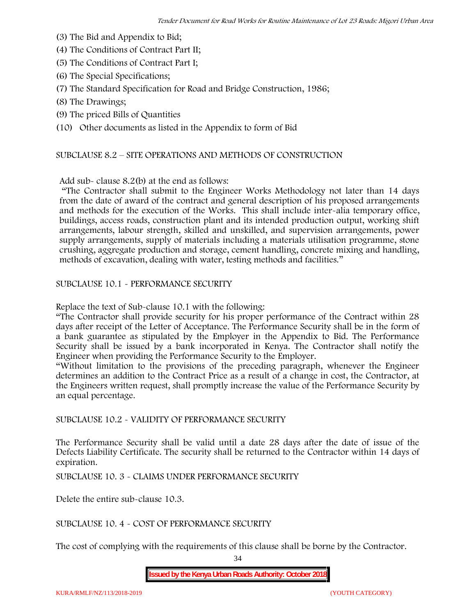- (3) The Bid and Appendix to Bid;
- (4) The Conditions of Contract Part II;
- (5) The Conditions of Contract Part I;
- (6) The Special Specifications;
- (7) The Standard Specification for Road and Bridge Construction, 1986;
- (8) The Drawings;
- (9) The priced Bills of Quantities

(10) Other documents as listed in the Appendix to form of Bid

#### SUBCLAUSE 8.2 – SITE OPERATIONS AND METHODS OF CONSTRUCTION

Add sub- clause 8.2(b) at the end as follows:

"The Contractor shall submit to the Engineer Works Methodology not later than 14 days from the date of award of the contract and general description of his proposed arrangements and methods for the execution of the Works. This shall include inter-alia temporary office, buildings, access roads, construction plant and its intended production output, working shift arrangements, labour strength, skilled and unskilled, and supervision arrangements, power supply arrangements, supply of materials including a materials utilisation programme, stone crushing, aggregate production and storage, cement handling, concrete mixing and handling, methods of excavation, dealing with water, testing methods and facilities."

SUBCLAUSE 10.1 - PERFORMANCE SECURITY

Replace the text of Sub-clause 10.1 with the following:

"The Contractor shall provide security for his proper performance of the Contract within 28 days after receipt of the Letter of Acceptance. The Performance Security shall be in the form of a bank guarantee as stipulated by the Employer in the Appendix to Bid. The Performance Security shall be issued by a bank incorporated in Kenya. The Contractor shall notify the Engineer when providing the Performance Security to the Employer.

"Without limitation to the provisions of the preceding paragraph, whenever the Engineer determines an addition to the Contract Price as a result of a change in cost, the Contractor, at the Engineers written request, shall promptly increase the value of the Performance Security by an equal percentage.

SUBCLAUSE 10.2 - VALIDITY OF PERFORMANCE SECURITY

The Performance Security shall be valid until a date 28 days after the date of issue of the Defects Liability Certificate. The security shall be returned to the Contractor within 14 days of expiration.

SUBCLAUSE 10. 3 - CLAIMS UNDER PERFORMANCE SECURITY

Delete the entire sub-clause 10.3.

SUBCLAUSE 10. 4 - COST OF PERFORMANCE SECURITY

The cost of complying with the requirements of this clause shall be borne by the Contractor.

34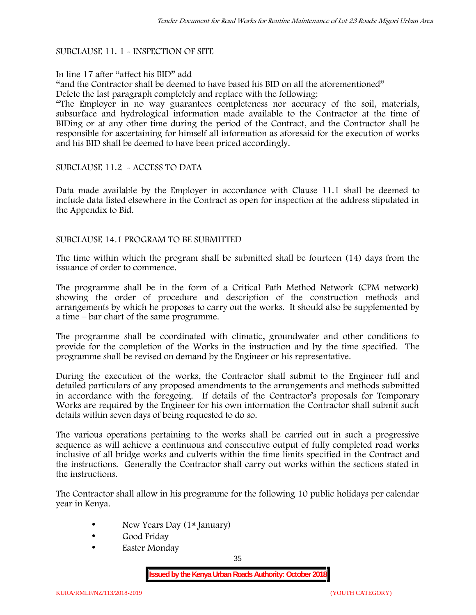#### SUBCLAUSE 11. 1 - INSPECTION OF SITE

#### In line 17 after "affect his BID" add

"and the Contractor shall be deemed to have based his BID on all the aforementioned" Delete the last paragraph completely and replace with the following:

"The Employer in no way guarantees completeness nor accuracy of the soil, materials, subsurface and hydrological information made available to the Contractor at the time of BIDing or at any other time during the period of the Contract, and the Contractor shall be responsible for ascertaining for himself all information as aforesaid for the execution of works and his BID shall be deemed to have been priced accordingly.

#### SUBCLAUSE 11.2 - ACCESS TO DATA

Data made available by the Employer in accordance with Clause 11.1 shall be deemed to include data listed elsewhere in the Contract as open for inspection at the address stipulated in the Appendix to Bid.

#### SUBCLAUSE 14.1 PROGRAM TO BE SUBMITTED

The time within which the program shall be submitted shall be fourteen (14) days from the issuance of order to commence**.**

The programme shall be in the form of a Critical Path Method Network (CPM network) showing the order of procedure and description of the construction methods and arrangements by which he proposes to carry out the works. It should also be supplemented by a time – bar chart of the same programme.

The programme shall be coordinated with climatic, groundwater and other conditions to provide for the completion of the Works in the instruction and by the time specified. The programme shall be revised on demand by the Engineer or his representative.

During the execution of the works, the Contractor shall submit to the Engineer full and detailed particulars of any proposed amendments to the arrangements and methods submitted in accordance with the foregoing. If details of the Contractor's proposals for Temporary Works are required by the Engineer for his own information the Contractor shall submit such details within seven days of being requested to do so.

The various operations pertaining to the works shall be carried out in such a progressive sequence as will achieve a continuous and consecutive output of fully completed road works inclusive of all bridge works and culverts within the time limits specified in the Contract and the instructions. Generally the Contractor shall carry out works within the sections stated in the instructions.

The Contractor shall allow in his programme for the following 10 public holidays per calendar year in Kenya.

- New Years Day (1<sup>st</sup> January)
- Good Friday
- Easter Monday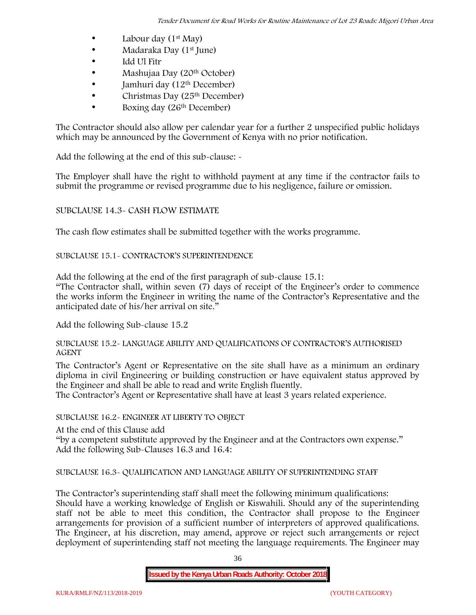- Labour day  $(1<sup>st</sup>$  May)
- Madaraka Day (1<sup>st</sup> June)
- Idd Ul Fitr
- Mashujaa Day (20<sup>th</sup> October)
- $\bullet$  Jamhuri day (12<sup>th</sup> December)
- $\bullet$  Christmas Day (25<sup>th</sup> December)
- Boxing day (26th December)

The Contractor should also allow per calendar year for a further 2 unspecified public holidays which may be announced by the Government of Kenya with no prior notification.

Add the following at the end of this sub-clause: -

The Employer shall have the right to withhold payment at any time if the contractor fails to submit the programme or revised programme due to his negligence, failure or omission.

# SUBCLAUSE 14.3- CASH FLOW ESTIMATE

The cash flow estimates shall be submitted together with the works programme.

# SUBCLAUSE 15.1- CONTRACTOR'S SUPERINTENDENCE

Add the following at the end of the first paragraph of sub-clause 15.1:

"The Contractor shall, within seven (7) days of receipt of the Engineer's order to commence the works inform the Engineer in writing the name of the Contractor's Representative and the anticipated date of his/her arrival on site."

Add the following Sub-clause 15.2

### SUBCLAUSE 15.2- LANGUAGE ABILITY AND QUALIFICATIONS OF CONTRACTOR'S AUTHORISED AGENT

The Contractor's Agent or Representative on the site shall have as a minimum an ordinary diploma in civil Engineering or building construction or have equivalent status approved by the Engineer and shall be able to read and write English fluently.

The Contractor's Agent or Representative shall have at least 3 years related experience.

### SUBCLAUSE 16.2- ENGINEER AT LIBERTY TO OBJECT

At the end of this Clause add

"by a competent substitute approved by the Engineer and at the Contractors own expense." Add the following Sub-Clauses 16.3 and 16.4:

# SUBCLAUSE 16.3- QUALIFICATION AND LANGUAGE ABILITY OF SUPERINTENDING STAFF

The Contractor's superintending staff shall meet the following minimum qualifications: Should have a working knowledge of English or Kiswahili. Should any of the superintending staff not be able to meet this condition, the Contractor shall propose to the Engineer arrangements for provision of a sufficient number of interpreters of approved qualifications. The Engineer, at his discretion, may amend, approve or reject such arrangements or reject deployment of superintending staff not meeting the language requirements. The Engineer may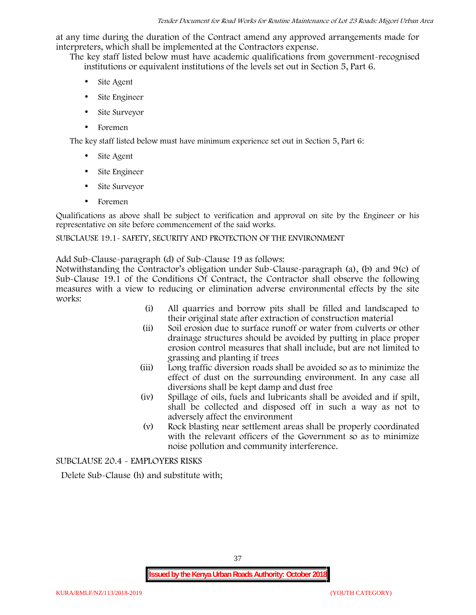at any time during the duration of the Contract amend any approved arrangements made for interpreters, which shall be implemented at the Contractors expense.

The key staff listed below must have academic qualifications from government-recognised institutions or equivalent institutions of the levels set out in Section 5, Part 6.

- Site Agent
- Site Engineer
- Site Surveyor
- Foremen

The key staff listed below must have minimum experience set out in Section 5, Part 6:

- Site Agent
- Site Engineer
- Site Surveyor
- Foremen

Qualifications as above shall be subject to verification and approval on site by the Engineer or his representative on site before commencement of the said works.

### SUBCLAUSE 19.1- SAFETY, SECURITY AND PROTECTION OF THE ENVIRONMENT

Add Sub-Clause-paragraph (d) of Sub-Clause 19 as follows:

Notwithstanding the Contractor's obligation under Sub-Clause-paragraph (a), (b) and 9(c) of Sub-Clause 19.1 of the Conditions Of Contract, the Contractor shall observe the following measures with a view to reducing or elimination adverse environmental effects by the site works:

- (i) All quarries and borrow pits shall be filled and landscaped to their original state after extraction of construction material
- (ii) Soil erosion due to surface runoff or water from culverts or other drainage structures should be avoided by putting in place proper erosion control measures that shall include, but are not limited to grassing and planting if trees
- (iii) Long traffic diversion roads shall be avoided so as to minimize the effect of dust on the surrounding environment. In any case all diversions shall be kept damp and dust free
- (iv) Spillage of oils, fuels and lubricants shall be avoided and if spilt, shall be collected and disposed off in such a way as not to adversely affect the environment
- (v) Rock blasting near settlement areas shall be properly coordinated with the relevant officers of the Government so as to minimize noise pollution and community interference.

SUBCLAUSE 20.4 - EMPLOYERS RISKS

Delete Sub-Clause (h) and substitute with;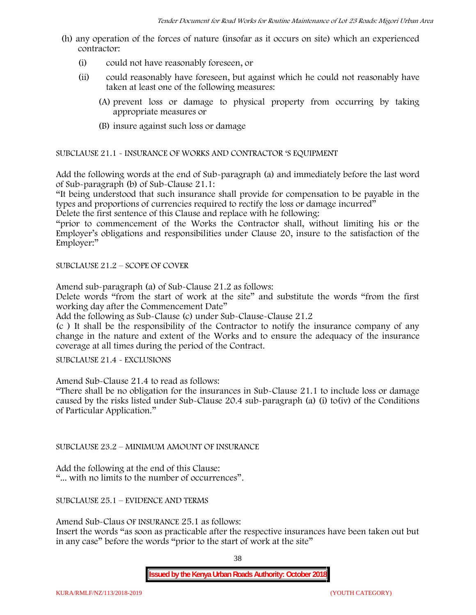- (h) any operation of the forces of nature (insofar as it occurs on site) which an experienced contractor:
	- (i) could not have reasonably foreseen, or
	- (ii) could reasonably have foreseen, but against which he could not reasonably have taken at least one of the following measures:
		- (A) prevent loss or damage to physical property from occurring by taking appropriate measures or
		- (B) insure against such loss or damage

SUBCLAUSE 21.1 - INSURANCE OF WORKS AND CONTRACTOR 'S EQUIPMENT

Add the following words at the end of Sub-paragraph (a) and immediately before the last word of Sub-paragraph (b) of Sub-Clause 21.1:

"It being understood that such insurance shall provide for compensation to be payable in the types and proportions of currencies required to rectify the loss or damage incurred"

Delete the first sentence of this Clause and replace with he following:

"prior to commencement of the Works the Contractor shall, without limiting his or the Employer's obligations and responsibilities under Clause 20, insure to the satisfaction of the Employer:"

SUBCLAUSE 21.2 – SCOPE OF COVER

Amend sub-paragraph (a) of Sub-Clause 21.2 as follows:

Delete words "from the start of work at the site" and substitute the words "from the first working day after the Commencement Date"

Add the following as Sub-Clause (c) under Sub-Clause-Clause 21.2

(c ) It shall be the responsibility of the Contractor to notify the insurance company of any change in the nature and extent of the Works and to ensure the adequacy of the insurance coverage at all times during the period of the Contract.

SUBCLAUSE 21.4 - EXCLUSIONS

Amend Sub-Clause 21.4 to read as follows:

"There shall be no obligation for the insurances in Sub-Clause 21.1 to include loss or damage caused by the risks listed under Sub-Clause 20.4 sub-paragraph (a) (i) to(iv) of the Conditions of Particular Application."

SUBCLAUSE 23.2 – MINIMUM AMOUNT OF INSURANCE

Add the following at the end of this Clause: "... with no limits to the number of occurrences".

SUBCLAUSE 25.1 – EVIDENCE AND TERMS

Amend Sub-Claus OF INSURANCE 25.1 as follows:

Insert the words "as soon as practicable after the respective insurances have been taken out but in any case" before the words "prior to the start of work at the site"

38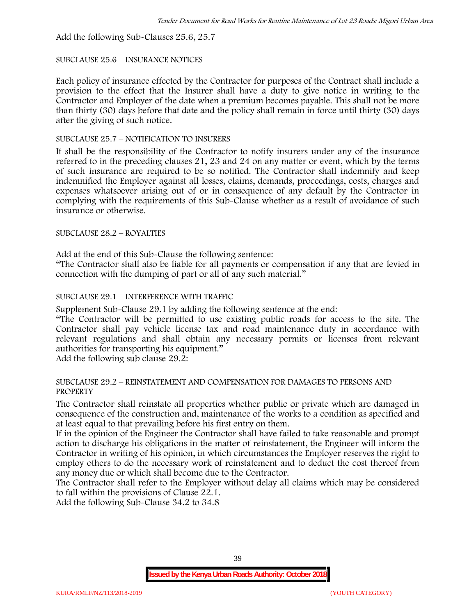Add the following Sub-Clauses 25.6, 25.7

### SUBCLAUSE 25.6 – INSURANCE NOTICES

Each policy of insurance effected by the Contractor for purposes of the Contract shall include a provision to the effect that the Insurer shall have a duty to give notice in writing to the Contractor and Employer of the date when a premium becomes payable. This shall not be more than thirty (30) days before that date and the policy shall remain in force until thirty (30) days after the giving of such notice.

### SUBCLAUSE 25.7 – NOTIFICATION TO INSURERS

It shall be the responsibility of the Contractor to notify insurers under any of the insurance referred to in the preceding clauses 21, 23 and 24 on any matter or event, which by the terms of such insurance are required to be so notified. The Contractor shall indemnify and keep indemnified the Employer against all losses, claims, demands, proceedings, costs, charges and expenses whatsoever arising out of or in consequence of any default by the Contractor in complying with the requirements of this Sub-Clause whether as a result of avoidance of such insurance or otherwise.

### SUBCLAUSE 28.2 – ROYALTIES

Add at the end of this Sub-Clause the following sentence:

"The Contractor shall also be liable for all payments or compensation if any that are levied in connection with the dumping of part or all of any such material."

# SUBCLAUSE 29.1 – INTERFERENCE WITH TRAFFIC

Supplement Sub-Clause 29.1 by adding the following sentence at the end:

"The Contractor will be permitted to use existing public roads for access to the site. The Contractor shall pay vehicle license tax and road maintenance duty in accordance with relevant regulations and shall obtain any necessary permits or licenses from relevant authorities for transporting his equipment."

Add the following sub clause 29.2:

#### SUBCLAUSE 29.2 – REINSTATEMENT AND COMPENSATION FOR DAMAGES TO PERSONS AND PROPERTY

The Contractor shall reinstate all properties whether public or private which are damaged in consequence of the construction and, maintenance of the works to a condition as specified and at least equal to that prevailing before his first entry on them.

If in the opinion of the Engineer the Contractor shall have failed to take reasonable and prompt action to discharge his obligations in the matter of reinstatement, the Engineer will inform the Contractor in writing of his opinion, in which circumstances the Employer reserves the right to employ others to do the necessary work of reinstatement and to deduct the cost thereof from any money due or which shall become due to the Contractor.

The Contractor shall refer to the Employer without delay all claims which may be considered to fall within the provisions of Clause 22.1.

Add the following Sub-Clause 34.2 to 34.8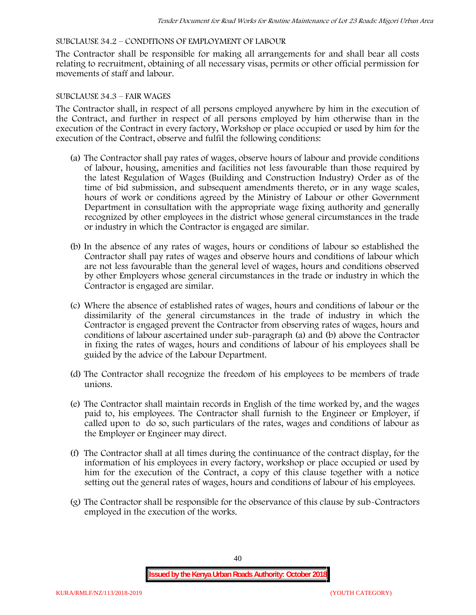### SUBCLAUSE 34.2 – CONDITIONS OF EMPLOYMENT OF LABOUR

The Contractor shall be responsible for making all arrangements for and shall bear all costs relating to recruitment, obtaining of all necessary visas, permits or other official permission for movements of staff and labour.

### SUBCLAUSE 34.3 – FAIR WAGES

The Contractor shall, in respect of all persons employed anywhere by him in the execution of the Contract, and further in respect of all persons employed by him otherwise than in the execution of the Contract in every factory, Workshop or place occupied or used by him for the execution of the Contract, observe and fulfil the following conditions:

- (a) The Contractor shall pay rates of wages, observe hours of labour and provide conditions of labour, housing, amenities and facilities not less favourable than those required by the latest Regulation of Wages (Building and Construction Industry) Order as of the time of bid submission, and subsequent amendments thereto, or in any wage scales, hours of work or conditions agreed by the Ministry of Labour or other Government Department in consultation with the appropriate wage fixing authority and generally recognized by other employees in the district whose general circumstances in the trade or industry in which the Contractor is engaged are similar.
- (b) In the absence of any rates of wages, hours or conditions of labour so established the Contractor shall pay rates of wages and observe hours and conditions of labour which are not less favourable than the general level of wages, hours and conditions observed by other Employers whose general circumstances in the trade or industry in which the Contractor is engaged are similar.
- (c) Where the absence of established rates of wages, hours and conditions of labour or the dissimilarity of the general circumstances in the trade of industry in which the Contractor is engaged prevent the Contractor from observing rates of wages, hours and conditions of labour ascertained under sub-paragraph (a) and (b) above the Contractor in fixing the rates of wages, hours and conditions of labour of his employees shall be guided by the advice of the Labour Department.
- (d) The Contractor shall recognize the freedom of his employees to be members of trade unions.
- (e) The Contractor shall maintain records in English of the time worked by, and the wages paid to, his employees. The Contractor shall furnish to the Engineer or Employer, if called upon to do so, such particulars of the rates, wages and conditions of labour as the Employer or Engineer may direct.
- (f) The Contractor shall at all times during the continuance of the contract display, for the information of his employees in every factory, workshop or place occupied or used by him for the execution of the Contract, a copy of this clause together with a notice setting out the general rates of wages, hours and conditions of labour of his employees.
- (g) The Contractor shall be responsible for the observance of this clause by sub-Contractors employed in the execution of the works.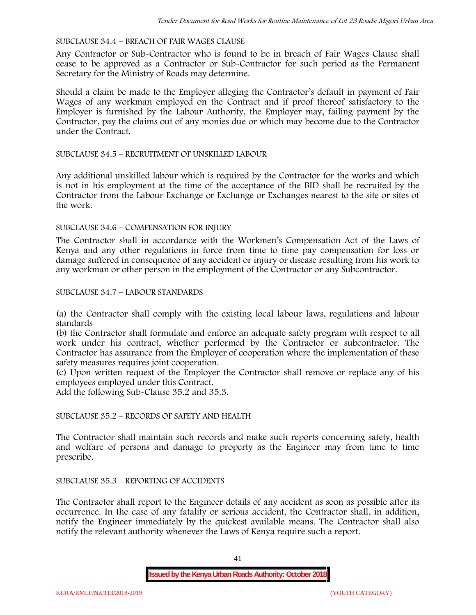#### SUBCLAUSE 34.4 – BREACH OF FAIR WAGES CLAUSE

Any Contractor or Sub-Contractor who is found to be in breach of Fair Wages Clause shall cease to be approved as a Contractor or Sub-Contractor for such period as the Permanent Secretary for the Ministry of Roads may determine.

Should a claim be made to the Employer alleging the Contractor's default in payment of Fair Wages of any workman employed on the Contract and if proof thereof satisfactory to the Employer is furnished by the Labour Authority, the Employer may, failing payment by the Contractor, pay the claims out of any monies due or which may become due to the Contractor under the Contract.

### SUBCLAUSE 34.5 – RECRUITMENT OF UNSKILLED LABOUR

Any additional unskilled labour which is required by the Contractor for the works and which is not in his employment at the time of the acceptance of the BID shall be recruited by the Contractor from the Labour Exchange or Exchange or Exchanges nearest to the site or sites of the work.

### SUBCLAUSE 34.6 – COMPENSATION FOR INJURY

The Contractor shall in accordance with the Workmen's Compensation Act of the Laws of Kenya and any other regulations in force from time to time pay compensation for loss or damage suffered in consequence of any accident or injury or disease resulting from his work to any workman or other person in the employment of the Contractor or any Subcontractor.

### SUBCLAUSE 34.7 – LABOUR STANDARDS

(a) the Contractor shall comply with the existing local labour laws, regulations and labour standards

(b) the Contractor shall formulate and enforce an adequate safety program with respect to all work under his contract, whether performed by the Contractor or subcontractor. The Contractor has assurance from the Employer of cooperation where the implementation of these safety measures requires joint cooperation.

(c) Upon written request of the Employer the Contractor shall remove or replace any of his employees employed under this Contract.

Add the following Sub-Clause 35.2 and 35.3.

# SUBCLAUSE 35.2 – RECORDS OF SAFETY AND HEALTH

The Contractor shall maintain such records and make such reports concerning safety, health and welfare of persons and damage to property as the Engineer may from time to time prescribe.

#### SUBCLAUSE 35.3 – REPORTING OF ACCIDENTS

The Contractor shall report to the Engineer details of any accident as soon as possible after its occurrence. In the case of any fatality or serious accident, the Contractor shall, in addition, notify the Engineer immediately by the quickest available means. The Contractor shall also notify the relevant authority whenever the Laws of Kenya require such a report.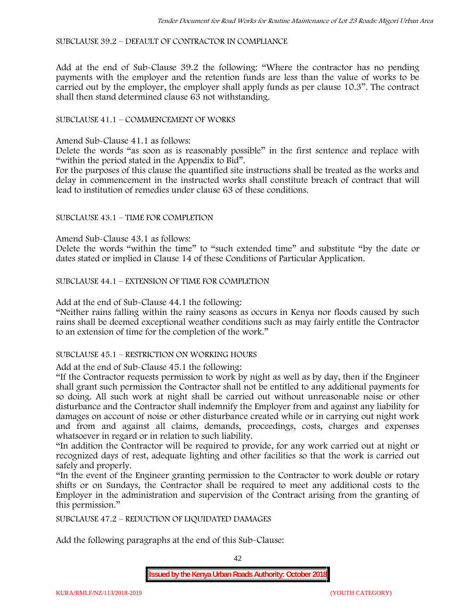SUBCLAUSE 39.2 – DEFAULT OF CONTRACTOR IN COMPLIANCE

Add at the end of Sub-Clause 39.2 the following: "Where the contractor has no pending payments with the employer and the retention funds are less than the value of works to be carried out by the employer, the employer shall apply funds as per clause 10.3". The contract shall then stand determined clause 63 not withstanding.

# SUBCLAUSE 41.1 – COMMENCEMENT OF WORKS

Amend Sub-Clause 41.1 as follows:

Delete the words "as soon as is reasonably possible" in the first sentence and replace with "within the period stated in the Appendix to Bid".

For the purposes of this clause the quantified site instructions shall be treated as the works and delay in commencement in the instructed works shall constitute breach of contract that will lead to institution of remedies under clause 63 of these conditions.

### SUBCLAUSE 43.1 – TIME FOR COMPLETION

Amend Sub-Clause 43.1 as follows:

Delete the words "within the time" to "such extended time" and substitute "by the date or dates stated or implied in Clause 14 of these Conditions of Particular Application.

SUBCLAUSE 44.1 – EXTENSION OF TIME FOR COMPLETION

Add at the end of Sub-Clause 44.1 the following:

"Neither rains falling within the rainy seasons as occurs in Kenya nor floods caused by such rains shall be deemed exceptional weather conditions such as may fairly entitle the Contractor to an extension of time for the completion of the work."

#### SUBCLAUSE 45.1 – RESTRICTION ON WORKING HOURS

Add at the end of Sub-Clause 45.1 the following:

"If the Contractor requests permission to work by night as well as by day, then if the Engineer shall grant such permission the Contractor shall not be entitled to any additional payments for so doing. All such work at night shall be carried out without unreasonable noise or other disturbance and the Contractor shall indemnify the Employer from and against any liability for damages on account of noise or other disturbance created while or in carrying out night work and from and against all claims, demands, proceedings, costs, charges and expenses whatsoever in regard or in relation to such liability.

"In addition the Contractor will be required to provide, for any work carried out at night or recognized days of rest, adequate lighting and other facilities so that the work is carried out safely and properly.

"In the event of the Engineer granting permission to the Contractor to work double or rotary shifts or on Sundays, the Contractor shall be required to meet any additional costs to the Employer in the administration and supervision of the Contract arising from the granting of this permission."

SUBCLAUSE 47.2 – REDUCTION OF LIQUIDATED DAMAGES

Add the following paragraphs at the end of this Sub-Clause:

42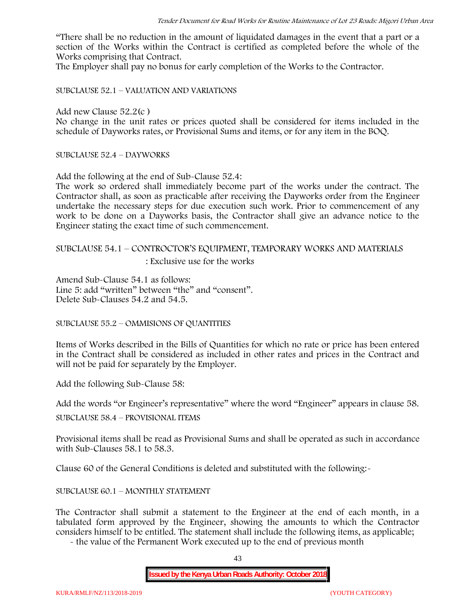"There shall be no reduction in the amount of liquidated damages in the event that a part or a section of the Works within the Contract is certified as completed before the whole of the Works comprising that Contract.

The Employer shall pay no bonus for early completion of the Works to the Contractor.

SUBCLAUSE 52.1 – VALUATION AND VARIATIONS

Add new Clause 52.2(c )

No change in the unit rates or prices quoted shall be considered for items included in the schedule of Dayworks rates, or Provisional Sums and items, or for any item in the BOQ.

SUBCLAUSE 52.4 – DAYWORKS

Add the following at the end of Sub-Clause 52.4:

The work so ordered shall immediately become part of the works under the contract. The Contractor shall, as soon as practicable after receiving the Dayworks order from the Engineer undertake the necessary steps for due execution such work. Prior to commencement of any work to be done on a Dayworks basis, the Contractor shall give an advance notice to the Engineer stating the exact time of such commencement.

# SUBCLAUSE 54.1 – CONTROCTOR'S EQUIPMENT, TEMPORARY WORKS AND MATERIALS

: Exclusive use for the works

Amend Sub-Clause 54.1 as follows: Line 5: add "written" between "the" and "consent". Delete Sub-Clauses 54.2 and 54.5.

SUBCLAUSE 55.2 – OMMISIONS OF QUANTITIES

Items of Works described in the Bills of Quantities for which no rate or price has been entered in the Contract shall be considered as included in other rates and prices in the Contract and will not be paid for separately by the Employer.

Add the following Sub-Clause 58:

Add the words "or Engineer's representative" where the word "Engineer" appears in clause 58.

SUBCLAUSE 58.4 – PROVISIONAL ITEMS

Provisional items shall be read as Provisional Sums and shall be operated as such in accordance with Sub-Clauses 58.1 to 58.3.

Clause 60 of the General Conditions is deleted and substituted with the following:-

### SUBCLAUSE 60.1 – MONTHLY STATEMENT

The Contractor shall submit a statement to the Engineer at the end of each month, in a tabulated form approved by the Engineer, showing the amounts to which the Contractor considers himself to be entitled. The statement shall include the following items, as applicable;

- the value of the Permanent Work executed up to the end of previous month

43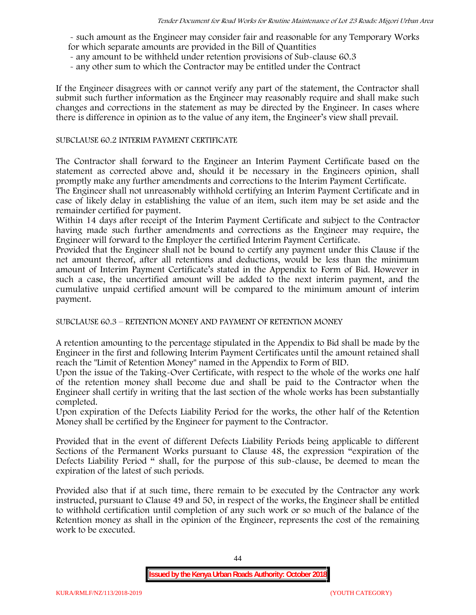- such amount as the Engineer may consider fair and reasonable for any Temporary Works for which separate amounts are provided in the Bill of Quantities

- any amount to be withheld under retention provisions of Sub-clause 60.3
- any other sum to which the Contractor may be entitled under the Contract

If the Engineer disagrees with or cannot verify any part of the statement, the Contractor shall submit such further information as the Engineer may reasonably require and shall make such changes and corrections in the statement as may be directed by the Engineer. In cases where there is difference in opinion as to the value of any item, the Engineer's view shall prevail.

#### SUBCLAUSE 60.2 INTERIM PAYMENT CERTIFICATE

The Contractor shall forward to the Engineer an Interim Payment Certificate based on the statement as corrected above and, should it be necessary in the Engineers opinion, shall promptly make any further amendments and corrections to the Interim Payment Certificate.

The Engineer shall not unreasonably withhold certifying an Interim Payment Certificate and in case of likely delay in establishing the value of an item, such item may be set aside and the remainder certified for payment.

Within 14 days after receipt of the Interim Payment Certificate and subject to the Contractor having made such further amendments and corrections as the Engineer may require, the Engineer will forward to the Employer the certified Interim Payment Certificate.

Provided that the Engineer shall not be bound to certify any payment under this Clause if the net amount thereof, after all retentions and deductions, would be less than the minimum amount of Interim Payment Certificate's stated in the Appendix to Form of Bid. However in such a case, the uncertified amount will be added to the next interim payment, and the cumulative unpaid certified amount will be compared to the minimum amount of interim payment.

SUBCLAUSE 60.3 – RETENTION MONEY AND PAYMENT OF RETENTION MONEY

A retention amounting to the percentage stipulated in the Appendix to Bid shall be made by the Engineer in the first and following Interim Payment Certificates until the amount retained shall reach the "Limit of Retention Money" named in the Appendix to Form of BID.

Upon the issue of the Taking-Over Certificate, with respect to the whole of the works one half of the retention money shall become due and shall be paid to the Contractor when the Engineer shall certify in writing that the last section of the whole works has been substantially completed.

Upon expiration of the Defects Liability Period for the works, the other half of the Retention Money shall be certified by the Engineer for payment to the Contractor.

Provided that in the event of different Defects Liability Periods being applicable to different Sections of the Permanent Works pursuant to Clause 48, the expression "expiration of the Defects Liability Period " shall, for the purpose of this sub-clause, be deemed to mean the expiration of the latest of such periods.

Provided also that if at such time, there remain to be executed by the Contractor any work instructed, pursuant to Clause 49 and 50, in respect of the works, the Engineer shall be entitled to withhold certification until completion of any such work or so much of the balance of the Retention money as shall in the opinion of the Engineer, represents the cost of the remaining work to be executed.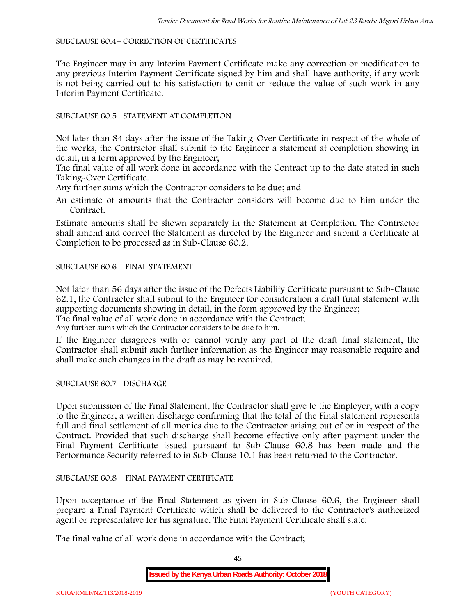#### SUBCLAUSE 60.4– CORRECTION OF CERTIFICATES

The Engineer may in any Interim Payment Certificate make any correction or modification to any previous Interim Payment Certificate signed by him and shall have authority, if any work is not being carried out to his satisfaction to omit or reduce the value of such work in any Interim Payment Certificate.

### SUBCLAUSE 60.5– STATEMENT AT COMPLETION

Not later than 84 days after the issue of the Taking-Over Certificate in respect of the whole of the works, the Contractor shall submit to the Engineer a statement at completion showing in detail, in a form approved by the Engineer;

The final value of all work done in accordance with the Contract up to the date stated in such Taking-Over Certificate.

Any further sums which the Contractor considers to be due; and

An estimate of amounts that the Contractor considers will become due to him under the Contract.

Estimate amounts shall be shown separately in the Statement at Completion. The Contractor shall amend and correct the Statement as directed by the Engineer and submit a Certificate at Completion to be processed as in Sub-Clause 60.2.

### SUBCLAUSE 60.6 – FINAL STATEMENT

Not later than 56 days after the issue of the Defects Liability Certificate pursuant to Sub-Clause 62.1, the Contractor shall submit to the Engineer for consideration a draft final statement with supporting documents showing in detail, in the form approved by the Engineer; The final value of all work done in accordance with the Contract;

Any further sums which the Contractor considers to be due to him.

If the Engineer disagrees with or cannot verify any part of the draft final statement, the Contractor shall submit such further information as the Engineer may reasonable require and shall make such changes in the draft as may be required.

SUBCLAUSE 60.7– DISCHARGE

Upon submission of the Final Statement, the Contractor shall give to the Employer, with a copy to the Engineer, a written discharge confirming that the total of the Final statement represents full and final settlement of all monies due to the Contractor arising out of or in respect of the Contract. Provided that such discharge shall become effective only after payment under the Final Payment Certificate issued pursuant to Sub-Clause 60.8 has been made and the Performance Security referred to in Sub-Clause 10.1 has been returned to the Contractor.

### SUBCLAUSE 60.8 – FINAL PAYMENT CERTIFICATE

Upon acceptance of the Final Statement as given in Sub-Clause 60.6, the Engineer shall prepare a Final Payment Certificate which shall be delivered to the Contractor's authorized agent or representative for his signature. The Final Payment Certificate shall state:

The final value of all work done in accordance with the Contract;

45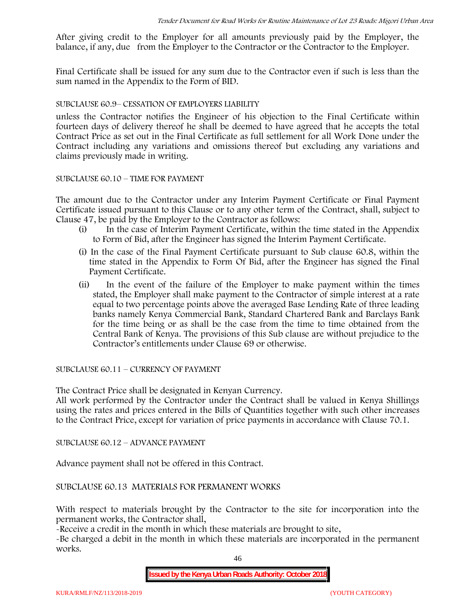After giving credit to the Employer for all amounts previously paid by the Employer, the balance, if any, due from the Employer to the Contractor or the Contractor to the Employer.

Final Certificate shall be issued for any sum due to the Contractor even if such is less than the sum named in the Appendix to the Form of BID.

### SUBCLAUSE 60.9– CESSATION OF EMPLOYERS LIABILITY

unless the Contractor notifies the Engineer of his objection to the Final Certificate within fourteen days of delivery thereof he shall be deemed to have agreed that he accepts the total Contract Price as set out in the Final Certificate as full settlement for all Work Done under the Contract including any variations and omissions thereof but excluding any variations and claims previously made in writing.

### SUBCLAUSE 60.10 – TIME FOR PAYMENT

The amount due to the Contractor under any Interim Payment Certificate or Final Payment Certificate issued pursuant to this Clause or to any other term of the Contract, shall, subject to Clause 47, be paid by the Employer to the Contractor as follows:

- (i) In the case of Interim Payment Certificate, within the time stated in the Appendix to Form of Bid, after the Engineer has signed the Interim Payment Certificate.
- (i) In the case of the Final Payment Certificate pursuant to Sub clause 60.8, within the time stated in the Appendix to Form Of Bid, after the Engineer has signed the Final Payment Certificate.
- (ii) In the event of the failure of the Employer to make payment within the times stated, the Employer shall make payment to the Contractor of simple interest at a rate equal to two percentage points above the averaged Base Lending Rate of three leading banks namely Kenya Commercial Bank, Standard Chartered Bank and Barclays Bank for the time being or as shall be the case from the time to time obtained from the Central Bank of Kenya. The provisions of this Sub clause are without prejudice to the Contractor's entitlements under Clause 69 or otherwise.

SUBCLAUSE 60.11 – CURRENCY OF PAYMENT

The Contract Price shall be designated in Kenyan Currency.

All work performed by the Contractor under the Contract shall be valued in Kenya Shillings using the rates and prices entered in the Bills of Quantities together with such other increases to the Contract Price, except for variation of price payments in accordance with Clause 70.1.

SUBCLAUSE 60.12 – ADVANCE PAYMENT

Advance payment shall not be offered in this Contract.

SUBCLAUSE 60.13 MATERIALS FOR PERMANENT WORKS

With respect to materials brought by the Contractor to the site for incorporation into the permanent works, the Contractor shall,

-Receive a credit in the month in which these materials are brought to site,

-Be charged a debit in the month in which these materials are incorporated in the permanent works.

46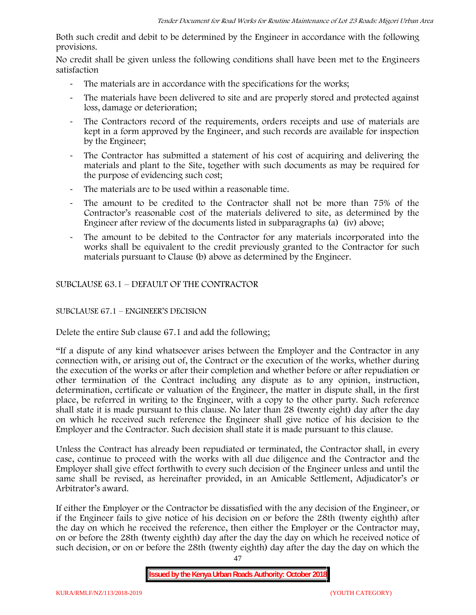Both such credit and debit to be determined by the Engineer in accordance with the following provisions.

No credit shall be given unless the following conditions shall have been met to the Engineers satisfaction

- The materials are in accordance with the specifications for the works;
- The materials have been delivered to site and are properly stored and protected against loss, damage or deterioration;
- The Contractors record of the requirements, orders receipts and use of materials are kept in a form approved by the Engineer, and such records are available for inspection by the Engineer;
- The Contractor has submitted a statement of his cost of acquiring and delivering the materials and plant to the Site, together with such documents as may be required for the purpose of evidencing such cost;
- The materials are to be used within a reasonable time.
- The amount to be credited to the Contractor shall not be more than 75% of the Contractor's reasonable cost of the materials delivered to site, as determined by the Engineer after review of the documents listed in subparagraphs (a) (iv) above;
- The amount to be debited to the Contractor for any materials incorporated into the works shall be equivalent to the credit previously granted to the Contractor for such materials pursuant to Clause (b) above as determined by the Engineer.

SUBCLAUSE 63.1 – DEFAULT OF THE CONTRACTOR

### SUBCLAUSE 67.1 – ENGINEER'S DECISION

Delete the entire Sub clause 67.1 and add the following;

"If a dispute of any kind whatsoever arises between the Employer and the Contractor in any connection with, or arising out of, the Contract or the execution of the works, whether during the execution of the works or after their completion and whether before or after repudiation or other termination of the Contract including any dispute as to any opinion, instruction, determination, certificate or valuation of the Engineer, the matter in dispute shall, in the first place, be referred in writing to the Engineer, with a copy to the other party. Such reference shall state it is made pursuant to this clause. No later than 28 (twenty eight) day after the day on which he received such reference the Engineer shall give notice of his decision to the Employer and the Contractor. Such decision shall state it is made pursuant to this clause.

Unless the Contract has already been repudiated or terminated, the Contractor shall, in every case, continue to proceed with the works with all due diligence and the Contractor and the Employer shall give effect forthwith to every such decision of the Engineer unless and until the same shall be revised, as hereinafter provided, in an Amicable Settlement, Adjudicator's or Arbitrator's award.

If either the Employer or the Contractor be dissatisfied with the any decision of the Engineer, or if the Engineer fails to give notice of his decision on or before the 28th (twenty eighth) after the day on which he received the reference, then either the Employer or the Contractor may, on or before the 28th (twenty eighth) day after the day the day on which he received notice of such decision, or on or before the 28th (twenty eighth) day after the day the day on which the

**Issued by the Kenya Urban Roads Authority: October 2018**

47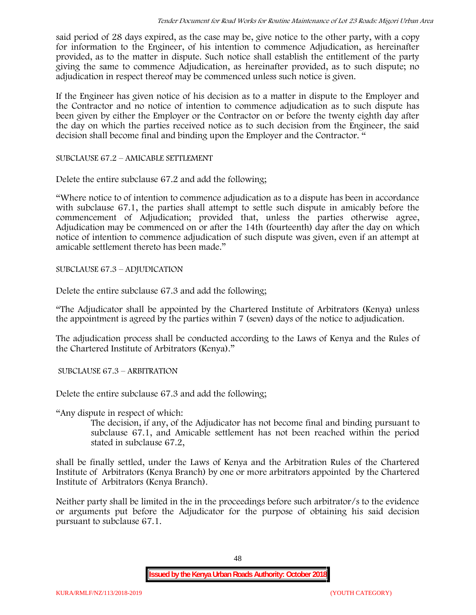said period of 28 days expired, as the case may be, give notice to the other party, with a copy for information to the Engineer, of his intention to commence Adjudication, as hereinafter provided, as to the matter in dispute. Such notice shall establish the entitlement of the party giving the same to commence Adjudication, as hereinafter provided, as to such dispute; no adjudication in respect thereof may be commenced unless such notice is given.

If the Engineer has given notice of his decision as to a matter in dispute to the Employer and the Contractor and no notice of intention to commence adjudication as to such dispute has been given by either the Employer or the Contractor on or before the twenty eighth day after the day on which the parties received notice as to such decision from the Engineer, the said decision shall become final and binding upon the Employer and the Contractor. "

SUBCLAUSE 67.2 – AMICABLE SETTLEMENT

Delete the entire subclause 67.2 and add the following;

"Where notice to of intention to commence adjudication as to a dispute has been in accordance with subclause 67.1, the parties shall attempt to settle such dispute in amicably before the commencement of Adjudication; provided that, unless the parties otherwise agree, Adjudication may be commenced on or after the 14th (fourteenth) day after the day on which notice of intention to commence adjudication of such dispute was given, even if an attempt at amicable settlement thereto has been made."

SUBCLAUSE 67.3 – ADJUDICATION

Delete the entire subclause 67.3 and add the following;

"The Adjudicator shall be appointed by the Chartered Institute of Arbitrators (Kenya) unless the appointment is agreed by the parties within 7 (seven) days of the notice to adjudication.

The adjudication process shall be conducted according to the Laws of Kenya and the Rules of the Chartered Institute of Arbitrators (Kenya)."

SUBCLAUSE 67.3 – ARBITRATION

Delete the entire subclause 67.3 and add the following;

"Any dispute in respect of which:

The decision, if any, of the Adjudicator has not become final and binding pursuant to subclause 67.1, and Amicable settlement has not been reached within the period stated in subclause 67.2,

shall be finally settled, under the Laws of Kenya and the Arbitration Rules of the Chartered Institute of Arbitrators (Kenya Branch) by one or more arbitrators appointed by the Chartered Institute of Arbitrators (Kenya Branch).

Neither party shall be limited in the in the proceedings before such arbitrator/s to the evidence or arguments put before the Adjudicator for the purpose of obtaining his said decision pursuant to subclause 67.1.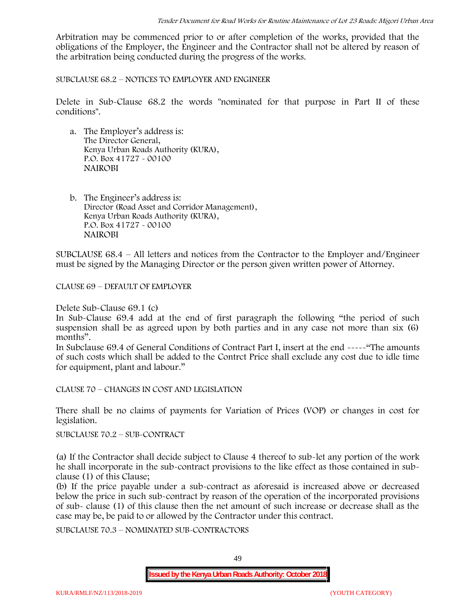Arbitration may be commenced prior to or after completion of the works, provided that the obligations of the Employer, the Engineer and the Contractor shall not be altered by reason of the arbitration being conducted during the progress of the works.

SUBCLAUSE 68.2 – NOTICES TO EMPLOYER AND ENGINEER

Delete in Sub-Clause 68.2 the words "nominated for that purpose in Part II of these conditions".

- a. The Employer's address is: The Director General, Kenya Urban Roads Authority (KURA), P.O. Box 41727 - 00100 **NAIROBI**
- b. The Engineer's address is: Director (Road Asset and Corridor Management), Kenya Urban Roads Authority (KURA), P.O. Box 41727 - 00100 **NAIROBI**

SUBCLAUSE 68.4 – All letters and notices from the Contractor to the Employer and/Engineer must be signed by the Managing Director or the person given written power of Attorney.

CLAUSE 69 – DEFAULT OF EMPLOYER

Delete Sub-Clause 69.1 (c)

In Sub-Clause 69.4 add at the end of first paragraph the following "the period of such suspension shall be as agreed upon by both parties and in any case not more than six (6) months".

In Subclause 69.4 of General Conditions of Contract Part I, insert at the end -----"The amounts of such costs which shall be added to the Contrct Price shall exclude any cost due to idle time for equipment, plant and labour."

CLAUSE 70 – CHANGES IN COST AND LEGISLATION

There shall be no claims of payments for Variation of Prices (VOP) or changes in cost for legislation.

SUBCLAUSE 70.2 – SUB-CONTRACT

(a) If the Contractor shall decide subject to Clause 4 thereof to sub-let any portion of the work he shall incorporate in the sub-contract provisions to the like effect as those contained in sub clause (1) of this Clause;

(b) If the price payable under a sub-contract as aforesaid is increased above or decreased below the price in such sub-contract by reason of the operation of the incorporated provisions of sub- clause (1) of this clause then the net amount of such increase or decrease shall as the case may be, be paid to or allowed by the Contractor under this contract.

SUBCLAUSE 70.3 – NOMINATED SUB-CONTRACTORS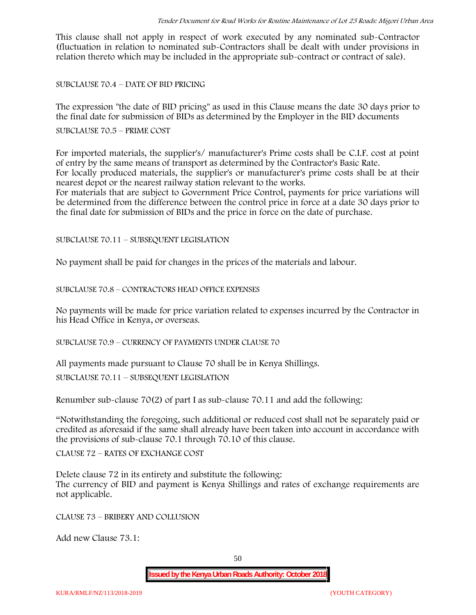This clause shall not apply in respect of work executed by any nominated sub-Contractor (fluctuation in relation to nominated sub-Contractors shall be dealt with under provisions in relation thereto which may be included in the appropriate sub-contract or contract of sale).

SUBCLAUSE 70.4 – DATE OF BID PRICING

The expression "the date of BID pricing" as used in this Clause means the date 30 days prior to the final date for submission of BIDs as determined by the Employer in the BID documents

SUBCLAUSE 70.5 – PRIME COST

For imported materials, the supplier's/ manufacturer's Prime costs shall be C.I.F. cost at point of entry by the same means of transport as determined by the Contractor's Basic Rate. For locally produced materials, the supplier's or manufacturer's prime costs shall be at their nearest depot or the nearest railway station relevant to the works.

For materials that are subject to Government Price Control, payments for price variations will be determined from the difference between the control price in force at a date 30 days prior to the final date for submission of BIDs and the price in force on the date of purchase.

SUBCLAUSE 70.11 – SUBSEQUENT LEGISLATION

No payment shall be paid for changes in the prices of the materials and labour.

SUBCLAUSE 70.8 – CONTRACTORS HEAD OFFICE EXPENSES

No payments will be made for price variation related to expenses incurred by the Contractor in his Head Office in Kenya, or overseas.

SUBCLAUSE 70.9 – CURRENCY OF PAYMENTS UNDER CLAUSE 70

All payments made pursuant to Clause 70 shall be in Kenya Shillings.

SUBCLAUSE 70.11 – SUBSEQUENT LEGISLATION

Renumber sub-clause 70(2) of part I as sub-clause 70.11 and add the following:

"Notwithstanding the foregoing, such additional or reduced cost shall not be separately paid or credited as aforesaid if the same shall already have been taken into account in accordance with the provisions of sub-clause 70.1 through 70.10 of this clause.

CLAUSE 72 – RATES OF EXCHANGE COST

Delete clause 72 in its entirety and substitute the following: The currency of BID and payment is Kenya Shillings and rates of exchange requirements are not applicable.

CLAUSE 73 – BRIBERY AND COLLUSION

Add new Clause 73.1: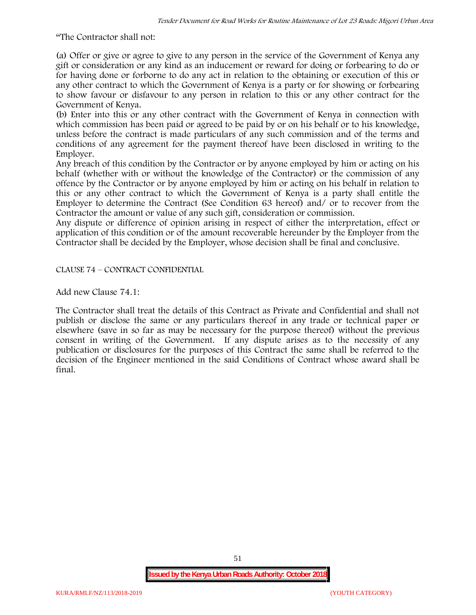"The Contractor shall not:

(a) Offer or give or agree to give to any person in the service of the Government of Kenya any gift or consideration or any kind as an inducement or reward for doing or forbearing to do or for having done or forborne to do any act in relation to the obtaining or execution of this or any other contract to which the Government of Kenya is a party or for showing or forbearing to show favour or disfavour to any person in relation to this or any other contract for the Government of Kenya.

(b) Enter into this or any other contract with the Government of Kenya in connection with which commission has been paid or agreed to be paid by or on his behalf or to his knowledge, unless before the contract is made particulars of any such commission and of the terms and conditions of any agreement for the payment thereof have been disclosed in writing to the Employer.

Any breach of this condition by the Contractor or by anyone employed by him or acting on his behalf (whether with or without the knowledge of the Contractor) or the commission of any offence by the Contractor or by anyone employed by him or acting on his behalf in relation to this or any other contract to which the Government of Kenya is a party shall entitle the Employer to determine the Contract (See Condition 63 hereof) and/ or to recover from the Contractor the amount or value of any such gift, consideration or commission.

Any dispute or difference of opinion arising in respect of either the interpretation, effect or application of this condition or of the amount recoverable hereunder by the Employer from the Contractor shall be decided by the Employer, whose decision shall be final and conclusive.

CLAUSE 74 – CONTRACT CONFIDENTIAL

Add new Clause 74.1:

The Contractor shall treat the details of this Contract as Private and Confidential and shall not publish or disclose the same or any particulars thereof in any trade or technical paper or elsewhere (save in so far as may be necessary for the purpose thereof) without the previous consent in writing of the Government. If any dispute arises as to the necessity of any publication or disclosures for the purposes of this Contract the same shall be referred to the decision of the Engineer mentioned in the said Conditions of Contract whose award shall be final.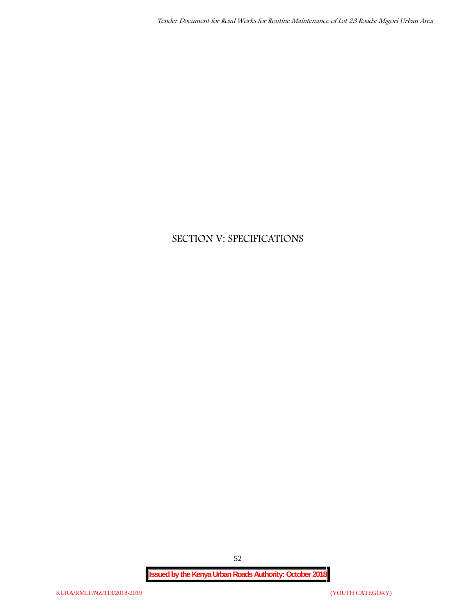# **SECTION V: SPECIFICATIONS**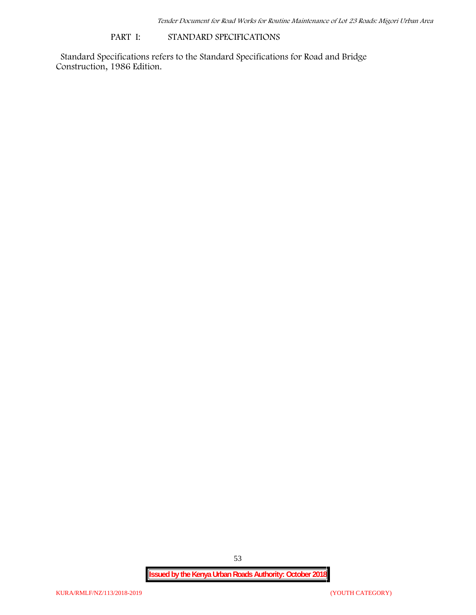### **PART I: STANDARD SPECIFICATIONS**

Standard Specifications refers to the Standard Specifications for Road and Bridge Construction, 1986 Edition.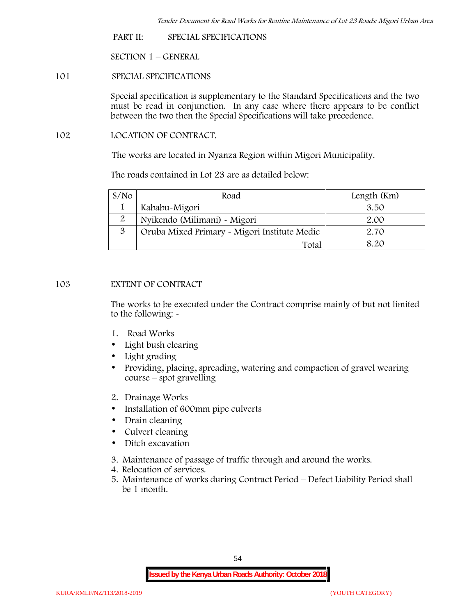**PART II: SPECIAL SPECIFICATIONS**

**SECTION 1 – GENERAL**

**101 SPECIAL SPECIFICATIONS**

Special specification is supplementary to the Standard Specifications and the two must be read in conjunction. In any case where there appears to be conflict between the two then the Special Specifications will take precedence.

**102 LOCATION OF CONTRACT.**

The works are located in Nyanza Region within Migori Municipality.

The roads contained in Lot 23 are as detailed below:

| S/N <sub>O</sub> | Road                                         | Length (Km) |
|------------------|----------------------------------------------|-------------|
|                  | Kababu-Migori                                | 3.50        |
|                  | Nyikendo (Milimani) - Migori                 | 2.00        |
| 3                | Oruba Mixed Primary - Migori Institute Medic | 2.70        |
|                  | Total                                        | 8 20        |

# **103 EXTENT OF CONTRACT**

The works to be executed under the Contract comprise mainly of but not limited to the following: -

- **1. Road Works**
- Light bush clearing
- Light grading
- Providing, placing, spreading, watering and compaction of gravel wearing course – spot gravelling
- **2. Drainage Works**
- Installation of 600mm pipe culverts
- Drain cleaning
- Culvert cleaning
- Ditch excavation
- **3. Maintenance of passage of traffic through and around the works.**
- **4. Relocation of services.**
- **5. Maintenance of works during Contract Period – Defect Liability Period shall be 1 month.**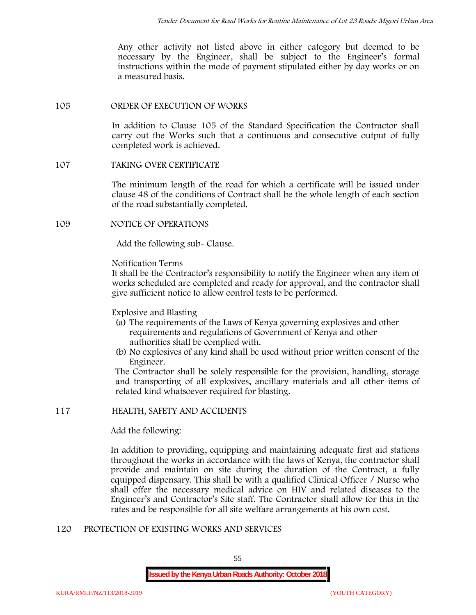Any other activity not listed above in either category but deemed to be necessary by the Engineer, shall be subject to the Engineer's formal instructions within the mode of payment stipulated either by day works or on a measured basis.

# **105 ORDER OF EXECUTION OF WORKS**

In addition to Clause 105 of the Standard Specification the Contractor shall carry out the Works such that a continuous and consecutive output of fully completed work is achieved.

## **107 TAKING OVER CERTIFICATE**

The minimum length of the road for which a certificate will be issued under clause 48 of the conditions of Contract shall be the whole length of each section of the road substantially completed.

### **109 NOTICE OF OPERATIONS**

Add the following sub- Clause.

### Notification Terms

It shall be the Contractor's responsibility to notify the Engineer when any item of works scheduled are completed and ready for approval, and the contractor shall give sufficient notice to allow control tests to be performed.

### Explosive and Blasting

- (a) The requirements of the Laws of Kenya governing explosives and other requirements and regulations of Government of Kenya and other authorities shall be complied with.
- (b) No explosives of any kind shall be used without prior written consent of the Engineer.

The Contractor shall be solely responsible for the provision, handling, storage and transporting of all explosives, ancillary materials and all other items of related kind whatsoever required for blasting.

### **117 HEALTH, SAFETY AND ACCIDENTS**

Add the following:

In addition to providing, equipping and maintaining adequate first aid stations throughout the works in accordance with the laws of Kenya, the contractor shall provide and maintain on site during the duration of the Contract, a fully equipped dispensary. This shall be with a qualified Clinical Officer / Nurse who shall offer the necessary medical advice on HIV and related diseases to the Engineer's and Contractor's Site staff. The Contractor shall allow for this in the rates and be responsible for all site welfare arrangements at his own cost.

### **120 PROTECTION OF EXISTING WORKS AND SERVICES**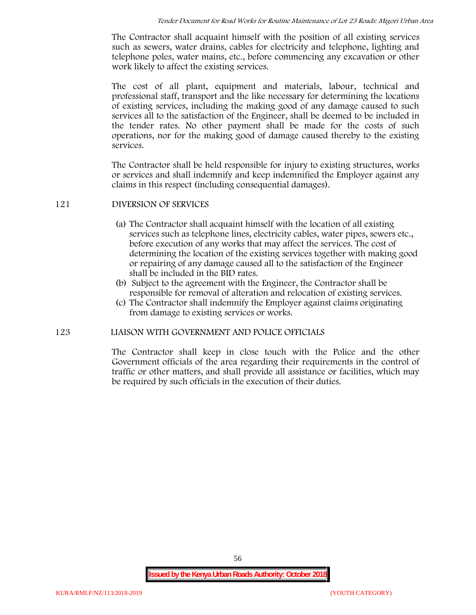The Contractor shall acquaint himself with the position of all existing services such as sewers, water drains, cables for electricity and telephone, lighting and telephone poles, water mains, etc., before commencing any excavation or other work likely to affect the existing services.

The cost of all plant, equipment and materials, labour, technical and professional staff, transport and the like necessary for determining the locations of existing services, including the making good of any damage caused to such services all to the satisfaction of the Engineer, shall be deemed to be included in the tender rates. No other payment shall be made for the costs of such operations, nor for the making good of damage caused thereby to the existing services.

The Contractor shall be held responsible for injury to existing structures, works or services and shall indemnify and keep indemnified the Employer against any claims in this respect (including consequential damages).

### **121 DIVERSION OF SERVICES**

- (a) The Contractor shall acquaint himself with the location of all existing services such as telephone lines, electricity cables, water pipes, sewers etc., before execution of any works that may affect the services. The cost of determining the location of the existing services together with making good or repairing of any damage caused all to the satisfaction of the Engineer shall be included in the BID rates.
- (b) Subject to the agreement with the Engineer, the Contractor shall be responsible for removal of alteration and relocation of existing services.
- (c) The Contractor shall indemnify the Employer against claims originating from damage to existing services or works.

#### **123 LIAISON WITH GOVERNMENT AND POLICE OFFICIALS**

The Contractor shall keep in close touch with the Police and the other Government officials of the area regarding their requirements in the control of traffic or other matters, and shall provide all assistance or facilities, which may be required by such officials in the execution of their duties.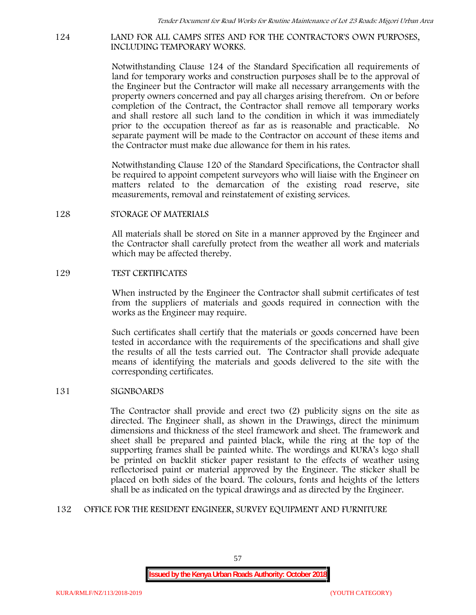#### **124 LAND FOR ALL CAMPS SITES AND FOR THE CONTRACTOR'S OWN PURPOSES, INCLUDING TEMPORARY WORKS.**

Notwithstanding Clause 124 of the Standard Specification all requirements of land for temporary works and construction purposes shall be to the approval of the Engineer but the Contractor will make all necessary arrangements with the property owners concerned and pay all charges arising therefrom. On or before completion of the Contract, the Contractor shall remove all temporary works and shall restore all such land to the condition in which it was immediately prior to the occupation thereof as far as is reasonable and practicable. No separate payment will be made to the Contractor on account of these items and the Contractor must make due allowance for them in his rates.

Notwithstanding Clause 120 of the Standard Specifications, the Contractor shall be required to appoint competent surveyors who will liaise with the Engineer on matters related to the demarcation of the existing road reserve, site measurements, removal and reinstatement of existing services.

### **128 STORAGE OF MATERIALS**

All materials shall be stored on Site in a manner approved by the Engineer and the Contractor shall carefully protect from the weather all work and materials which may be affected thereby.

### **129 TEST CERTIFICATES**

When instructed by the Engineer the Contractor shall submit certificates of test from the suppliers of materials and goods required in connection with the works as the Engineer may require.

Such certificates shall certify that the materials or goods concerned have been tested in accordance with the requirements of the specifications and shall give the results of all the tests carried out. The Contractor shall provide adequate means of identifying the materials and goods delivered to the site with the corresponding certificates.

#### **131 SIGNBOARDS**

The Contractor shall provide and erect two (2) publicity signs on the site as directed. The Engineer shall, as shown in the Drawings, direct the minimum dimensions and thickness of the steel framework and sheet. The framework and sheet shall be prepared and painted black, while the ring at the top of the supporting frames shall be painted white. The wordings and KURA's logo shall be printed on backlit sticker paper resistant to the effects of weather using reflectorised paint or material approved by the Engineer. The sticker shall be placed on both sides of the board. The colours, fonts and heights of the letters shall be as indicated on the typical drawings and as directed by the Engineer.

#### **132 OFFICE FOR THE RESIDENT ENGINEER, SURVEY EQUIPMENT AND FURNITURE**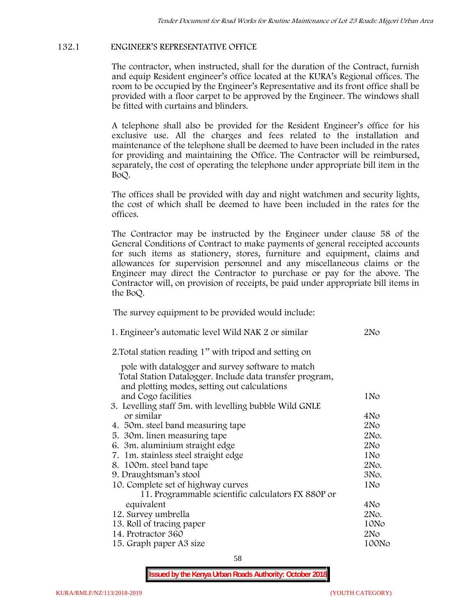# **132.1 ENGINEER'S REPRESENTATIVE OFFICE**

The contractor, when instructed, shall for the duration of the Contract, furnish and equip Resident engineer's office located at the KURA's Regional offices. The room to be occupied by the Engineer's Representative and its front office shall be provided with a floor carpet to be approved by the Engineer. The windows shall be fitted with curtains and blinders.

A telephone shall also be provided for the Resident Engineer's office for his exclusive use. All the charges and fees related to the installation and maintenance of the telephone shall be deemed to have been included in the rates for providing and maintaining the Office. The Contractor will be reimbursed, separately, the cost of operating the telephone under appropriate bill item in the BoQ.

The offices shall be provided with day and night watchmen and security lights, the cost of which shall be deemed to have been included in the rates for the offices.

The Contractor may be instructed by the Engineer under clause 58 of the General Conditions of Contract to make payments of general receipted accounts for such items as stationery, stores, furniture and equipment, claims and allowances for supervision personnel and any miscellaneous claims or the Engineer may direct the Contractor to purchase or pay for the above. The Contractor will, on provision of receipts, be paid under appropriate bill items in the BoQ.

**The survey equipment to be provided would include:**

| 1. Engineer's automatic level Wild NAK 2 or similar                                                      | 2N <sub>O</sub> |
|----------------------------------------------------------------------------------------------------------|-----------------|
| 2. Total station reading 1" with tripod and setting on                                                   |                 |
| pole with datalogger and survey software to match                                                        |                 |
| Total Station Datalogger. Include data transfer program,<br>and plotting modes, setting out calculations |                 |
| and Cogo facilities                                                                                      | 1No             |
| 3. Levelling staff 5m. with levelling bubble Wild GNLE                                                   |                 |
| or similar                                                                                               | 4No             |
| 4. 50m. steel band measuring tape                                                                        | 2N <sub>O</sub> |
| 5. 30 m. linen measuring tape                                                                            | 2No.            |
| 6. 3m. aluminium straight edge                                                                           | 2N <sub>O</sub> |
| 7. 1m. stainless steel straight edge                                                                     | 1No             |
| 8. 100m. steel band tape                                                                                 | 2No.            |
| 9. Draughtsman's stool                                                                                   | 3No.            |
| 10. Complete set of highway curves                                                                       | 1No             |
| 11. Programmable scientific calculators FX 880P or                                                       |                 |
| equivalent                                                                                               | 4No             |
| 12. Survey umbrella                                                                                      | 2No.            |
| 13. Roll of tracing paper                                                                                | 10No            |
| 14. Protractor 360                                                                                       | 2No             |
| 15. Graph paper A3 size                                                                                  | 100No           |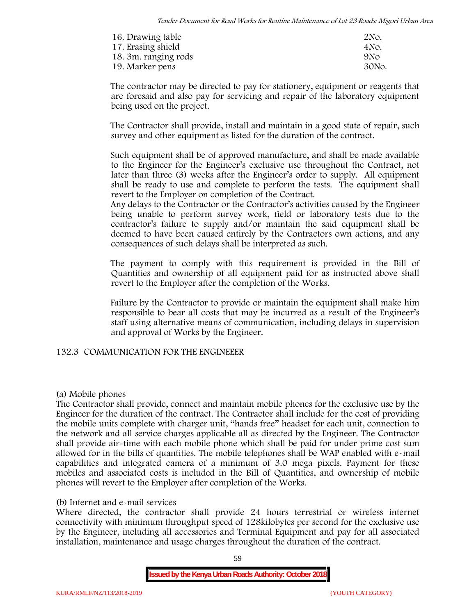| 16. Drawing table    | 2No.            |
|----------------------|-----------------|
| 17. Erasing shield   | 4No.            |
| 18. 3m. ranging rods | 9N <sub>O</sub> |
| 19. Marker pens      | 30No.           |

The contractor may be directed to pay for stationery, equipment or reagents that are foresaid and also pay for servicing and repair of the laboratory equipment being used on the project.

The Contractor shall provide, install and maintain in a good state of repair, such survey and other equipment as listed for the duration of the contract.

Such equipment shall be of approved manufacture, and shall be made available to the Engineer for the Engineer's exclusive use throughout the Contract, not later than three (3) weeks after the Engineer's order to supply. All equipment shall be ready to use and complete to perform the tests. The equipment shall revert to the Employer on completion of the Contract.

Any delays to the Contractor or the Contractor's activities caused by the Engineer being unable to perform survey work, field or laboratory tests due to the contractor's failure to supply and/or maintain the said equipment shall be deemed to have been caused entirely by the Contractors own actions, and any consequences of such delays shall be interpreted as such.

The payment to comply with this requirement is provided in the Bill of Quantities and ownership of all equipment paid for as instructed above shall revert to the Employer after the completion of the Works.

Failure by the Contractor to provide or maintain the equipment shall make him responsible to bear all costs that may be incurred as a result of the Engineer's staff using alternative means of communication, including delays in supervision and approval of Works by the Engineer.

# **132.3 COMMUNICATION FOR THE ENGINEEER**

### **(a) Mobile phones**

The Contractor shall provide, connect and maintain mobile phones for the exclusive use by the Engineer for the duration of the contract. The Contractor shall include for the cost of providing the mobile units complete with charger unit, "hands free" headset for each unit, connection to the network and all service charges applicable all as directed by the Engineer. The Contractor shall provide air-time with each mobile phone which shall be paid for under prime cost sum allowed for in the bills of quantities. The mobile telephones shall be WAP enabled with e-mail capabilities and integrated camera of a minimum of 3.0 mega pixels. Payment for these mobiles and associated costs is included in the Bill of Quantities, and ownership of mobile phones will revert to the Employer after completion of the Works.

### **(b) Internet and e-mail services**

Where directed, the contractor shall provide 24 hours terrestrial or wireless internet connectivity with minimum throughput speed of 128kilobytes per second for the exclusive use by the Engineer, including all accessories and Terminal Equipment and pay for all associated installation, maintenance and usage charges throughout the duration of the contract.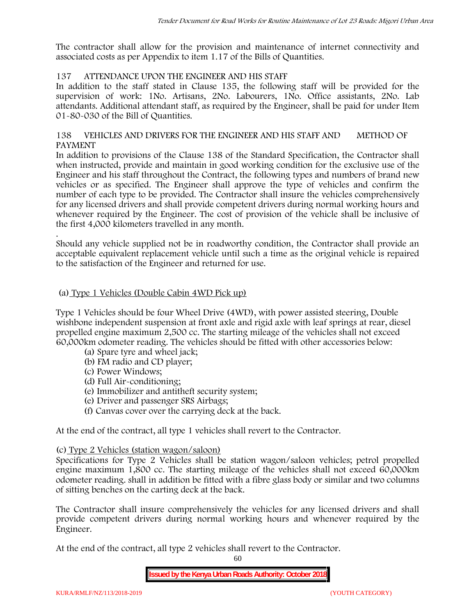The contractor shall allow for the provision and maintenance of internet connectivity and associated costs as per Appendix to item 1.17 of the Bills of Quantities.

# **137 ATTENDANCE UPON THE ENGINEER AND HIS STAFF**

In addition to the staff stated in Clause 135, the following staff will be provided for the supervision of work: 1No. Artisans, 2No. Labourers, 1No. Office assistants, 2No. Lab attendants. Additional attendant staff, as required by the Engineer, shall be paid for under Item 01-80-030 of the Bill of Quantities.

# **138 VEHICLES AND DRIVERS FOR THE ENGINEER AND HIS STAFF AND METHOD OF PAYMENT**

In addition to provisions of the Clause 138 of the Standard Specification, the Contractor shall when instructed, provide and maintain in good working condition for the exclusive use of the Engineer and his staff throughout the Contract, the following types and numbers of brand new vehicles or as specified. The Engineer shall approve the type of vehicles and confirm the number of each type to be provided. The Contractor shall insure the vehicles comprehensively for any licensed drivers and shall provide competent drivers during normal working hours and whenever required by the Engineer. The cost of provision of the vehicle shall be inclusive of the first 4,000 kilometers travelled in any month.

.Should any vehicle supplied not be in roadworthy condition, the Contractor shall provide an acceptable equivalent replacement vehicle until such a time as the original vehicle is repaired to the satisfaction of the Engineer and returned for use.

### **(a) Type 1 Vehicles (Double Cabin 4WD Pick up)**

Type 1 Vehicles should be four Wheel Drive (4WD), with power assisted steering, Double wishbone independent suspension at front axle and rigid axle with leaf springs at rear, diesel propelled engine maximum 2,500 cc. The starting mileage of the vehicles shall not exceed 60,000km odometer reading. The vehicles should be fitted with other accessories below:

- (a) Spare tyre and wheel jack;
- (b) FM radio and CD player;
- (c) Power Windows;
- (d) Full Air-conditioning;
- (e) Immobilizer and antitheft security system;
- (e) Driver and passenger SRS Airbags;
- (f) Canvas cover over the carrying deck at the back.

At the end of the contract, all type 1 vehicles shall revert to the Contractor.

### **(c) Type 2 Vehicles (station wagon/saloon)**

Specifications for Type 2 Vehicles shall be station wagon/saloon vehicles; petrol propelled engine maximum 1,800 cc. The starting mileage of the vehicles shall not exceed 60,000km odometer reading. shall in addition be fitted with a fibre glass body or similar and two columns of sitting benches on the carting deck at the back.

The Contractor shall insure comprehensively the vehicles for any licensed drivers and shall provide competent drivers during normal working hours and whenever required by the Engineer.

At the end of the contract, all type 2 vehicles shall revert to the Contractor.

60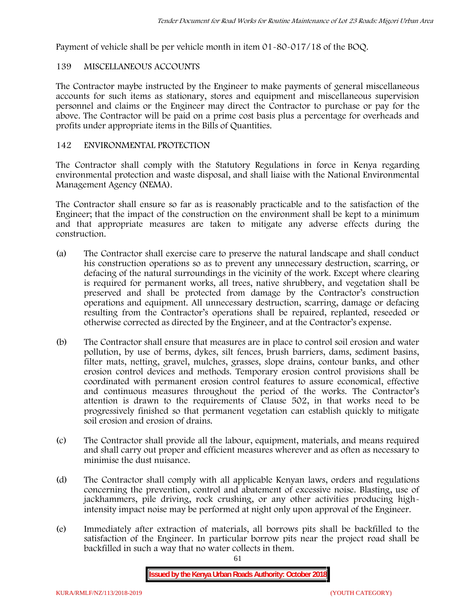Payment of vehicle shall be per vehicle month in item 01-80-017/18 of the BOQ.

# **139 MISCELLANEOUS ACCOUNTS**

The Contractor maybe instructed by the Engineer to make payments of general miscellaneous accounts for such items as stationary, stores and equipment and miscellaneous supervision personnel and claims or the Engineer may direct the Contractor to purchase or pay for the above. The Contractor will be paid on a prime cost basis plus a percentage for overheads and profits under appropriate items in the Bills of Quantities.

# **142 ENVIRONMENTAL PROTECTION**

The Contractor shall comply with the Statutory Regulations in force in Kenya regarding environmental protection and waste disposal, and shall liaise with the National Environmental Management Agency (NEMA).

The Contractor shall ensure so far as is reasonably practicable and to the satisfaction of the Engineer; that the impact of the construction on the environment shall be kept to a minimum and that appropriate measures are taken to mitigate any adverse effects during the construction.

- (a) The Contractor shall exercise care to preserve the natural landscape and shall conduct his construction operations so as to prevent any unnecessary destruction, scarring, or defacing of the natural surroundings in the vicinity of the work. Except where clearing is required for permanent works, all trees, native shrubbery, and vegetation shall be preserved and shall be protected from damage by the Contractor's construction operations and equipment. All unnecessary destruction, scarring, damage or defacing resulting from the Contractor's operations shall be repaired, replanted, reseeded or otherwise corrected as directed by the Engineer, and at the Contractor's expense.
- (b) The Contractor shall ensure that measures are in place to control soil erosion and water pollution, by use of berms, dykes, silt fences, brush barriers, dams, sediment basins, filter mats, netting, gravel, mulches, grasses, slope drains, contour banks, and other erosion control devices and methods. Temporary erosion control provisions shall be coordinated with permanent erosion control features to assure economical, effective and continuous measures throughout the period of the works. The Contractor's attention is drawn to the requirements of Clause 502, in that works need to be progressively finished so that permanent vegetation can establish quickly to mitigate soil erosion and erosion of drains.
- (c) The Contractor shall provide all the labour, equipment, materials, and means required and shall carry out proper and efficient measures wherever and as often as necessary to minimise the dust nuisance.
- (d) The Contractor shall comply with all applicable Kenyan laws, orders and regulations concerning the prevention, control and abatement of excessive noise. Blasting, use of jackhammers, pile driving, rock crushing, or any other activities producing highintensity impact noise may be performed at night only upon approval of the Engineer.
- (e) Immediately after extraction of materials, all borrows pits shall be backfilled to the satisfaction of the Engineer. In particular borrow pits near the project road shall be backfilled in such a way that no water collects in them.

61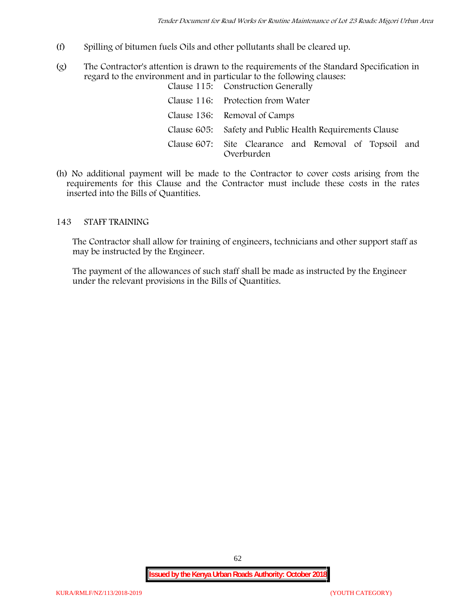- (f) Spilling of bitumen fuels Oils and other pollutants shall be cleared up.
- (g) The Contractor's attention is drawn to the requirements of the Standard Specification in regard to the environment and in particular to the following clauses: Clause 115: Construction Generally

| Clause 110. Construction denerally                                  |  |  |
|---------------------------------------------------------------------|--|--|
| Clause 116: Protection from Water                                   |  |  |
| Clause 136: Removal of Camps                                        |  |  |
| Clause 605: Safety and Public Health Requirements Clause            |  |  |
| Clause 607: Site Clearance and Removal of Topsoil and<br>Overburden |  |  |

(h) No additional payment will be made to the Contractor to cover costs arising from the requirements for this Clause and the Contractor must include these costs in the rates inserted into the Bills of Quantities.

### **143 STAFF TRAINING**

The Contractor shall allow for training of engineers, technicians and other support staff as may be instructed by the Engineer.

The payment of the allowances of such staff shall be made as instructed by the Engineer under the relevant provisions in the Bills of Quantities.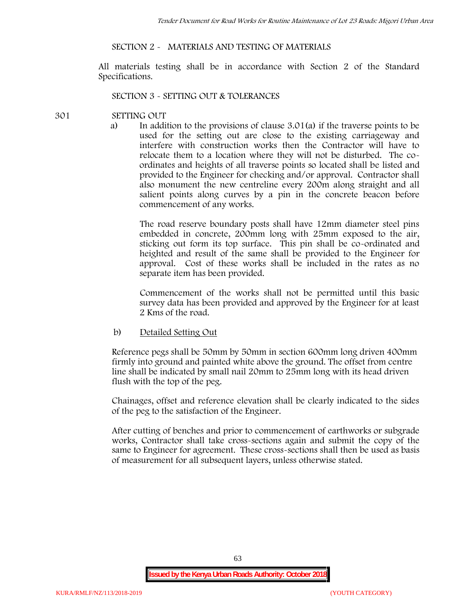### **SECTION 2 - MATERIALS AND TESTING OF MATERIALS**

All materials testing shall be in accordance with Section 2 of the Standard Specifications.

#### **SECTION 3 - SETTING OUT & TOLERANCES**

### **301 SETTING OUT**

a) In addition to the provisions of clause 3.01(a) if the traverse points to be used for the setting out are close to the existing carriageway and interfere with construction works then the Contractor will have to relocate them to a location where they will not be disturbed. The co ordinates and heights of all traverse points so located shall be listed and provided to the Engineer for checking and/or approval. Contractor shall also monument the new centreline every 200m along straight and all salient points along curves by a pin in the concrete beacon before commencement of any works.

The road reserve boundary posts shall have 12mm diameter steel pins embedded in concrete, 200mm long with 25mm exposed to the air, sticking out form its top surface. This pin shall be co-ordinated and heighted and result of the same shall be provided to the Engineer for approval. Cost of these works shall be included in the rates as no separate item has been provided.

Commencement of the works shall not be permitted until this basic survey data has been provided and approved by the Engineer for at least 2 Kms of the road.

b) Detailed Setting Out

Reference pegs shall be 50mm by 50mm in section 600mm long driven 400mm firmly into ground and painted white above the ground. The offset from centre line shall be indicated by small nail 20mm to 25mm long with its head driven flush with the top of the peg.

Chainages, offset and reference elevation shall be clearly indicated to the sides of the peg to the satisfaction of the Engineer.

After cutting of benches and prior to commencement of earthworks or subgrade works, Contractor shall take cross-sections again and submit the copy of the same to Engineer for agreement. These cross-sections shall then be used as basis of measurement for all subsequent layers, unless otherwise stated.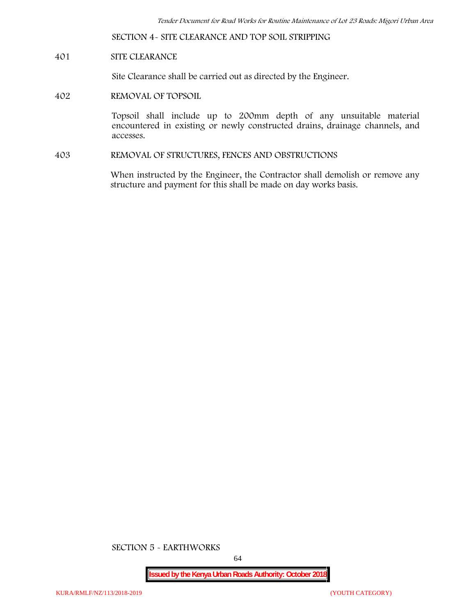**SECTION 4- SITE CLEARANCE AND TOP SOIL STRIPPING**

# **401 SITE CLEARANCE**

Site Clearance shall be carried out as directed by the Engineer.

**402 REMOVAL OF TOPSOIL**

Topsoil shall include up to 200mm depth of any unsuitable material encountered in existing or newly constructed drains, drainage channels, and accesses.

**403 REMOVAL OF STRUCTURES, FENCES AND OBSTRUCTIONS**

When instructed by the Engineer, the Contractor shall demolish or remove any structure and payment for this shall be made on day works basis.

**SECTION 5 - EARTHWORKS**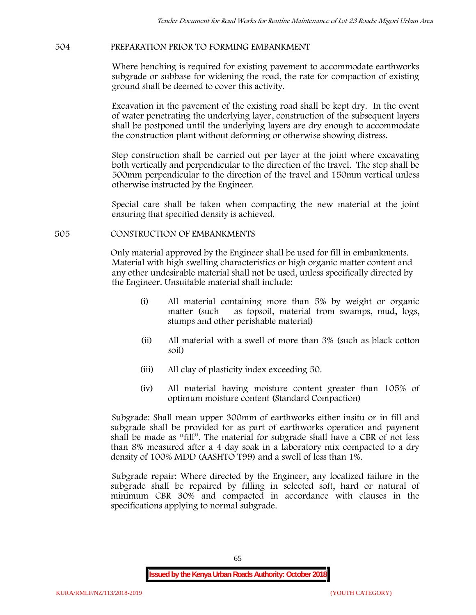# **504 PREPARATION PRIOR TO FORMING EMBANKMENT**

Where benching is required for existing pavement to accommodate earthworks subgrade or subbase for widening the road, the rate for compaction of existing ground shall be deemed to cover this activity.

Excavation in the pavement of the existing road shall be kept dry. In the event of water penetrating the underlying layer, construction of the subsequent layers shall be postponed until the underlying layers are dry enough to accommodate the construction plant without deforming or otherwise showing distress.

Step construction shall be carried out per layer at the joint where excavating both vertically and perpendicular to the direction of the travel. The step shall be 500mm perpendicular to the direction of the travel and 150mm vertical unless otherwise instructed by the Engineer.

Special care shall be taken when compacting the new material at the joint ensuring that specified density is achieved.

### **505 CONSTRUCTION OF EMBANKMENTS**

Only material approved by the Engineer shall be used for fill in embankments. Material with high swelling characteristics or high organic matter content and any other undesirable material shall not be used, unless specifically directed by the Engineer. Unsuitable material shall include:

- (i) All material containing more than 5% by weight or organic matter (such as topsoil, material from swamps, mud, logs, stumps and other perishable material)
- (ii) All material with a swell of more than 3% (such as black cotton soil)
- (iii) All clay of plasticity index exceeding 50.
- (iv) All material having moisture content greater than 105% of optimum moisture content (Standard Compaction)

Subgrade: Shall mean upper 300mm of earthworks either insitu or in fill and subgrade shall be provided for as part of earthworks operation and payment shall be made as "fill". The material for subgrade shall have a CBR of not less than 8% measured after a 4 day soak in a laboratory mix compacted to a dry density of 100% MDD (AASHTO T99) and a swell of less than 1%.

Subgrade repair: Where directed by the Engineer, any localized failure in the subgrade shall be repaired by filling in selected soft, hard or natural of minimum CBR 30% and compacted in accordance with clauses in the specifications applying to normal subgrade.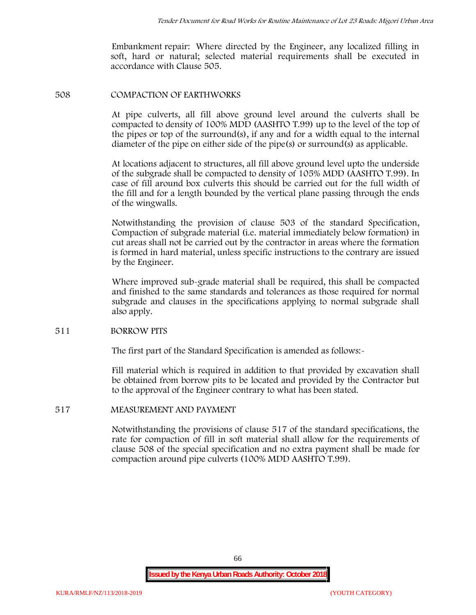Embankment repair: Where directed by the Engineer, any localized filling in soft, hard or natural; selected material requirements shall be executed in accordance with Clause 505.

#### **508 COMPACTION OF EARTHWORKS**

At pipe culverts, all fill above ground level around the culverts shall be compacted to density of 100% MDD (AASHTO T.99) up to the level of the top of the pipes or top of the surround(s), if any and for a width equal to the internal diameter of the pipe on either side of the pipe(s) or surround(s) as applicable.

At locations adjacent to structures, all fill above ground level upto the underside of the subgrade shall be compacted to density of 105% MDD (AASHTO T.99). In case of fill around box culverts this should be carried out for the full width of the fill and for a length bounded by the vertical plane passing through the ends of the wingwalls.

Notwithstanding the provision of clause 503 of the standard Specification, Compaction of subgrade material (i.e. material immediately below formation) in cut areas shall not be carried out by the contractor in areas where the formation is formed in hard material, unless specific instructions to the contrary are issued by the Engineer.

Where improved sub-grade material shall be required, this shall be compacted and finished to the same standards and tolerances as those required for normal subgrade and clauses in the specifications applying to normal subgrade shall also apply.

#### **511 BORROW PITS**

The first part of the Standard Specification is amended as follows:-

Fill material which is required in addition to that provided by excavation shall be obtained from borrow pits to be located and provided by the Contractor but to the approval of the Engineer contrary to what has been stated.

#### **517 MEASUREMENT AND PAYMENT**

Notwithstanding the provisions of clause 517 of the standard specifications, the rate for compaction of fill in soft material shall allow for the requirements of clause 508 of the special specification and no extra payment shall be made for compaction around pipe culverts (100% MDD AASHTO T.99).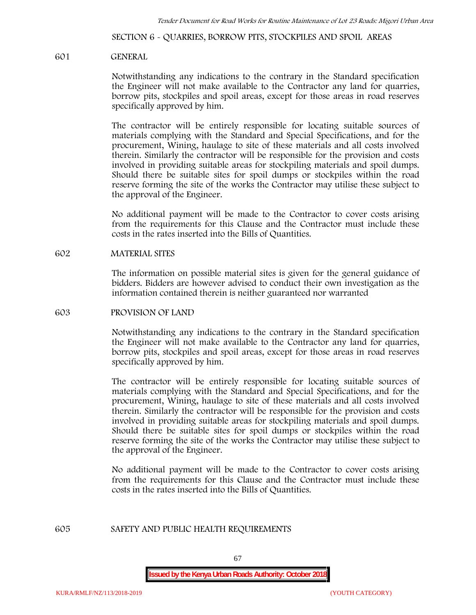**SECTION 6 - QUARRIES, BORROW PITS, STOCKPILES AND SPOIL AREAS**

#### **601 GENERAL**

Notwithstanding any indications to the contrary in the Standard specification the Engineer will not make available to the Contractor any land for quarries, borrow pits, stockpiles and spoil areas, except for those areas in road reserves specifically approved by him.

The contractor will be entirely responsible for locating suitable sources of materials complying with the Standard and Special Specifications, and for the procurement, Wining, haulage to site of these materials and all costs involved therein. Similarly the contractor will be responsible for the provision and costs involved in providing suitable areas for stockpiling materials and spoil dumps. Should there be suitable sites for spoil dumps or stockpiles within the road reserve forming the site of the works the Contractor may utilise these subject to the approval of the Engineer.

No additional payment will be made to the Contractor to cover costs arising from the requirements for this Clause and the Contractor must include these costs in the rates inserted into the Bills of Quantities.

### **602 MATERIAL SITES**

The information on possible material sites is given for the general guidance of bidders. Bidders are however advised to conduct their own investigation as the information contained therein is neither guaranteed nor warranted

#### **603 PROVISION OF LAND**

Notwithstanding any indications to the contrary in the Standard specification the Engineer will not make available to the Contractor any land for quarries, borrow pits, stockpiles and spoil areas, except for those areas in road reserves specifically approved by him.

The contractor will be entirely responsible for locating suitable sources of materials complying with the Standard and Special Specifications, and for the procurement, Wining, haulage to site of these materials and all costs involved therein. Similarly the contractor will be responsible for the provision and costs involved in providing suitable areas for stockpiling materials and spoil dumps. Should there be suitable sites for spoil dumps or stockpiles within the road reserve forming the site of the works the Contractor may utilise these subject to the approval of the Engineer.

No additional payment will be made to the Contractor to cover costs arising from the requirements for this Clause and the Contractor must include these costs in the rates inserted into the Bills of Quantities.

#### **605 SAFETY AND PUBLIC HEALTH REQUIREMENTS**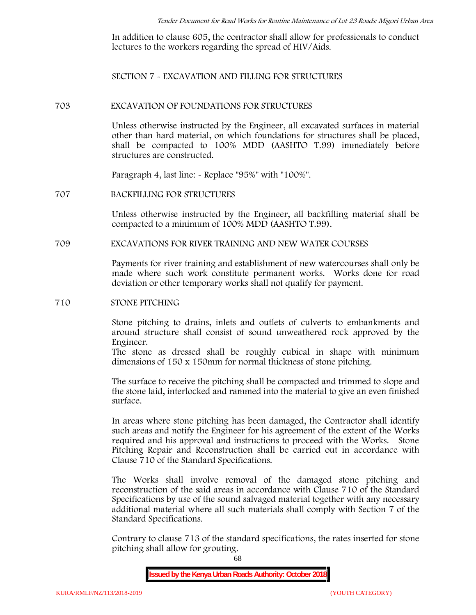In addition to clause 605, the contractor shall allow for professionals to conduct lectures to the workers regarding the spread of HIV/Aids.

**SECTION 7 - EXCAVATION AND FILLING FOR STRUCTURES**

#### **703 EXCAVATION OF FOUNDATIONS FOR STRUCTURES**

Unless otherwise instructed by the Engineer, all excavated surfaces in material other than hard material, on which foundations for structures shall be placed, shall be compacted to 100% MDD (AASHTO T.99) immediately before structures are constructed.

Paragraph 4, last line: - Replace "95%" with "100%".

#### **707 BACKFILLING FOR STRUCTURES**

Unless otherwise instructed by the Engineer, all backfilling material shall be compacted to a minimum of 100% MDD (AASHTO T.99).

### **709 EXCAVATIONS FOR RIVER TRAINING AND NEW WATER COURSES**

Payments for river training and establishment of new watercourses shall only be made where such work constitute permanent works. Works done for road deviation or other temporary works shall not qualify for payment.

#### **710 STONE PITCHING**

Stone pitching to drains, inlets and outlets of culverts to embankments and around structure shall consist of sound unweathered rock approved by the Engineer.

The stone as dressed shall be roughly cubical in shape with minimum dimensions of 150 x 150mm for normal thickness of stone pitching.

The surface to receive the pitching shall be compacted and trimmed to slope and the stone laid, interlocked and rammed into the material to give an even finished surface.

In areas where stone pitching has been damaged, the Contractor shall identify such areas and notify the Engineer for his agreement of the extent of the Works required and his approval and instructions to proceed with the Works. Stone Pitching Repair and Reconstruction shall be carried out in accordance with Clause 710 of the Standard Specifications.

The Works shall involve removal of the damaged stone pitching and reconstruction of the said areas in accordance with Clause 710 of the Standard Specifications by use of the sound salvaged material together with any necessary additional material where all such materials shall comply with Section 7 of the Standard Specifications.

Contrary to clause 713 of the standard specifications, the rates inserted for stone pitching shall allow for grouting.

68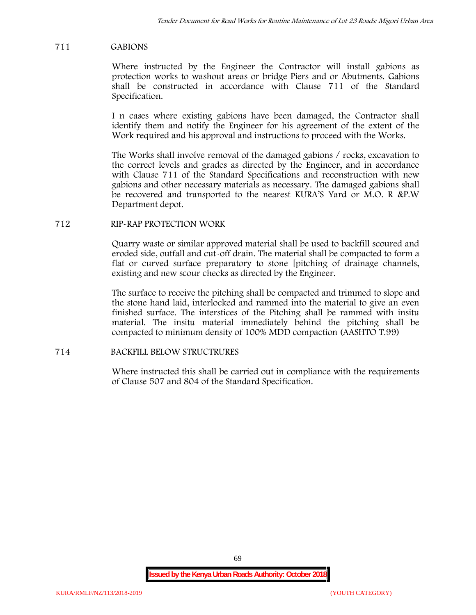# **711 GABIONS**

Where instructed by the Engineer the Contractor will install gabions as protection works to washout areas or bridge Piers and or Abutments. Gabions shall be constructed in accordance with Clause 711 of the Standard Specification.

I n cases where existing gabions have been damaged, the Contractor shall identify them and notify the Engineer for his agreement of the extent of the Work required and his approval and instructions to proceed with the Works.

The Works shall involve removal of the damaged gabions / rocks, excavation to the correct levels and grades as directed by the Engineer, and in accordance with Clause 711 of the Standard Specifications and reconstruction with new gabions and other necessary materials as necessary. The damaged gabions shall be recovered and transported to the nearest KURA'S Yard or M.O. R &P.W Department depot.

### **712 RIP-RAP PROTECTION WORK**

Quarry waste or similar approved material shall be used to backfill scoured and eroded side, outfall and cut-off drain. The material shall be compacted to form a flat or curved surface preparatory to stone [pitching of drainage channels, existing and new scour checks as directed by the Engineer.

The surface to receive the pitching shall be compacted and trimmed to slope and the stone hand laid, interlocked and rammed into the material to give an even finished surface. The interstices of the Pitching shall be rammed with insitu material. The insitu material immediately behind the pitching shall be compacted to minimum density of 100% MDD compaction (AASHTO T.99)

### **714 BACKFILL BELOW STRUCTRURES**

Where instructed this shall be carried out in compliance with the requirements of Clause 507 and 804 of the Standard Specification.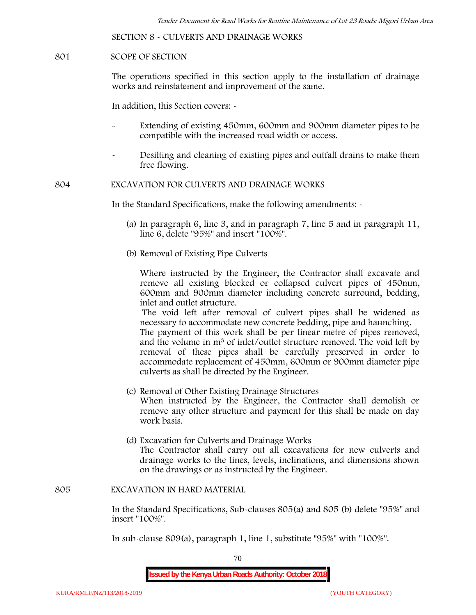**SECTION 8 - CULVERTS AND DRAINAGE WORKS**

### **801 SCOPE OF SECTION**

The operations specified in this section apply to the installation of drainage works and reinstatement and improvement of the same.

In addition, this Section covers: -

- Extending of existing 450mm, 600mm and 900mm diameter pipes to be compatible with the increased road width or access.
- Desilting and cleaning of existing pipes and outfall drains to make them free flowing.

**804 EXCAVATION FOR CULVERTS AND DRAINAGE WORKS**

In the Standard Specifications, make the following amendments: -

culverts as shall be directed by the Engineer.

- (a) In paragraph 6, line 3, and in paragraph 7, line 5 and in paragraph 11, line 6, delete "95%" and insert "100%".
- (b) Removal of Existing Pipe Culverts

Where instructed by the Engineer, the Contractor shall excavate and remove all existing blocked or collapsed culvert pipes of 450mm, 600mm and 900mm diameter including concrete surround, bedding, inlet and outlet structure.

The void left after removal of culvert pipes shall be widened as necessary to accommodate new concrete bedding, pipe and haunching. The payment of this work shall be per linear metre of pipes removed, and the volume in m<sup>3</sup> of inlet/outlet structure removed. The void left by removal of these pipes shall be carefully preserved in order to accommodate replacement of 450mm, 600mm or 900mm diameter pipe

- (c) Removal of Other Existing Drainage Structures When instructed by the Engineer, the Contractor shall demolish or remove any other structure and payment for this shall be made on day work basis.
- (d) Excavation for Culverts and Drainage Works The Contractor shall carry out all excavations for new culverts and drainage works to the lines, levels, inclinations, and dimensions shown on the drawings or as instructed by the Engineer.

#### **805 EXCAVATION IN HARD MATERIAL**

In the Standard Specifications, Sub-clauses 805(a) and 805 (b) delete "95%" and insert "100%".

In sub-clause 809(a), paragraph 1, line 1, substitute "95%" with "100%".

70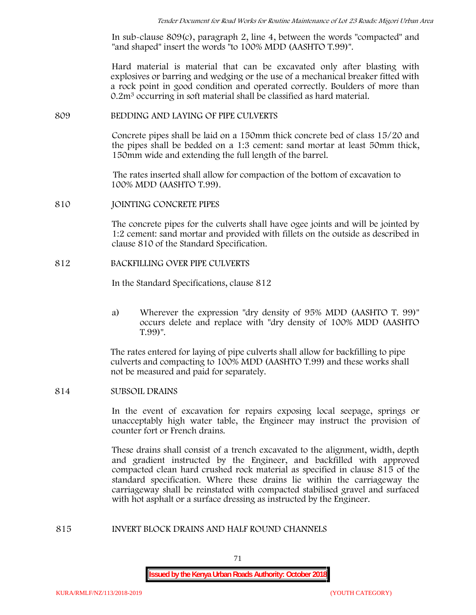In sub-clause 809(c), paragraph 2, line 4, between the words "compacted" and "and shaped" insert the words "to 100% MDD (AASHTO T.99)".

Hard material is material that can be excavated only after blasting with explosives or barring and wedging or the use of a mechanical breaker fitted with a rock point in good condition and operated correctly. Boulders of more than 0.2m<sup>3</sup> occurring in soft material shall be classified as hard material.

#### **809 BEDDING AND LAYING OF PIPE CULVERTS**

Concrete pipes shall be laid on a 150mm thick concrete bed of class 15/20 and the pipes shall be bedded on a 1:3 cement: sand mortar at least 50mm thick, 150mm wide and extending the full length of the barrel.

The rates inserted shall allow for compaction of the bottom of excavation to 100% MDD (AASHTO T.99).

### **810 JOINTING CONCRETE PIPES**

The concrete pipes for the culverts shall have ogee joints and will be jointed by 1:2 cement: sand mortar and provided with fillets on the outside as described in clause 810 of the Standard Specification.

### **812 BACKFILLING OVER PIPE CULVERTS**

In the Standard Specifications, clause 812

a) Wherever the expression "dry density of 95% MDD (AASHTO T. 99)" occurs delete and replace with "dry density of 100% MDD (AASHTO T.99)".

The rates entered for laying of pipe culverts shall allow for backfilling to pipe culverts and compacting to 100% MDD (AASHTO T.99) and these works shall not be measured and paid for separately.

### **814 SUBSOIL DRAINS**

In the event of excavation for repairs exposing local seepage, springs or unacceptably high water table, the Engineer may instruct the provision of counter fort or French drains.

These drains shall consist of a trench excavated to the alignment, width, depth and gradient instructed by the Engineer, and backfilled with approved compacted clean hard crushed rock material as specified in clause 815 of the standard specification. Where these drains lie within the carriageway the carriageway shall be reinstated with compacted stabilised gravel and surfaced with hot asphalt or a surface dressing as instructed by the Engineer.

#### **815 INVERT BLOCK DRAINS AND HALF ROUND CHANNELS**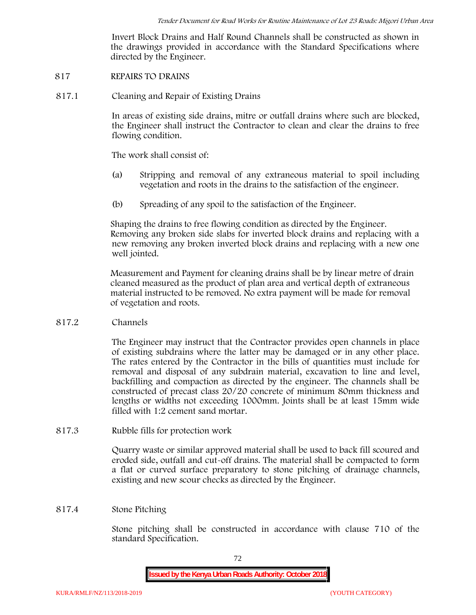Invert Block Drains and Half Round Channels shall be constructed as shown in the drawings provided in accordance with the Standard Specifications where directed by the Engineer.

### **817 REPAIRS TO DRAINS**

**817.1 Cleaning and Repair of Existing Drains**

In areas of existing side drains, mitre or outfall drains where such are blocked, the Engineer shall instruct the Contractor to clean and clear the drains to free flowing condition.

The work shall consist of:

- (a) Stripping and removal of any extraneous material to spoil including vegetation and roots in the drains to the satisfaction of the engineer.
- (b) Spreading of any spoil to the satisfaction of the Engineer.

Shaping the drains to free flowing condition as directed by the Engineer. Removing any broken side slabs for inverted block drains and replacing with a new removing any broken inverted block drains and replacing with a new one well jointed.

Measurement and Payment for cleaning drains shall be by linear metre of drain cleaned measured as the product of plan area and vertical depth of extraneous material instructed to be removed. No extra payment will be made for removal of vegetation and roots.

**817.2 Channels**

The Engineer may instruct that the Contractor provides open channels in place of existing subdrains where the latter may be damaged or in any other place. The rates entered by the Contractor in the bills of quantities must include for removal and disposal of any subdrain material, excavation to line and level, backfilling and compaction as directed by the engineer. The channels shall be constructed of precast class 20/20 concrete of minimum 80mm thickness and lengths or widths not exceeding 1000mm. Joints shall be at least 15mm wide filled with 1:2 cement sand mortar.

**817.3 Rubble fills for protection work**

Quarry waste or similar approved material shall be used to back fill scoured and eroded side, outfall and cut-off drains. The material shall be compacted to form a flat or curved surface preparatory to stone pitching of drainage channels, existing and new scour checks as directed by the Engineer.

# **817.4 Stone Pitching**

Stone pitching shall be constructed in accordance with clause 710 of the standard Specification.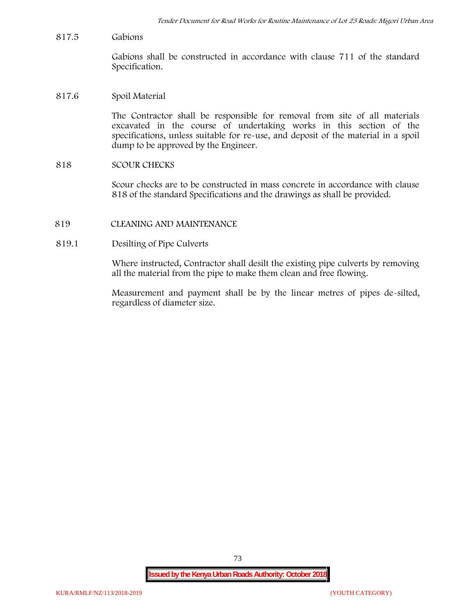**817.5 Gabions**

Gabions shall be constructed in accordance with clause 711 of the standard Specification.

### **817.6 Spoil Material**

The Contractor shall be responsible for removal from site of all materials excavated in the course of undertaking works in this section of the specifications, unless suitable for re-use, and deposit of the material in a spoil dump to be approved by the Engineer.

### **818 SCOUR CHECKS**

Scour checks are to be constructed in mass concrete in accordance with clause 818 of the standard Specifications and the drawings as shall be provided.

**819 CLEANING AND MAINTENANCE**

## **819.1 Desilting of Pipe Culverts**

Where instructed, Contractor shall desilt the existing pipe culverts by removing all the material from the pipe to make them clean and free flowing.

Measurement and payment shall be by the linear metres of pipes de-silted, regardless of diameter size.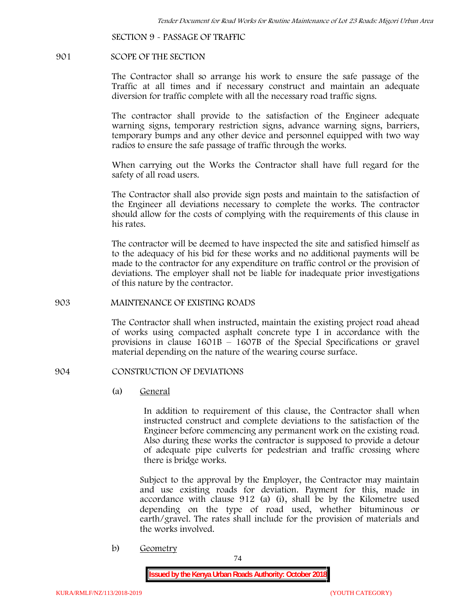**SECTION 9 - PASSAGE OF TRAFFIC**

#### **901 SCOPE OF THE SECTION**

The Contractor shall so arrange his work to ensure the safe passage of the Traffic at all times and if necessary construct and maintain an adequate diversion for traffic complete with all the necessary road traffic signs.

The contractor shall provide to the satisfaction of the Engineer adequate warning signs, temporary restriction signs, advance warning signs, barriers, temporary bumps and any other device and personnel equipped with two way radios to ensure the safe passage of traffic through the works.

When carrying out the Works the Contractor shall have full regard for the safety of all road users.

The Contractor shall also provide sign posts and maintain to the satisfaction of the Engineer all deviations necessary to complete the works. The contractor should allow for the costs of complying with the requirements of this clause in his rates.

The contractor will be deemed to have inspected the site and satisfied himself as to the adequacy of his bid for these works and no additional payments will be made to the contractor for any expenditure on traffic control or the provision of deviations. The employer shall not be liable for inadequate prior investigations of this nature by the contractor.

### **903 MAINTENANCE OF EXISTING ROADS**

The Contractor shall when instructed, maintain the existing project road ahead of works using compacted asphalt concrete type I in accordance with the provisions in clause 1601B – 1607B of the Special Specifications or gravel material depending on the nature of the wearing course surface.

### **904 CONSTRUCTION OF DEVIATIONS**

(a) **General**

In addition to requirement of this clause, the Contractor shall when instructed construct and complete deviations to the satisfaction of the Engineer before commencing any permanent work on the existing road. Also during these works the contractor is supposed to provide a detour of adequate pipe culverts for pedestrian and traffic crossing where there is bridge works.

Subject to the approval by the Employer, the Contractor may maintain and use existing roads for deviation. Payment for this, made in accordance with clause 912 (a) (i), shall be by the Kilometre used depending on the type of road used, whether bituminous or earth/gravel. The rates shall include for the provision of materials and the works involved.

b) **Geometry**

74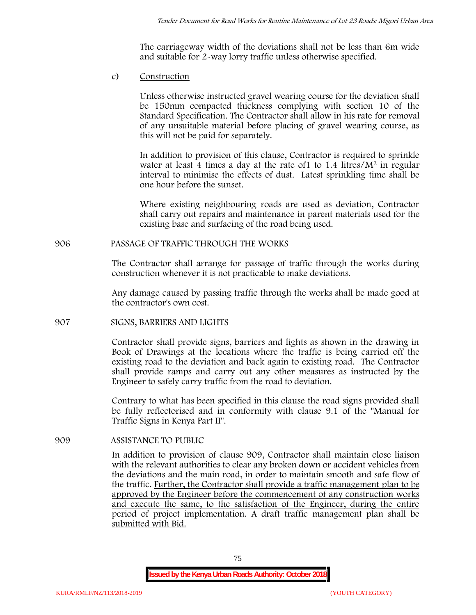The carriageway width of the deviations shall not be less than 6m wide and suitable for 2-way lorry traffic unless otherwise specified.

c) **Construction**

Unless otherwise instructed gravel wearing course for the deviation shall be 150mm compacted thickness complying with section 10 of the Standard Specification. The Contractor shall allow in his rate for removal of any unsuitable material before placing of gravel wearing course, as this will not be paid for separately.

In addition to provision of this clause, Contractor is required to sprinkle water at least 4 times a day at the rate of 1 to 1.4 litres/M<sup>2</sup> in regular interval to minimise the effects of dust. Latest sprinkling time shall be one hour before the sunset.

Where existing neighbouring roads are used as deviation, Contractor shall carry out repairs and maintenance in parent materials used for the existing base and surfacing of the road being used.

# **906 PASSAGE OF TRAFFIC THROUGH THE WORKS**

The Contractor shall arrange for passage of traffic through the works during construction whenever it is not practicable to make deviations.

Any damage caused by passing traffic through the works shall be made good at the contractor's own cost.

# **907 SIGNS, BARRIERS AND LIGHTS**

Contractor shall provide signs, barriers and lights as shown in the drawing in Book of Drawings at the locations where the traffic is being carried off the existing road to the deviation and back again to existing road. The Contractor shall provide ramps and carry out any other measures as instructed by the Engineer to safely carry traffic from the road to deviation.

Contrary to what has been specified in this clause the road signs provided shall be fully reflectorised and in conformity with clause 9.1 of the "Manual for Traffic Signs in Kenya Part II".

# **909 ASSISTANCE TO PUBLIC**

In addition to provision of clause 909, Contractor shall maintain close liaison with the relevant authorities to clear any broken down or accident vehicles from the deviations and the main road, in order to maintain smooth and safe flow of the traffic. Further, the Contractor shall provide a traffic management plan to be approved by the Engineer before the commencement of any construction works and execute the same, to the satisfaction of the Engineer, during the entire period of project implementation. A draft traffic management plan shall be submitted with Bid.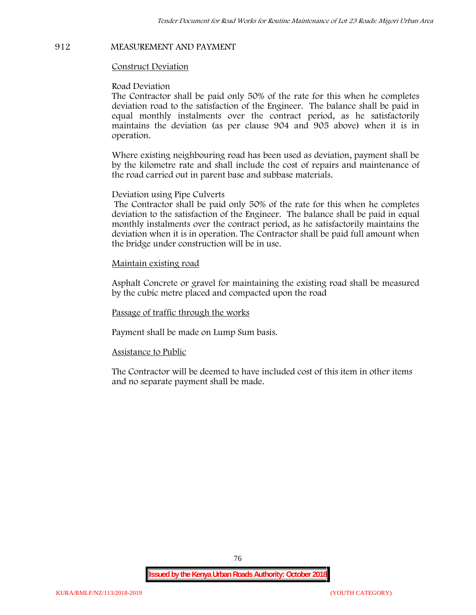# **912 MEASUREMENT AND PAYMENT**

### **Construct Deviation**

#### **Road Deviation**

The Contractor shall be paid only 50% of the rate for this when he completes deviation road to the satisfaction of the Engineer. The balance shall be paid in equal monthly instalments over the contract period, as he satisfactorily maintains the deviation (as per clause 904 and 905 above) when it is in operation.

Where existing neighbouring road has been used as deviation, payment shall be by the kilometre rate and shall include the cost of repairs and maintenance of the road carried out in parent base and subbase materials.

#### **Deviation using Pipe Culverts**

The Contractor shall be paid only 50% of the rate for this when he completes deviation to the satisfaction of the Engineer. The balance shall be paid in equal monthly instalments over the contract period, as he satisfactorily maintains the deviation when it is in operation. The Contractor shall be paid full amount when the bridge under construction will be in use.

### **Maintain existing road**

Asphalt Concrete or gravel for maintaining the existing road shall be measured by the cubic metre placed and compacted upon the road

#### **Passage of traffic through the works**

Payment shall be made on Lump Sum basis.

#### **Assistance to Public**

The Contractor will be deemed to have included cost of this item in other items and no separate payment shall be made.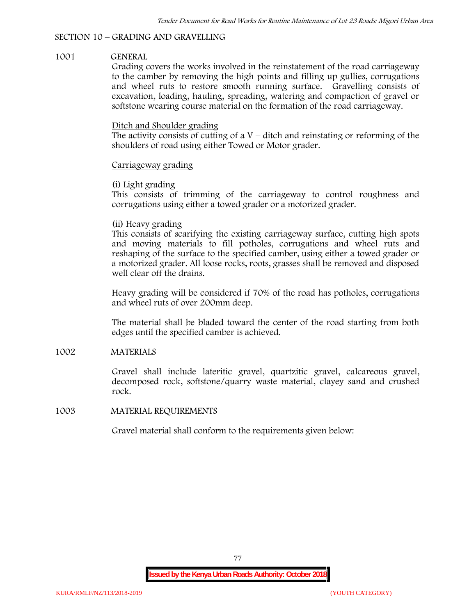# **SECTION 10 – GRADING AND GRAVELLING**

# **1001 GENERAL**

Grading covers the works involved in the reinstatement of the road carriageway to the camber by removing the high points and filling up gullies, corrugations and wheel ruts to restore smooth running surface. Gravelling consists of excavation, loading, hauling, spreading, watering and compaction of gravel or softstone wearing course material on the formation of the road carriageway.

# Ditch and Shoulder grading

The activity consists of cutting of a  $V$  – ditch and reinstating or reforming of the shoulders of road using either Towed or Motor grader.

# Carriageway grading

# **(i) Light grading**

This consists of trimming of the carriageway to control roughness and corrugations using either a towed grader or a motorized grader.

# **(ii) Heavy grading**

This consists of scarifying the existing carriageway surface, cutting high spots and moving materials to fill potholes, corrugations and wheel ruts and reshaping of the surface to the specified camber, using either a towed grader or a motorized grader. All loose rocks, roots, grasses shall be removed and disposed well clear off the drains.

Heavy grading will be considered if 70% of the road has potholes, corrugations and wheel ruts of over 200mm deep.

The material shall be bladed toward the center of the road starting from both edges until the specified camber is achieved.

# **1002 MATERIALS**

Gravel shall include lateritic gravel, quartzitic gravel, calcareous gravel, decomposed rock, softstone/quarry waste material, clayey sand and crushed rock.

# **1003 MATERIAL REQUIREMENTS**

Gravel material shall conform to the requirements given below: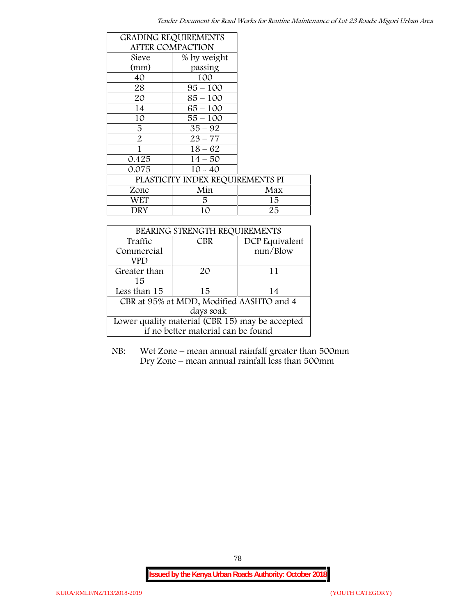| <b>GRADING REQUIREMENTS</b> |                                  |     |
|-----------------------------|----------------------------------|-----|
| <b>AFTER COMPACTION</b>     |                                  |     |
| Sieve                       | % by weight                      |     |
| (mm)                        | passing                          |     |
| 40                          | 100                              |     |
| 28                          | $95 - 100$                       |     |
| 20                          | $85 - 100$                       |     |
| 14                          | $65 - 100$                       |     |
| 10                          | $55 - 100$                       |     |
| 5                           | $35 - 92$                        |     |
| $\overline{2}$              | $23 - 77$                        |     |
| 1                           | $18 - 62$                        |     |
| 0.425                       | $14 - 50$                        |     |
| 0.075                       | $10 - 40$                        |     |
|                             | PLASTICITY INDEX REQUIREMENTS PI |     |
| Zone                        | Min                              | Max |
| <b>WET</b>                  | 5.                               | 15  |
| DRY                         | 10                               | 25  |

| BEARING STRENGTH REQUIREMENTS                   |            |                |  |  |
|-------------------------------------------------|------------|----------------|--|--|
| Traffic                                         | <b>CBR</b> | DCP Equivalent |  |  |
| Commercial                                      |            | mm/Blow        |  |  |
| VPD                                             |            |                |  |  |
| Greater than                                    | 20         | 11             |  |  |
| 15                                              |            |                |  |  |
| Less than 15                                    | 15         | 14             |  |  |
| CBR at 95% at MDD, Modified AASHTO and 4        |            |                |  |  |
| days soak                                       |            |                |  |  |
| Lower quality material (CBR 15) may be accepted |            |                |  |  |
| if no better material can be found              |            |                |  |  |

NB: Wet Zone – mean annual rainfall greater than 500mm Dry Zone – mean annual rainfall less than 500mm

78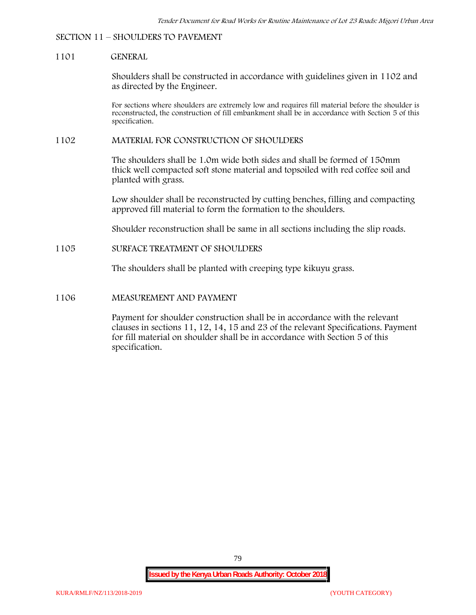#### **SECTION 11 – SHOULDERS TO PAVEMENT**

#### **1101 GENERAL**

Shoulders shall be constructed in accordance with guidelines given in 1102 and as directed by the Engineer.

For sections where shoulders are extremely low and requires fill material before the shoulder is reconstructed, the construction of fill embankment shall be in accordance with Section 5 of this specification.

#### **1102 MATERIAL FOR CONSTRUCTION OF SHOULDERS**

The shoulders shall be 1.0m wide both sides and shall be formed of 150mm thick well compacted soft stone material and topsoiled with red coffee soil and planted with grass.

Low shoulder shall be reconstructed by cutting benches, filling and compacting approved fill material to form the formation to the shoulders.

Shoulder reconstruction shall be same in all sections including the slip roads.

## **1105 SURFACE TREATMENT OF SHOULDERS**

The shoulders shall be planted with creeping type kikuyu grass.

#### **1106 MEASUREMENT AND PAYMENT**

Payment for shoulder construction shall be in accordance with the relevant clauses in sections 11, 12, 14, 15 and 23 of the relevant Specifications. Payment for fill material on shoulder shall be in accordance with Section 5 of this specification.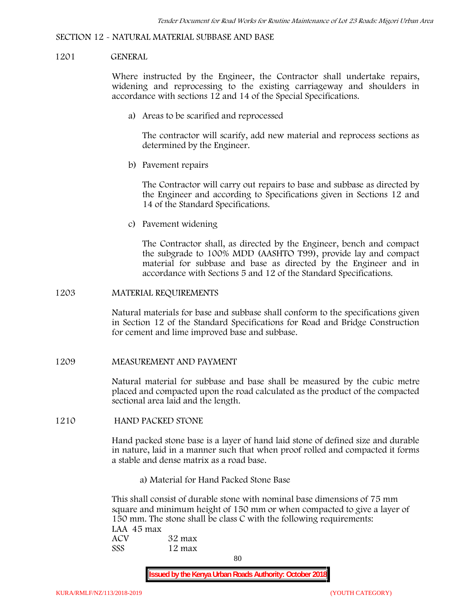#### **SECTION 12 - NATURAL MATERIAL SUBBASE AND BASE**

#### **1201 GENERAL**

Where instructed by the Engineer, the Contractor shall undertake repairs, widening and reprocessing to the existing carriageway and shoulders in accordance with sections 12 and 14 of the Special Specifications.

**a) Areas to be scarified and reprocessed**

The contractor will scarify, add new material and reprocess sections as determined by the Engineer.

**b) Pavement repairs**

The Contractor will carry out repairs to base and subbase as directed by the Engineer and according to Specifications given in Sections 12 and 14 of the Standard Specifications.

**c) Pavement widening**

The Contractor shall, as directed by the Engineer, bench and compact the subgrade to 100% MDD (AASHTO T99), provide lay and compact material for subbase and base as directed by the Engineer and in accordance with Sections 5 and 12 of the Standard Specifications.

#### **1203 MATERIAL REQUIREMENTS**

Natural materials for base and subbase shall conform to the specifications given in Section 12 of the Standard Specifications for Road and Bridge Construction for cement and lime improved base and subbase.

**1209 MEASUREMENT AND PAYMENT**

Natural material for subbase and base shall be measured by the cubic metre placed and compacted upon the road calculated as the product of the compacted sectional area laid and the length.

#### **1210 HAND PACKED STONE**

Hand packed stone base is a layer of hand laid stone of defined size and durable in nature, laid in a manner such that when proof rolled and compacted it forms a stable and dense matrix as a road base.

**a) Material for Hand Packed Stone Base**

This shall consist of durable stone with nominal base dimensions of 75 mm square and minimum height of 150 mm or when compacted to give a layer of 150 mm. The stone shall be class C with the following requirements: **LAA 45 max ACV 32 max SSS 12 max**

80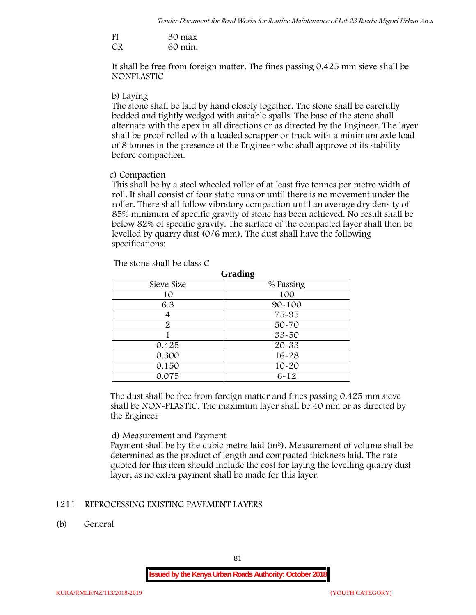| FI | 30 max  |
|----|---------|
| CR | 60 min. |

It shall be free from foreign matter. The fines passing 0.425 mm sieve shall be **NONPLASTIC**

#### **b) Laying**

The stone shall be laid by hand closely together. The stone shall be carefully bedded and tightly wedged with suitable spalls. The base of the stone shall alternate with the apex in all directions or as directed by the Engineer. The layer shall be proof rolled with a loaded scrapper or truck with a minimum axle load of 8 tonnes in the presence of the Engineer who shall approve of its stability before compaction.

## **c) Compaction**

This shall be by a steel wheeled roller of at least five tonnes per metre width of roll. It shall consist of four static runs or until there is no movement under the roller. There shall follow vibratory compaction until an average dry density of 85% minimum of specific gravity of stone has been achieved. No result shall be below 82% of specific gravity. The surface of the compacted layer shall then be levelled by quarry dust (0/6 mm). The dust shall have the following specifications:

| <b>Grading</b> |            |  |  |  |  |
|----------------|------------|--|--|--|--|
| Sieve Size     | % Passing  |  |  |  |  |
| 10             | 100        |  |  |  |  |
| 6.3            | $90 - 100$ |  |  |  |  |
|                | 75-95      |  |  |  |  |
| 2              | 50-70      |  |  |  |  |
|                | $33 - 50$  |  |  |  |  |
| 0.425          | 20-33      |  |  |  |  |
| 0.300          | 16-28      |  |  |  |  |
| 0.150          | $10 - 20$  |  |  |  |  |
| 0.075          | $6 - 12$   |  |  |  |  |

The stone shall be class C

The dust shall be free from foreign matter and fines passing 0.425 mm sieve shall be **NON-PLASTIC**. The maximum layer shall be 40 mm or as directed by the Engineer

# **d) Measurement and Payment**

Payment shall be by the cubic metre laid  $(m<sup>3</sup>)$ . Measurement of volume shall be determined as the product of length and compacted thickness laid. The rate quoted for this item should include the cost for laying the levelling quarry dust layer, as no extra payment shall be made for this layer.

# **1211 REPROCESSING EXISTING PAVEMENT LAYERS**

**(b) General**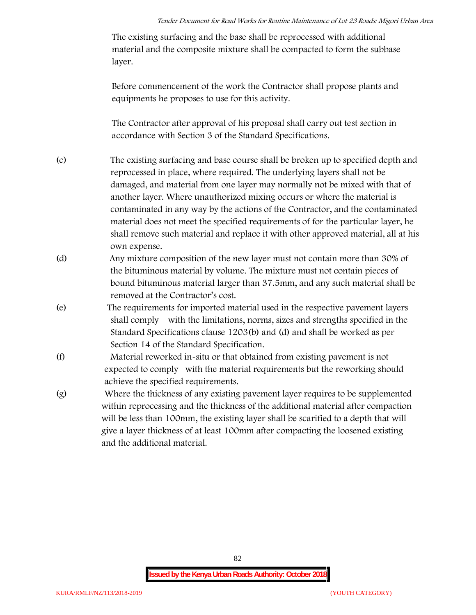The existing surfacing and the base shall be reprocessed with additional material and the composite mixture shall be compacted to form the subbase layer.

Before commencement of the work the Contractor shall propose plants and equipments he proposes to use for this activity.

The Contractor after approval of his proposal shall carry out test section in accordance with Section 3 of the Standard Specifications.

- (c) The existing surfacing and base course shall be broken up to specified depth and reprocessed in place, where required. The underlying layers shall not be damaged, and material from one layer may normally not be mixed with that of another layer. Where unauthorized mixing occurs or where the material is contaminated in any way by the actions of the Contractor, and the contaminated material does not meet the specified requirements of for the particular layer, he shall remove such material and replace it with other approved material, all at his own expense.
- (d) Any mixture composition of the new layer must not contain more than 30% of the bituminous material by volume. The mixture must not contain pieces of bound bituminous material larger than 37.5mm, and any such material shall be removed at the Contractor's cost.
- (e) The requirements for imported material used in the respective pavement layers shall comply with the limitations, norms, sizes and strengths specified in the Standard Specifications clause 1203(b) and (d) and shall be worked as per Section 14 of the Standard Specification.
- (f) Material reworked in-situ or that obtained from existing pavement is not expected to comply with the material requirements but the reworking should achieve the specified requirements.
- (g) Where the thickness of any existing pavement layer requires to be supplemented within reprocessing and the thickness of the additional material after compaction will be less than 100mm, the existing layer shall be scarified to a depth that will give a layer thickness of at least 100mm after compacting the loosened existing and the additional material.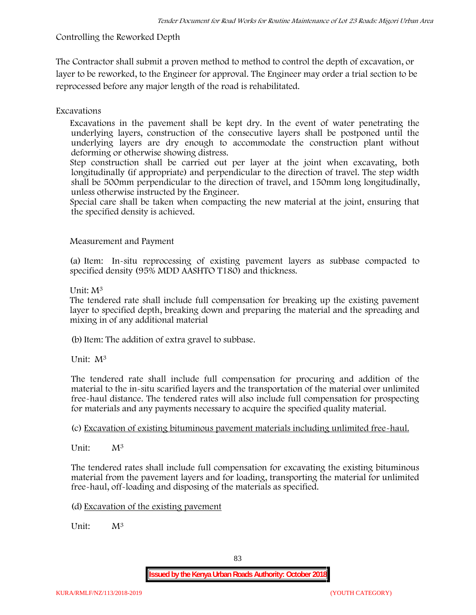# **Controlling the Reworked Depth**

The Contractor shall submit a proven method to method to control the depth of excavation, or layer to be reworked, to the Engineer for approval. The Engineer may order a trial section to be reprocessed before any major length of the road is rehabilitated.

# **Excavations**

Excavations in the pavement shall be kept dry. In the event of water penetrating the underlying layers, construction of the consecutive layers shall be postponed until the underlying layers are dry enough to accommodate the construction plant without deforming or otherwise showing distress.

Step construction shall be carried out per layer at the joint when excavating, both longitudinally (if appropriate) and perpendicular to the direction of travel. The step width shall be 500mm perpendicular to the direction of travel, and 150mm long longitudinally, unless otherwise instructed by the Engineer.

Special care shall be taken when compacting the new material at the joint, ensuring that the specified density is achieved.

# **Measurement and Payment**

(a) Item: In-situ reprocessing of existing pavement layers as subbase compacted to specified density (95% MDD AASHTO T180) and thickness.

# Unit: M<sup>3</sup>

The tendered rate shall include full compensation for breaking up the existing pavement layer to specified depth, breaking down and preparing the material and the spreading and mixing in of any additional material

(b)Item: The addition of extra gravel to subbase.

Unit: M<sup>3</sup>

The tendered rate shall include full compensation for procuring and addition of the material to the in-situ scarified layers and the transportation of the material over unlimited free-haul distance. The tendered rates will also include full compensation for prospecting for materials and any payments necessary to acquire the specified quality material.

(c) Excavation of existing bituminous pavement materials including unlimited free-haul.

Unit: M<sup>3</sup>

The tendered rates shall include full compensation for excavating the existing bituminous material from the pavement layers and for loading, transporting the material for unlimited free-haul, off-loading and disposing of the materials as specified.

(d) Excavation of the existing pavement

Unit:  $M^3$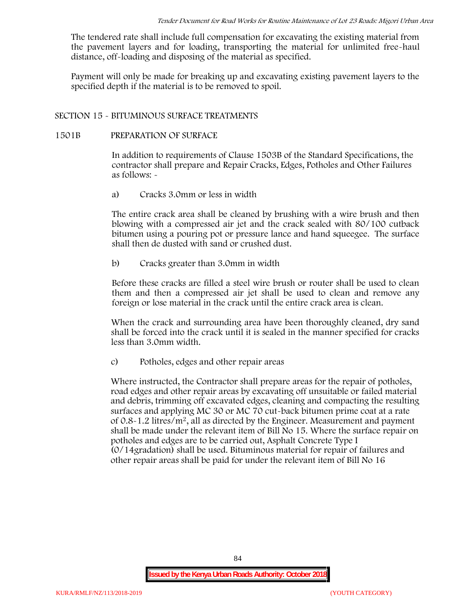The tendered rate shall include full compensation for excavating the existing material from the pavement layers and for loading, transporting the material for unlimited free-haul distance, off-loading and disposing of the material as specified.

Payment will only be made for breaking up and excavating existing pavement layers to the specified depth if the material is to be removed to spoil.

## **SECTION 15 - BITUMINOUS SURFACE TREATMENTS**

#### **1501B PREPARATION OF SURFACE**

In addition to requirements of Clause 1503B of the Standard Specifications, the contractor shall prepare and Repair Cracks, Edges, Potholes and Other Failures as follows: **-**

a) **Cracks 3.0mm or less in width**

The entire crack area shall be cleaned by brushing with a wire brush and then blowing with a compressed air jet and the crack sealed with 80/100 cutback bitumen using a pouring pot or pressure lance and hand squeegee. The surface shall then de dusted with sand or crushed dust.

b) **Cracks greater than 3.0mm in width**

Before these cracks are filled a steel wire brush or router shall be used to clean them and then a compressed air jet shall be used to clean and remove any foreign or lose material in the crack until the entire crack area is clean.

When the crack and surrounding area have been thoroughly cleaned, dry sand shall be forced into the crack until it is sealed in the manner specified for cracks less than 3.0mm width.

c) **Potholes, edges and other repair areas**

Where instructed, the Contractor shall prepare areas for the repair of potholes, road edges and other repair areas by excavating off unsuitable or failed material and debris, trimming off excavated edges, cleaning and compacting the resulting surfaces and applying MC 30 or MC 70 cut-back bitumen prime coat at a rate of  $0.8-1.2$  litres/m<sup>2</sup>, all as directed by the Engineer. Measurement and payment shall be made under the relevant item of Bill No 15. Where the surface repair on potholes and edges are to be carried out, Asphalt Concrete Type I (0/14gradation) shall be used. Bituminous material for repair of failures and other repair areas shall be paid for under the relevant item of Bill No 16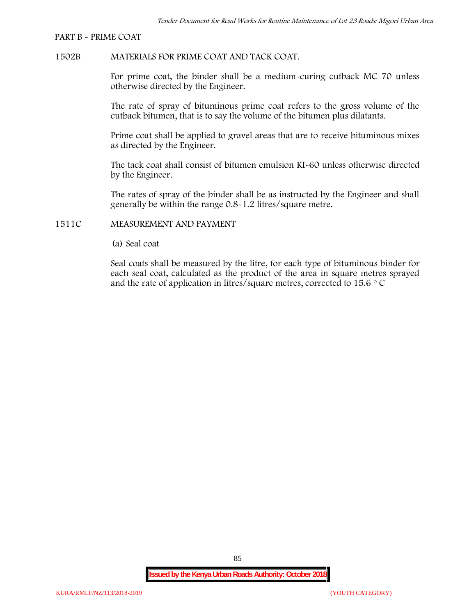#### **PART B - PRIME COAT**

## **1502B MATERIALS FOR PRIME COAT AND TACK COAT.**

For prime coat, the binder shall be a medium-curing cutback MC 70 unless otherwise directed by the Engineer.

The rate of spray of bituminous prime coat refers to the gross volume of the cutback bitumen, that is to say the volume of the bitumen plus dilatants.

Prime coat shall be applied to gravel areas that are to receive bituminous mixes as directed by the Engineer.

The tack coat shall consist of bitumen emulsion KI-60 unless otherwise directed by the Engineer.

The rates of spray of the binder shall be as instructed by the Engineer and shall generally be within the range 0.8-1.2 litres/square metre.

## **1511C MEASUREMENT AND PAYMENT**

(a) Seal coat

Seal coats shall be measured by the litre, for each type of bituminous binder for each seal coat, calculated as the product of the area in square metres sprayed and the rate of application in litres/square metres, corrected to 15.6  $\circ$  C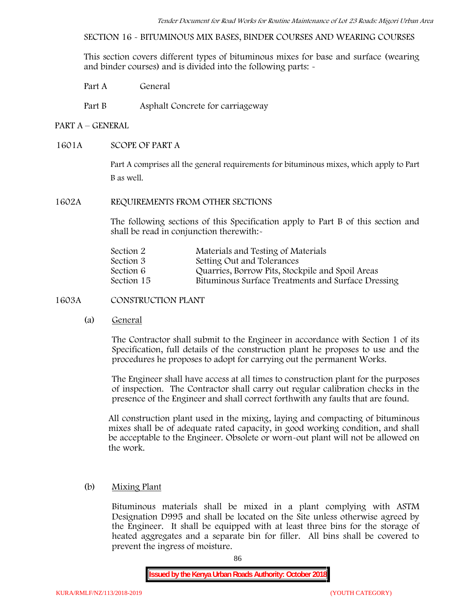**SECTION 16 - BITUMINOUS MIX BASES, BINDER COURSES AND WEARING COURSES**

This section covers different types of bituminous mixes for base and surface (wearing and binder courses) and is divided into the following parts: -

Part A General

Part B Asphalt Concrete for carriageway

# **PART A –GENERAL**

# **1601A SCOPE OF PART A**

Part A comprises all the general requirements for bituminous mixes, which apply to Part B as well.

### **1602A REQUIREMENTS FROM OTHER SECTIONS**

The following sections of this Specification apply to Part B of this section and shall be read in conjunction therewith:-

| Materials and Testing of Materials                 |
|----------------------------------------------------|
| Setting Out and Tolerances                         |
| Quarries, Borrow Pits, Stockpile and Spoil Areas   |
| Bituminous Surface Treatments and Surface Dressing |
|                                                    |

# **1603A CONSTRUCTION PLANT**

(a) **General**

The Contractor shall submit to the Engineer in accordance with Section 1 of its Specification, full details of the construction plant he proposes to use and the procedures he proposes to adopt for carrying out the permanent Works.

The Engineer shall have access at all times to construction plant for the purposes of inspection. The Contractor shall carry out regular calibration checks in the presence of the Engineer and shall correct forthwith any faults that are found.

All construction plant used in the mixing, laying and compacting of bituminous mixes shall be of adequate rated capacity, in good working condition, and shall be acceptable to the Engineer. Obsolete or worn-out plant will not be allowed on the work.

# (b) **Mixing Plant**

Bituminous materials shall be mixed in a plant complying with ASTM Designation D995 and shall be located on the Site unless otherwise agreed by the Engineer. It shall be equipped with at least three bins for the storage of heated aggregates and a separate bin for filler. All bins shall be covered to prevent the ingress of moisture.

86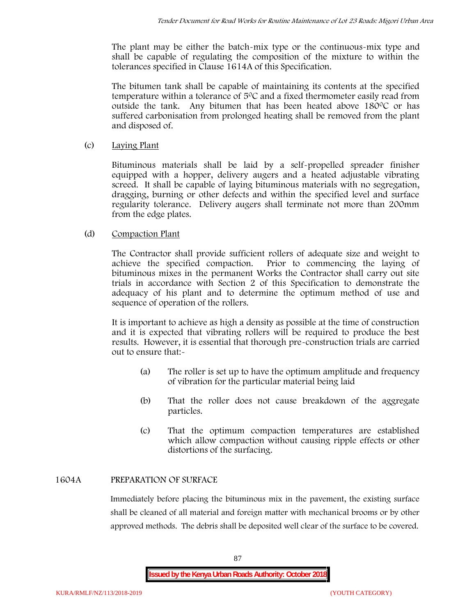The plant may be either the batch-mix type or the continuous-mix type and shall be capable of regulating the composition of the mixture to within the tolerances specified in Clause 1614A of this Specification.

The bitumen tank shall be capable of maintaining its contents at the specified temperature within a tolerance of  $5^{\circ}$ C and a fixed thermometer easily read from outside the tank. Any bitumen that has been heated above  $180^{\circ}$ C or has suffered carbonisation from prolonged heating shall be removed from the plant and disposed of.

# (c) **Laying Plant**

Bituminous materials shall be laid by a self-propelled spreader finisher equipped with a hopper, delivery augers and a heated adjustable vibrating screed. It shall be capable of laying bituminous materials with no segregation, dragging, burning or other defects and within the specified level and surface regularity tolerance. Delivery augers shall terminate not more than 200mm from the edge plates.

# (d) **Compaction Plant**

The Contractor shall provide sufficient rollers of adequate size and weight to achieve the specified compaction. Prior to commencing the laying of bituminous mixes in the permanent Works the Contractor shall carry out site trials in accordance with Section 2 of this Specification to demonstrate the adequacy of his plant and to determine the optimum method of use and sequence of operation of the rollers.

It is important to achieve as high a density as possible at the time of construction and it is expected that vibrating rollers will be required to produce the best results. However, it is essential that thorough pre-construction trials are carried out to ensure that:-

- (a) The roller is set up to have the optimum amplitude and frequency of vibration for the particular material being laid
- (b) That the roller does not cause breakdown of the aggregate particles.
- (c) That the optimum compaction temperatures are established which allow compaction without causing ripple effects or other distortions of the surfacing.

# **1604A PREPARATION OF SURFACE**

Immediately before placing the bituminous mix in the pavement, the existing surface shall be cleaned of all material and foreign matter with mechanical brooms or by other approved methods. The debris shall be deposited well clear of the surface to be covered.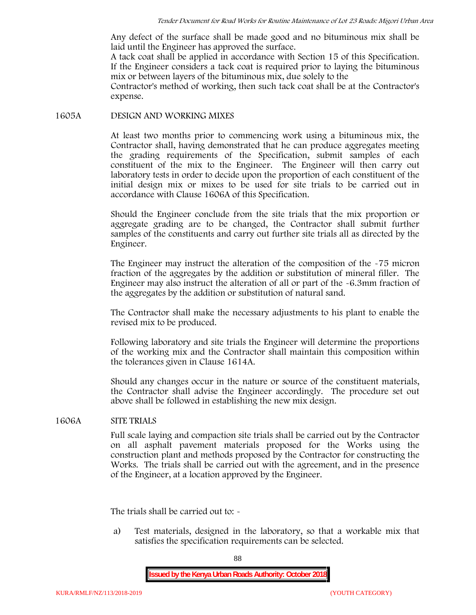Any defect of the surface shall be made good and no bituminous mix shall be laid until the Engineer has approved the surface.

A tack coat shall be applied in accordance with Section 15 of this Specification. If the Engineer considers a tack coat is required prior to laying the bituminous mix or between layers of the bituminous mix, due solely to the

Contractor's method of working, then such tack coat shall be at the Contractor's expense.

### **1605A DESIGN AND WORKING MIXES**

At least two months prior to commencing work using a bituminous mix, the Contractor shall, having demonstrated that he can produce aggregates meeting the grading requirements of the Specification, submit samples of each constituent of the mix to the Engineer. The Engineer will then carry out laboratory tests in order to decide upon the proportion of each constituent of the initial design mix or mixes to be used for site trials to be carried out in accordance with Clause 1606A of this Specification.

Should the Engineer conclude from the site trials that the mix proportion or aggregate grading are to be changed, the Contractor shall submit further samples of the constituents and carry out further site trials all as directed by the Engineer.

The Engineer may instruct the alteration of the composition of the -75 micron fraction of the aggregates by the addition or substitution of mineral filler. The Engineer may also instruct the alteration of all or part of the -6.3mm fraction of the aggregates by the addition or substitution of natural sand.

The Contractor shall make the necessary adjustments to his plant to enable the revised mix to be produced.

Following laboratory and site trials the Engineer will determine the proportions of the working mix and the Contractor shall maintain this composition within the tolerances given in Clause 1614A.

Should any changes occur in the nature or source of the constituent materials, the Contractor shall advise the Engineer accordingly. The procedure set out above shall be followed in establishing the new mix design.

# **1606A SITE TRIALS**

Full scale laying and compaction site trials shall be carried out by the Contractor on all asphalt pavement materials proposed for the Works using the construction plant and methods proposed by the Contractor for constructing the Works. The trials shall be carried out with the agreement, and in the presence of the Engineer, at a location approved by the Engineer.

The trials shall be carried out to: -

a) Test materials, designed in the laboratory, so that a workable mix that satisfies the specification requirements can be selected.

88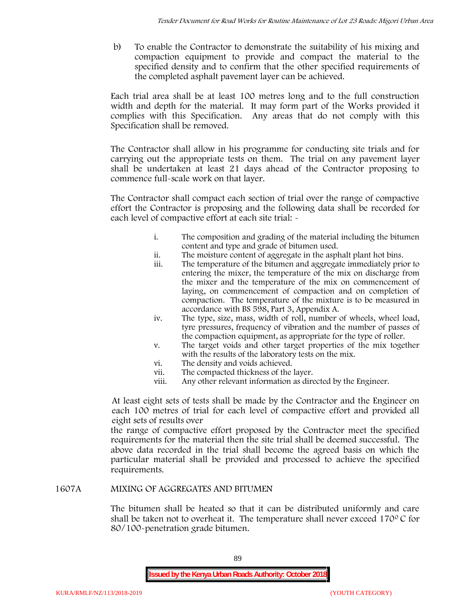b) To enable the Contractor to demonstrate the suitability of his mixing and compaction equipment to provide and compact the material to the specified density and to confirm that the other specified requirements of the completed asphalt pavement layer can be achieved.

Each trial area shall be at least 100 metres long and to the full construction width and depth for the material. It may form part of the Works provided it complies with this Specification. Any areas that do not comply with this Specification shall be removed.

The Contractor shall allow in his programme for conducting site trials and for carrying out the appropriate tests on them. The trial on any pavement layer shall be undertaken at least 21 days ahead of the Contractor proposing to commence full-scale work on that layer.

The Contractor shall compact each section of trial over the range of compactive effort the Contractor is proposing and the following data shall be recorded for each level of compactive effort at each site trial:  $\sim$ 

- i. The composition and grading of the material including the bitumen content and type and grade of bitumen used.
- ii. The moisture content of aggregate in the asphalt plant hot bins.
- iii. The temperature of the bitumen and aggregate immediately prior to entering the mixer, the temperature of the mix on discharge from the mixer and the temperature of the mix on commencement of laying, on commencement of compaction and on completion of compaction. The temperature of the mixture is to be measured in accordance with BS 598, Part 3, Appendix A.
- iv. The type, size, mass, width of roll, number of wheels, wheel load, tyre pressures, frequency of vibration and the number of passes of the compaction equipment, as appropriate for the type of roller.
- v. The target voids and other target properties of the mix together with the results of the laboratory tests on the mix.
- vi. The density and voids achieved.
- vii. The compacted thickness of the layer.
- viii. Any other relevant information as directed by the Engineer.

At least eight sets of tests shall be made by the Contractor and the Engineer on each 100 metres of trial for each level of compactive effort and provided all eight sets of results over

the range of compactive effort proposed by the Contractor meet the specified requirements for the material then the site trial shall be deemed successful. The above data recorded in the trial shall become the agreed basis on which the particular material shall be provided and processed to achieve the specified requirements.

# **1607A MIXING OF AGGREGATES AND BITUMEN**

The bitumen shall be heated so that it can be distributed uniformly and care shall be taken not to overheat it. The temperature shall never exceed 170 $\degree$ C for 80/100-penetration grade bitumen.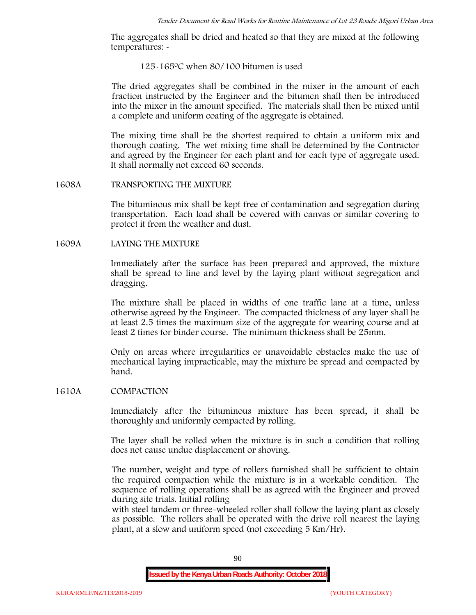The aggregates shall be dried and heated so that they are mixed at the following temperatures: -

#### 125-1650C when 80/100 bitumen is used

The dried aggregates shall be combined in the mixer in the amount of each fraction instructed by the Engineer and the bitumen shall then be introduced into the mixer in the amount specified. The materials shall then be mixed until a complete and uniform coating of the aggregate is obtained.

The mixing time shall be the shortest required to obtain a uniform mix and thorough coating. The wet mixing time shall be determined by the Contractor and agreed by the Engineer for each plant and for each type of aggregate used. It shall normally not exceed 60 seconds.

#### **1608A TRANSPORTING THE MIXTURE**

The bituminous mix shall be kept free of contamination and segregation during transportation. Each load shall be covered with canvas or similar covering to protect it from the weather and dust.

### **1609A LAYING THE MIXTURE**

Immediately after the surface has been prepared and approved, the mixture shall be spread to line and level by the laying plant without segregation and dragging.

The mixture shall be placed in widths of one traffic lane at a time, unless otherwise agreed by the Engineer. The compacted thickness of any layer shall be at least 2.5 times the maximum size of the aggregate for wearing course and at least 2 times for binder course. The minimum thickness shall be 25mm.

Only on areas where irregularities or unavoidable obstacles make the use of mechanical laying impracticable, may the mixture be spread and compacted by hand.

#### **1610A COMPACTION**

Immediately after the bituminous mixture has been spread, it shall be thoroughly and uniformly compacted by rolling.

The layer shall be rolled when the mixture is in such a condition that rolling does not cause undue displacement or shoving.

The number, weight and type of rollers furnished shall be sufficient to obtain the required compaction while the mixture is in a workable condition. The sequence of rolling operations shall be as agreed with the Engineer and proved during site trials. Initial rolling

with steel tandem or three-wheeled roller shall follow the laying plant as closely as possible. The rollers shall be operated with the drive roll nearest the laying plant, at a slow and uniform speed (not exceeding 5 Km/Hr).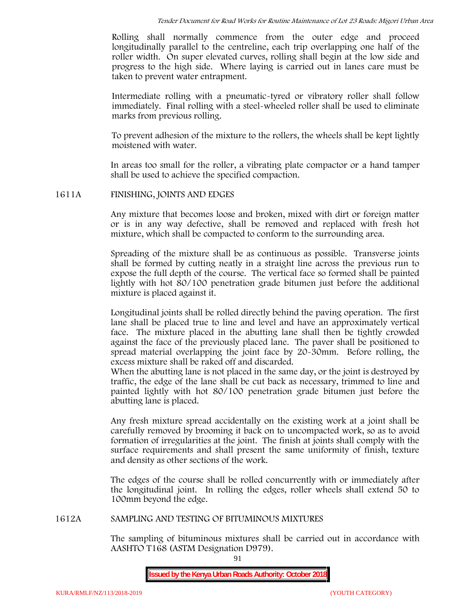Rolling shall normally commence from the outer edge and proceed longitudinally parallel to the centreline, each trip overlapping one half of the roller width. On super elevated curves, rolling shall begin at the low side and progress to the high side. Where laying is carried out in lanes care must be taken to prevent water entrapment.

Intermediate rolling with a pneumatic-tyred or vibratory roller shall follow immediately. Final rolling with a steel-wheeled roller shall be used to eliminate marks from previous rolling.

To prevent adhesion of the mixture to the rollers, the wheels shall be kept lightly moistened with water.

In areas too small for the roller, a vibrating plate compactor or a hand tamper shall be used to achieve the specified compaction.

### **1611A FINISHING, JOINTS AND EDGES**

Any mixture that becomes loose and broken, mixed with dirt or foreign matter or is in any way defective, shall be removed and replaced with fresh hot mixture, which shall be compacted to conform to the surrounding area.

Spreading of the mixture shall be as continuous as possible. Transverse joints shall be formed by cutting neatly in a straight line across the previous run to expose the full depth of the course. The vertical face so formed shall be painted lightly with hot 80/100 penetration grade bitumen just before the additional mixture is placed against it.

Longitudinal joints shall be rolled directly behind the paving operation. The first lane shall be placed true to line and level and have an approximately vertical face. The mixture placed in the abutting lane shall then be tightly crowded against the face of the previously placed lane. The paver shall be positioned to spread material overlapping the joint face by 20-30mm. Before rolling, the excess mixture shall be raked off and discarded.

When the abutting lane is not placed in the same day, or the joint is destroyed by traffic, the edge of the lane shall be cut back as necessary, trimmed to line and painted lightly with hot 80/100 penetration grade bitumen just before the abutting lane is placed.

Any fresh mixture spread accidentally on the existing work at a joint shall be carefully removed by brooming it back on to uncompacted work, so as to avoid formation of irregularities at the joint. The finish at joints shall comply with the surface requirements and shall present the same uniformity of finish, texture and density as other sections of the work.

The edges of the course shall be rolled concurrently with or immediately after the longitudinal joint. In rolling the edges, roller wheels shall extend 50 to 100mm beyond the edge.

#### **1612A SAMPLING AND TESTING OF BITUMINOUS MIXTURES**

The sampling of bituminous mixtures shall be carried out in accordance with AASHTO T168 (ASTM Designation D979).

91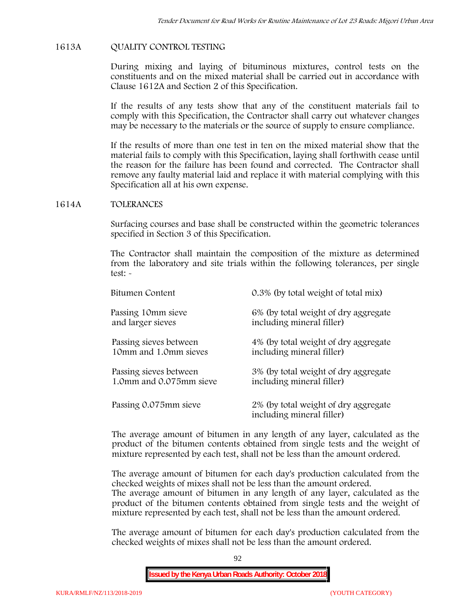# **1613A QUALITY CONTROL TESTING**

During mixing and laying of bituminous mixtures, control tests on the constituents and on the mixed material shall be carried out in accordance with Clause 1612A and Section 2 of this Specification.

If the results of any tests show that any of the constituent materials fail to comply with this Specification, the Contractor shall carry out whatever changes may be necessary to the materials or the source of supply to ensure compliance.

If the results of more than one test in ten on the mixed material show that the material fails to comply with this Specification, laying shall forthwith cease until the reason for the failure has been found and corrected. The Contractor shall remove any faulty material laid and replace it with material complying with this Specification all at his own expense.

### **1614A TOLERANCES**

Surfacing courses and base shall be constructed within the geometric tolerances specified in Section 3 of this Specification.

The Contractor shall maintain the composition of the mixture as determined from the laboratory and site trials within the following tolerances, per single test: -

| Bitumen Content         | 0.3% (by total weight of total mix)                               |
|-------------------------|-------------------------------------------------------------------|
| Passing 10mm sieve      | 6% (by total weight of dry aggregate                              |
| and larger sieves       | including mineral filler)                                         |
| Passing sieves between  | 4% (by total weight of dry aggregate                              |
| 10mm and 1.0mm sieves   | including mineral filler)                                         |
| Passing sieves between  | 3% (by total weight of dry aggregate                              |
| 1.0mm and 0.075mm sieve | including mineral filler)                                         |
| Passing 0.075mm sieve   | 2% (by total weight of dry aggregate<br>including mineral filler) |

The average amount of bitumen in any length of any layer, calculated as the product of the bitumen contents obtained from single tests and the weight of mixture represented by each test, shall not be less than the amount ordered.

The average amount of bitumen for each day's production calculated from the checked weights of mixes shall not be less than the amount ordered.

The average amount of bitumen in any length of any layer, calculated as the product of the bitumen contents obtained from single tests and the weight of mixture represented by each test, shall not be less than the amount ordered.

The average amount of bitumen for each day's production calculated from the checked weights of mixes shall not be less than the amount ordered.

92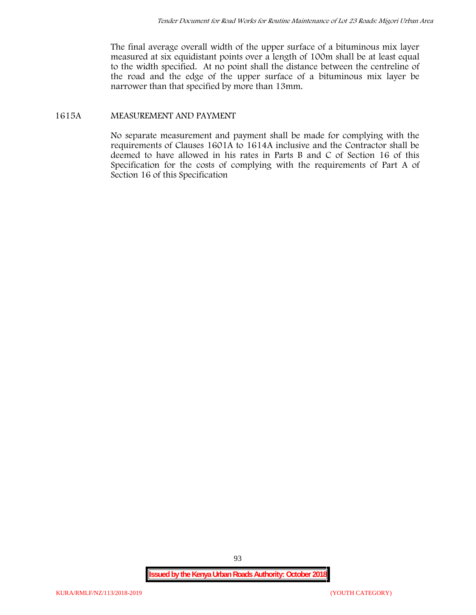The final average overall width of the upper surface of a bituminous mix layer measured at six equidistant points over a length of 100m shall be at least equal to the width specified. At no point shall the distance between the centreline of the road and the edge of the upper surface of a bituminous mix layer be narrower than that specified by more than 13mm.

# **1615A MEASUREMENT AND PAYMENT**

No separate measurement and payment shall be made for complying with the requirements of Clauses 1601A to 1614A inclusive and the Contractor shall be deemed to have allowed in his rates in Parts B and C of Section 16 of this Specification for the costs of complying with the requirements of Part A of Section 16 of this Specification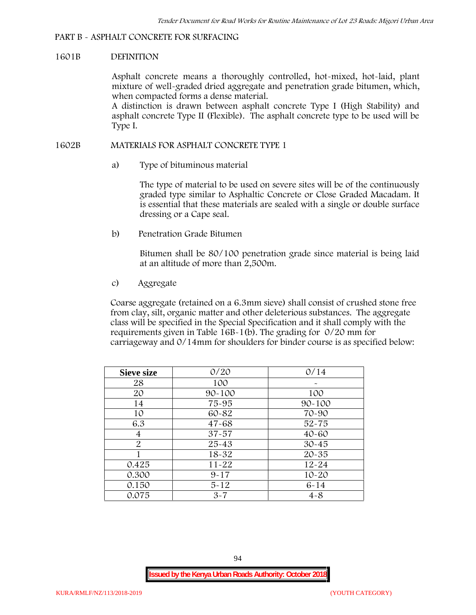# **PART B - ASPHALT CONCRETE FOR SURFACING**

#### **1601B DEFINITION**

Asphalt concrete means a thoroughly controlled, hot-mixed, hot-laid, plant mixture of well-graded dried aggregate and penetration grade bitumen, which, when compacted forms a dense material.

A distinction is drawn between asphalt concrete Type I (High Stability) and asphalt concrete Type II (Flexible). The asphalt concrete type to be used will be Type I.

## **1602B MATERIALS FOR ASPHALT CONCRETE TYPE 1**

a) **Type of bituminous material**

The type of material to be used on severe sites will be of the continuously graded type similar to Asphaltic Concrete or Close Graded Macadam. It is essential that these materials are sealed with a single or double surface dressing or a Cape seal.

b) **Penetration Grade Bitumen**

Bitumen shall be 80/100 penetration grade since material is being laid at an altitude of more than 2,500m.

c) **Aggregate**

Coarse aggregate (retained on a 6.3mm sieve) shall consist of crushed stone free from clay, silt, organic matter and other deleterious substances. The aggregate class will be specified in the Special Specification and it shall comply with the requirements given in Table 16B-1(b). The grading for 0/20 mm for carriageway and 0/14mm for shoulders for binder course is as specified below:

| <b>Sieve size</b> | 0/20       | 0/14       |  |  |  |
|-------------------|------------|------------|--|--|--|
| 28                | 100        |            |  |  |  |
| 20                | $90 - 100$ | 100        |  |  |  |
| 14                | 75-95      | $90 - 100$ |  |  |  |
| 10                | 60-82      | 70-90      |  |  |  |
| 6.3               | $47 - 68$  | $52 - 75$  |  |  |  |
| 4                 | $37 - 57$  | $40 - 60$  |  |  |  |
| $\overline{2}$    | 25-43      | $30 - 45$  |  |  |  |
|                   | 18-32      | $20 - 35$  |  |  |  |
| 0.425             | $11 - 22$  | $12 - 24$  |  |  |  |
| 0.300             | $9 - 17$   | $10 - 20$  |  |  |  |
| 0.150             | $5 - 12$   | $6 - 14$   |  |  |  |
| 0.075             | $3 - 7$    | $4 - 8$    |  |  |  |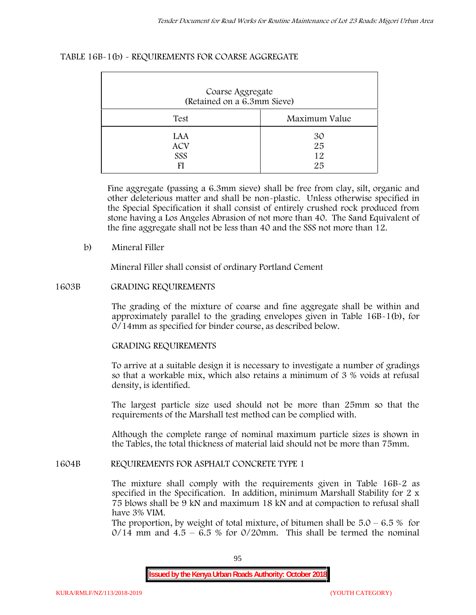## **TABLE 16B-1(b) - REQUIREMENTS FOR COARSE AGGREGATE**

| Coarse Aggregate<br>(Retained on a 6.3mm Sieve) |                      |  |  |  |  |
|-------------------------------------------------|----------------------|--|--|--|--|
| Test                                            | Maximum Value        |  |  |  |  |
| LAA<br><b>ACV</b><br>SSS                        | 30<br>25<br>12<br>25 |  |  |  |  |

Fine aggregate (passing a 6.3mm sieve) shall be free from clay, silt, organic and other deleterious matter and shall be non-plastic. Unless otherwise specified in the Special Specification it shall consist of entirely crushed rock produced from stone having a Los Angeles Abrasion of not more than 40. The Sand Equivalent of the fine aggregate shall not be less than 40 and the SSS not more than 12.

### **b) Mineral Filler**

Mineral Filler shall consist of ordinary Portland Cement

### **1603B GRADING REQUIREMENTS**

The grading of the mixture of coarse and fine aggregate shall be within and approximately parallel to the grading envelopes given in Table 16B-1(b), for 0/14mm as specified for binder course, as described below.

# **GRADING REQUIREMENTS**

To arrive at a suitable design it is necessary to investigate a number of gradings so that a workable mix, which also retains a minimum of 3 % voids at refusal density, is identified.

The largest particle size used should not be more than 25mm so that the requirements of the Marshall test method can be complied with.

Although the complete range of nominal maximum particle sizes is shown in the Tables, the total thickness of material laid should not be more than 75mm.

#### **1604B REQUIREMENTS FOR ASPHALT CONCRETE TYPE 1**

The mixture shall comply with the requirements given in Table 16B-2 as specified in the Specification. In addition, minimum Marshall Stability for 2 x 75 blows shall be 9 kN and maximum 18 kN and at compaction to refusal shall have 3% VIM.

The proportion, by weight of total mixture, of bitumen shall be  $5.0 - 6.5 %$  for  $0/14$  mm and  $4.5 - 6.5$  % for  $0/20$ mm. This shall be termed the nominal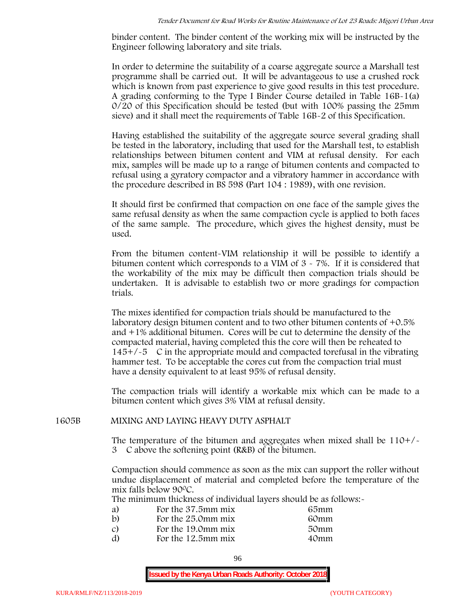binder content. The binder content of the working mix will be instructed by the Engineer following laboratory and site trials.

In order to determine the suitability of a coarse aggregate source a Marshall test programme shall be carried out. It will be advantageous to use a crushed rock which is known from past experience to give good results in this test procedure. A grading conforming to the Type I Binder Course detailed in Table 16B-1(a) 0/20 of this Specification should be tested (but with 100% passing the 25mm sieve) and it shall meet the requirements of Table 16B-2 of this Specification.

Having established the suitability of the aggregate source several grading shall be tested in the laboratory, including that used for the Marshall test, to establish relationships between bitumen content and VIM at refusal density. For each mix, samples will be made up to a range of bitumen contents and compacted to refusal using a gyratory compactor and a vibratory hammer in accordance with the procedure described in BS 598 (Part 104 : 1989), with one revision.

It should first be confirmed that compaction on one face of the sample gives the same refusal density as when the same compaction cycle is applied to both faces of the same sample. The procedure, which gives the highest density, must be used.

From the bitumen content-VIM relationship it will be possible to identify a bitumen content which corresponds to a VIM of 3 - 7%. If it is considered that the workability of the mix may be difficult then compaction trials should be undertaken. It is advisable to establish two or more gradings for compaction trials.

The mixes identified for compaction trials should be manufactured to the laboratory design bitumen content and to two other bitumen contents of +0.5% and +1% additional bitumen. Cores will be cut to determine the density of the compacted material, having completed this the core will then be reheated to  $145+/5$  C in the appropriate mould and compacted torefusal in the vibrating hammer test. To be acceptable the cores cut from the compaction trial must have a density equivalent to at least 95% of refusal density.

The compaction trials will identify a workable mix which can be made to a bitumen content which gives 3% VIM at refusal density.

#### **1605B MIXING AND LAYING HEAVY DUTY ASPHALT**

The temperature of the bitumen and aggregates when mixed shall be  $110+/$ 3C above the softening point (R&B) of the bitumen.

Compaction should commence as soon as the mix can support the roller without undue displacement of material and completed before the temperature of the mix falls below 900C.

The minimum thickness of individual layers should be as follows:-

| a) | For the 37.5mm mix | 65mm |  |
|----|--------------------|------|--|
| b) | For the 25.0mm mix | 60mm |  |
| C) | For the 19.0mm mix | 50mm |  |
| d) | For the 12.5mm mix | 40mm |  |
|    |                    |      |  |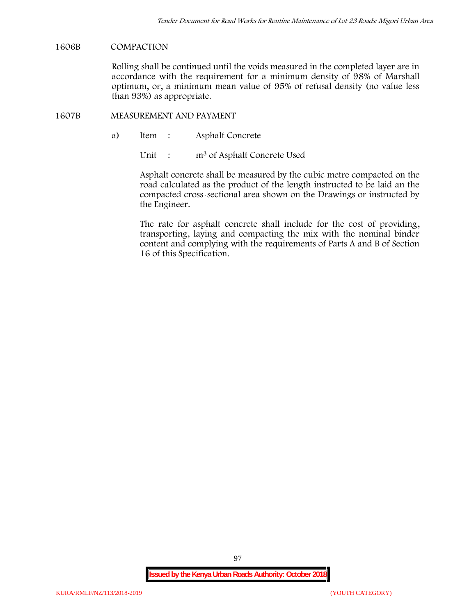### **1606B COMPACTION**

Rolling shall be continued until the voids measured in the completed layer are in accordance with the requirement for a minimum density of 98% of Marshall optimum, or, a minimum mean value of 95% of refusal density (no value less than 93%) as appropriate.

#### **1607B MEASUREMENT AND PAYMENT**

a) Item : Asphalt Concrete

Unit : m<sup>3</sup> of Asphalt Concrete Used

Asphalt concrete shall be measured by the cubic metre compacted on the road calculated as the product of the length instructed to be laid an the compacted cross-sectional area shown on the Drawings or instructed by the Engineer.

The rate for asphalt concrete shall include for the cost of providing, transporting, laying and compacting the mix with the nominal binder content and complying with the requirements of Parts A and B of Section 16 of this Specification.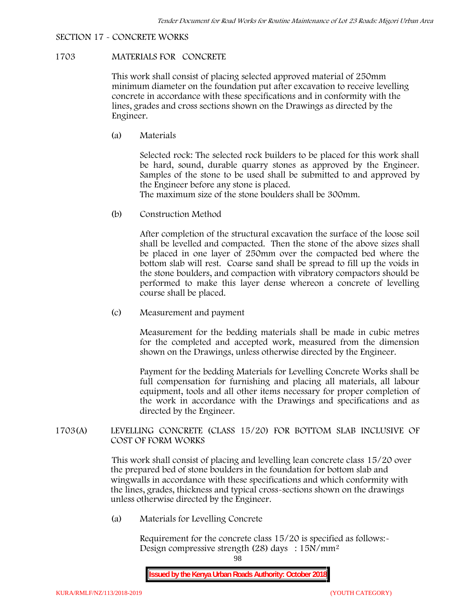# **SECTION 17 - CONCRETE WORKS**

# **1703 MATERIALS FOR CONCRETE**

This work shall consist of placing selected approved material of 250mm minimum diameter on the foundation put after excavation to receive levelling concrete in accordance with these specifications and in conformity with the lines, grades and cross sections shown on the Drawings as directed by the Engineer.

(a) **Materials**

Selected rock: The selected rock builders to be placed for this work shall be hard, sound, durable quarry stones as approved by the Engineer. Samples of the stone to be used shall be submitted to and approved by the Engineer before any stone is placed.

The maximum size of the stone boulders shall be 300mm.

(b) **Construction Method**

After completion of the structural excavation the surface of the loose soil shall be levelled and compacted. Then the stone of the above sizes shall be placed in one layer of 250mm over the compacted bed where the bottom slab will rest. Coarse sand shall be spread to fill up the voids in the stone boulders, and compaction with vibratory compactors should be performed to make this layer dense whereon a concrete of levelling course shall be placed.

(c) **Measurement and payment**

Measurement for the bedding materials shall be made in cubic metres for the completed and accepted work, measured from the dimension shown on the Drawings, unless otherwise directed by the Engineer.

Payment for the bedding Materials for Levelling Concrete Works shall be full compensation for furnishing and placing all materials, all labour equipment, tools and all other items necessary for proper completion of the work in accordance with the Drawings and specifications and as directed by the Engineer.

# **1703(A) LEVELLING CONCRETE (CLASS 15/20) FOR BOTTOM SLAB INCLUSIVE OF COST OF FORM WORKS**

This work shall consist of placing and levelling lean concrete class 15/20 over the prepared bed of stone boulders in the foundation for bottom slab and wingwalls in accordance with these specifications and which conformity with the lines, grades, thickness and typical cross-sections shown on the drawings unless otherwise directed by the Engineer.

(a) **Materials for Levelling Concrete**

Requirement for the concrete class  $15/20$  is specified as follows:-Design compressive strength (28) days : 15N/mm2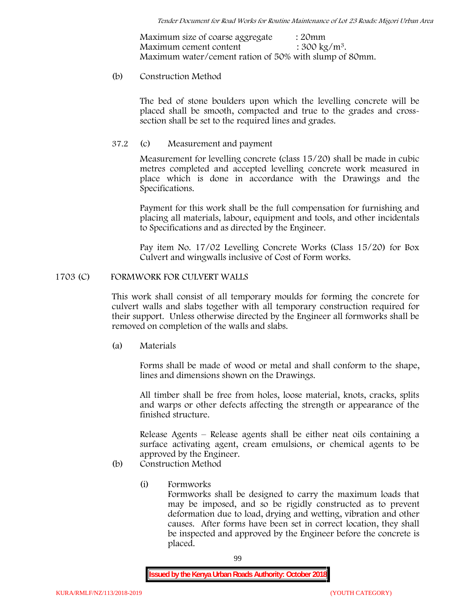Maximum size of coarse aggregate : 20mm Maximum cement content  $: 300 \text{ kg/m}^3$ . Maximum water/cement ration of 50% with slump of 80mm.

## (b) **Construction Method**

The bed of stone boulders upon which the levelling concrete will be placed shall be smooth, compacted and true to the grades and crosssection shall be set to the required lines and grades.

# **37.2** (c) **Measurement and payment**

Measurement for levelling concrete (class 15/20) shall be made in cubic metres completed and accepted levelling concrete work measured in place which is done in accordance with the Drawings and the Specifications.

Payment for this work shall be the full compensation for furnishing and placing all materials, labour, equipment and tools, and other incidentals to Specifications and as directed by the Engineer.

Pay item No. 17/02 Levelling Concrete Works (Class 15/20) for Box Culvert and wingwalls inclusive of Cost of Form works.

### **1703 (C) FORMWORK FOR CULVERT WALLS**

This work shall consist of all temporary moulds for forming the concrete for culvert walls and slabs together with all temporary construction required for their support. Unless otherwise directed by the Engineer all formworks shall be removed on completion of the walls and slabs.

(a) **Materials**

Forms shall be made of wood or metal and shall conform to the shape, lines and dimensions shown on the Drawings.

All timber shall be free from holes, loose material, knots, cracks, splits and warps or other defects affecting the strength or appearance of the finished structure.

Release Agents – Release agents shall be either neat oils containing a surface activating agent, cream emulsions, or chemical agents to be approved by the Engineer.

# (b) **Construction Method**

(i) **Formworks**

Formworks shall be designed to carry the maximum loads that may be imposed, and so be rigidly constructed as to prevent deformation due to load, drying and wetting, vibration and other causes. After forms have been set in correct location, they shall be inspected and approved by the Engineer before the concrete is placed.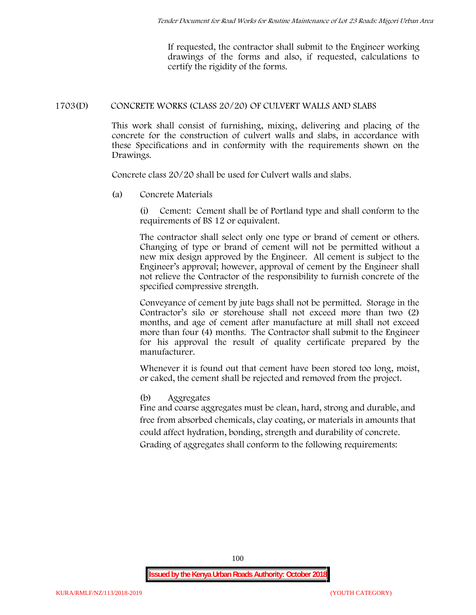If requested, the contractor shall submit to the Engineer working drawings of the forms and also, if requested, calculations to certify the rigidity of the forms.

## **1703(D) CONCRETE WORKS (CLASS 20/20) OF CULVERT WALLS AND SLABS**

This work shall consist of furnishing, mixing, delivering and placing of the concrete for the construction of culvert walls and slabs, in accordance with these Specifications and in conformity with the requirements shown on the Drawings.

Concrete class 20/20 shall be used for Culvert walls and slabs.

**(a) Concrete Materials**

(i) Cement: Cement shall be of Portland type and shall conform to the requirements of BS 12 or equivalent.

The contractor shall select only one type or brand of cement or others. Changing of type or brand of cement will not be permitted without a new mix design approved by the Engineer. All cement is subject to the Engineer's approval; however, approval of cement by the Engineer shall not relieve the Contractor of the responsibility to furnish concrete of the specified compressive strength.

Conveyance of cement by jute bags shall not be permitted. Storage in the Contractor's silo or storehouse shall not exceed more than two (2) months, and age of cement after manufacture at mill shall not exceed more than four (4) months. The Contractor shall submit to the Engineer for his approval the result of quality certificate prepared by the manufacturer.

Whenever it is found out that cement have been stored too long, moist, or caked, the cement shall be rejected and removed from the project.

#### **(b) Aggregates**

Fine and coarse aggregates must be clean, hard, strong and durable, and free from absorbed chemicals, clay coating, or materials in amounts that could affect hydration, bonding, strength and durability of concrete. Grading of aggregates shall conform to the following requirements: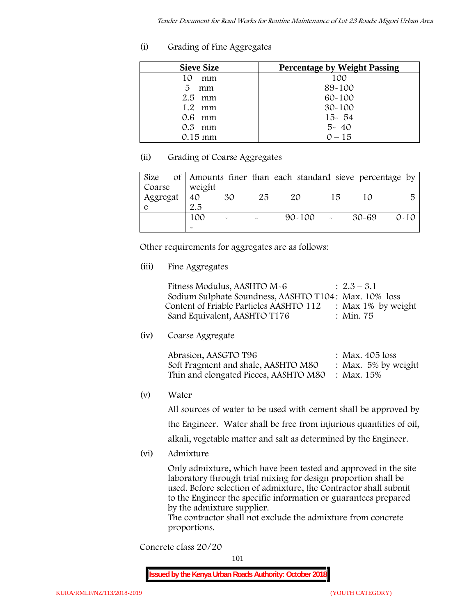**(i) Grading of Fine Aggregates**

| <b>Sieve Size</b> | <b>Percentage by Weight Passing</b> |
|-------------------|-------------------------------------|
| mm<br>10          | 100                                 |
| 5<br>mm           | 89-100                              |
| $2.5$ mm          | $60 - 100$                          |
| 1.2<br>mm         | $30 - 100$                          |
| $0.6$ mm          | $15 - 54$                           |
| $0.3$ mm          | $5 - 40$                            |
| $0.15 \text{ mm}$ | $0 - 15$                            |

# **(ii) Grading of Coarse Aggregates**

| Size     |                       |                       |    | of Amounts finer than each standard sieve percentage by |    |         |          |
|----------|-----------------------|-----------------------|----|---------------------------------------------------------|----|---------|----------|
| Coarse   | weight                |                       |    |                                                         |    |         |          |
| Aggregat | 40                    | 30                    | 25 | 20                                                      | 15 |         | 局        |
|          | 2.5                   |                       |    |                                                         |    |         |          |
|          | 100                   | $\tilde{\phantom{a}}$ |    | $90 - 100$ -                                            |    | - 30-69 | $0 - 10$ |
|          | $\tilde{\phantom{a}}$ |                       |    |                                                         |    |         |          |

Other requirements for aggregates are as follows:

**(iii) Fine Aggregates**

| Fitness Modulus, AASHTO M-6                           | $: 2.3 - 3.1$      |
|-------------------------------------------------------|--------------------|
| Sodium Sulphate Soundness, AASHTO T104: Max. 10% loss |                    |
| Content of Friable Particles AASHTO 112               | : Max 1% by weight |
| Sand Equivalent, AASHTO T176                          | : Min. 75          |

**(iv) Coarse Aggregate**

| Abrasion, AASGTO T96                             | : Max. $405$ loss      |
|--------------------------------------------------|------------------------|
| Soft Fragment and shale, AASHTO M80              | : Max. $5\%$ by weight |
| Thin and elongated Pieces, AASHTO M80 : Max. 15% |                        |

**(v) Water**

All sources of water to be used with cement shall be approved by the Engineer. Water shall be free from injurious quantities of oil, alkali, vegetable matter and salt as determined by the Engineer.

**(vi) Admixture**

Only admixture, which have been tested and approved in the site laboratory through trial mixing for design proportion shall be used. Before selection of admixture, the Contractor shall submit to the Engineer the specific information or guarantees prepared by the admixture supplier.

The contractor shall not exclude the admixture from concrete proportions.

**Concrete class 20/20**

101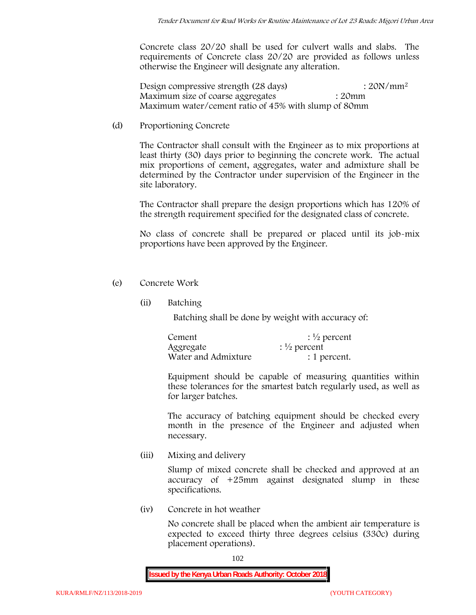Concrete class 20/20 shall be used for culvert walls and slabs. The requirements of Concrete class 20/20 are provided as follows unless otherwise the Engineer will designate any alteration.

Design compressive strength (28 days) : 20N/mm<sup>2</sup> Maximum size of coarse aggregates : 20mm Maximum water/cement ratio of 45% with slump of 80mm

(d) **Proportioning Concrete**

The Contractor shall consult with the Engineer as to mix proportions at least thirty (30) days prior to beginning the concrete work. The actual mix proportions of cement, aggregates, water and admixture shall be determined by the Contractor under supervision of the Engineer in the site laboratory.

The Contractor shall prepare the design proportions which has 120% of the strength requirement specified for the designated class of concrete.

No class of concrete shall be prepared or placed until its job-mix proportions have been approved by the Engineer.

- (e) **Concrete Work**
	- **(ii) Batching**

Batching shall be done by weight with accuracy of:

| Cement              | $\frac{1}{2}$ percent |
|---------------------|-----------------------|
| Aggregate           | $\frac{1}{2}$ percent |
| Water and Admixture | : 1 percent.          |

Equipment should be capable of measuring quantities within these tolerances for the smartest batch regularly used, as well as for larger batches.

The accuracy of batching equipment should be checked every month in the presence of the Engineer and adjusted when necessary.

**(iii) Mixing and delivery**

Slump of mixed concrete shall be checked and approved at an accuracy of +25mm against designated slump in these specifications.

**(iv) Concrete in hot weather**

No concrete shall be placed when the ambient air temperature is expected to exceed thirty three degrees celsius (330c) during placement operations).

102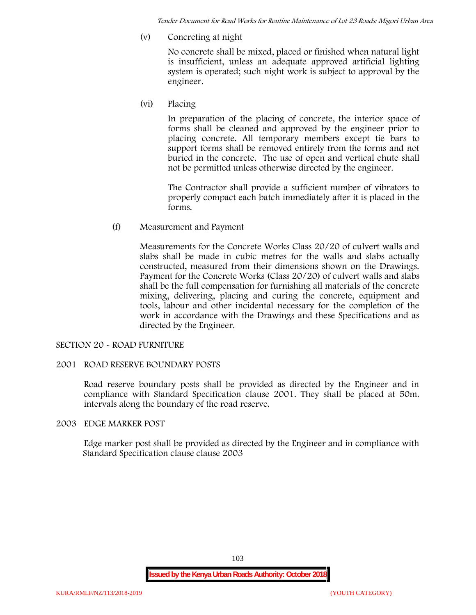*Tender Document for Road Works for Routine Maintenance of Lot 23 Roads: Migori Urban Area*

**(v) Concreting at night**

No concrete shall be mixed, placed or finished when natural light is insufficient, unless an adequate approved artificial lighting system is operated; such night work is subject to approval by the engineer.

**(vi) Placing**

In preparation of the placing of concrete, the interior space of forms shall be cleaned and approved by the engineer prior to placing concrete. All temporary members except tie bars to support forms shall be removed entirely from the forms and not buried in the concrete. The use of open and vertical chute shall not be permitted unless otherwise directed by the engineer.

The Contractor shall provide a sufficient number of vibrators to properly compact each batch immediately after it is placed in the forms.

(f) **Measurement and Payment**

Measurements for the Concrete Works Class 20/20 of culvert walls and slabs shall be made in cubic metres for the walls and slabs actually constructed, measured from their dimensions shown on the Drawings. Payment for the Concrete Works (Class 20/20) of culvert walls and slabs shall be the full compensation for furnishing all materials of the concrete mixing, delivering, placing and curing the concrete, equipment and tools, labour and other incidental necessary for the completion of the work in accordance with the Drawings and these Specifications and as directed by the Engineer.

# **SECTION 20 - ROAD FURNITURE**

# **2001 ROAD RESERVE BOUNDARY POSTS**

Road reserve boundary posts shall be provided as directed by the Engineer and in compliance with Standard Specification clause 2001. They shall be placed at 50m. intervals along the boundary of the road reserve.

#### **2003 EDGE MARKER POST**

Edge marker post shall be provided as directed by the Engineer and in compliance with Standard Specification clause clause 2003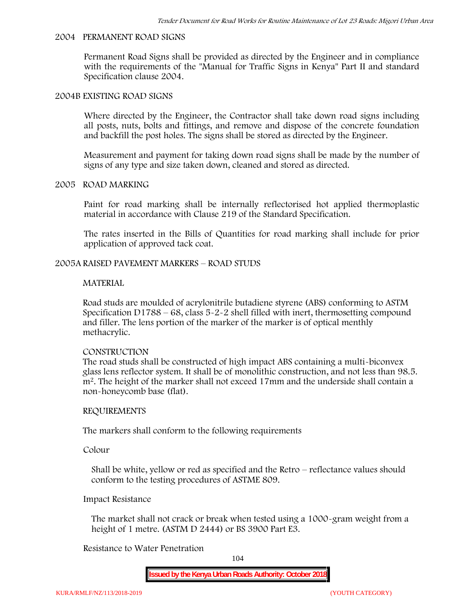#### **2004 PERMANENT ROAD SIGNS**

Permanent Road Signs shall be provided as directed by the Engineer and in compliance with the requirements of the "Manual for Traffic Signs in Kenya" Part II and standard Specification clause 2004.

#### **2004B EXISTING ROAD SIGNS**

Where directed by the Engineer, the Contractor shall take down road signs including all posts, nuts, bolts and fittings, and remove and dispose of the concrete foundation and backfill the post holes. The signs shall be stored as directed by the Engineer.

Measurement and payment for taking down road signs shall be made by the number of signs of any type and size taken down, cleaned and stored as directed.

### **2005 ROAD MARKING**

Paint for road marking shall be internally reflectorised hot applied thermoplastic material in accordance with Clause 219 of the Standard Specification.

The rates inserted in the Bills of Quantities for road marking shall include for prior application of approved tack coat.

### **2005A RAISED PAVEMENT MARKERS – ROAD STUDS**

#### **MATERIAL**

Road studs are moulded of acrylonitrile butadiene styrene (ABS) conforming to ASTM Specification D1788 – 68, class  $5 - 2 - 2$  shell filled with inert, thermosetting compound and filler. The lens portion of the marker of the marker is of optical menthly methacrylic.

#### **CONSTRUCTION**

The road studs shall be constructed of high impact ABS containing a multi-biconvex glass lens reflector system. It shall be of monolithic construction, and not less than 98.5. m2. The height of the marker shall not exceed 17mm and the underside shall contain a non-honeycomb base (flat).

#### **REQUIREMENTS**

The markers shall conform to the following requirements

**Colour**

Shall be white, yellow or red as specified and the Retro – reflectance values should conform to the testing procedures of ASTME 809.

#### **Impact Resistance**

The market shall not crack or break when tested using a 1000**-**gram weight from a height of 1 metre. (ASTM D 2444) or BS 3900 Part E3.

## **Resistance to Water Penetration**

104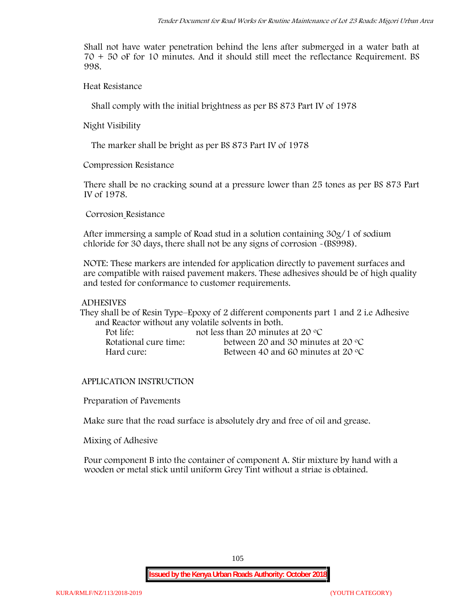Shall not have water penetration behind the lens after submerged in a water bath at 70 + 50 oF for 10 minutes. And it should still meet the reflectance Requirement. BS 998.

**Heat Resistance**

Shall comply with the initial brightness as per BS 873 Part IV of 1978

**Night Visibility**

The marker shall be bright as per BS 873 Part IV of 1978

**Compression Resistance**

There shall be no cracking sound at a pressure lower than 25 tones as per BS 873 Part IV of 1978.

**Corrosion Resistance**

After immersing a sample of Road stud in a solution containing 30g/1 of sodium chloride for 30 days, there shall not be any signs of corrosion **-**(BS998).

**NOTE**: These markers are intended for application directly to pavement surfaces and are compatible with raised pavement makers. These adhesives should be of high quality and tested for conformance to customer requirements.

### **ADHESIVES**

They shall be of Resin Type–Epoxy of 2 different components part 1 and 2 i.e Adhesive and Reactor without any volatile solvents in both.

| Pot life:             | not less than 20 minutes at 20 $\degree$ C  |
|-----------------------|---------------------------------------------|
| Rotational cure time: | between 20 and 30 minutes at 20 $\degree$ C |
| Hard cure:            | Between 40 and 60 minutes at 20 $\degree$ C |

# **APPLICATION INSTRUCTION**

**Preparation of Pavements**

Make sure that the road surface is absolutely dry and free of oil and grease**.**

**Mixing of Adhesive**

Pour component B into the container of component A. Stir mixture by hand with a wooden or metal stick until uniform Grey Tint without a striae is obtained.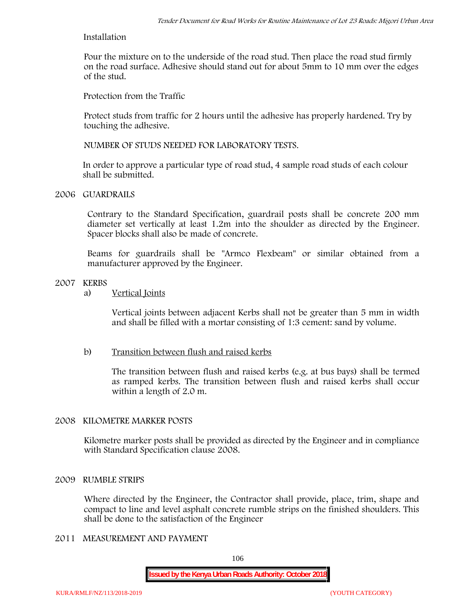## **Installation**

Pour the mixture on to the underside of the road stud. Then place the road stud firmly on the road surface. Adhesive should stand out for about 5mm to 10 mm over the edges of the stud.

**Protection from the Traffic**

Protect studs from traffic for 2 hours until the adhesive has properly hardened. Try by touching the adhesive.

**NUMBER OF STUDS NEEDED FOR LABORATORY TESTS.**

In order to approve a particular type of road stud, 4 sample road studs of each colour shall be submitted.

## **2006 GUARDRAILS**

Contrary to the Standard Specification, guardrail posts shall be concrete 200 mm diameter set vertically at least 1.2m into the shoulder as directed by the Engineer. Spacer blocks shall also be made of concrete.

Beams for guardrails shall be "Armco Flexbeam" or similar obtained from a manufacturer approved by the Engineer.

# **2007 KERBS**

a) **Vertical Joints**

Vertical joints between adjacent Kerbs shall not be greater than 5 mm in width and shall be filled with a mortar consisting of 1:3 cement: sand by volume.

# b) **Transition between flush and raised kerbs**

The transition between flush and raised kerbs (e.g. at bus bays) shall be termed as ramped kerbs. The transition between flush and raised kerbs shall occur within a length of 2.0 m.

# **2008 KILOMETRE MARKER POSTS**

Kilometre marker posts shall be provided as directed by the Engineer and in compliance with Standard Specification clause 2008.

#### **2009 RUMBLE STRIPS**

Where directed by the Engineer, the Contractor shall provide, place, trim, shape and compact to line and level asphalt concrete rumble strips on the finished shoulders. This shall be done to the satisfaction of the Engineer

# **2011 MEASUREMENT AND PAYMENT**

106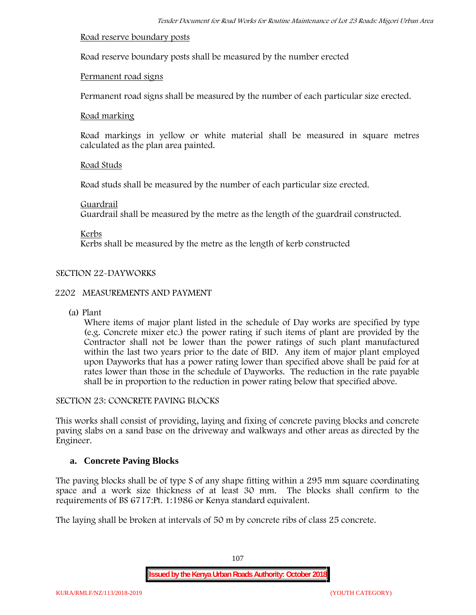### **Road reserve boundary posts**

Road reserve boundary posts shall be measured by the number erected

# **Permanent road signs**

Permanent road signs shall be measured by the number of each particular size erected.

### **Road marking**

Road markings in yellow or white material shall be measured in square metres calculated as the plan area painted.

# **Road Studs**

Road studs shall be measured by the number of each particular size erected.

### **Guardrail**

Guardrail shall be measured by the metre as the length of the guardrail constructed.

**Kerbs**

Kerbs shall be measured by the metre as the length of kerb constructed

# **SECTION 22-DAYWORKS**

# **2202 MEASUREMENTS AND PAYMENT**

(a) Plant

Where items of major plant listed in the schedule of Day works are specified by type (e.g. Concrete mixer etc.) the power rating if such items of plant are provided by the Contractor shall not be lower than the power ratings of such plant manufactured within the last two years prior to the date of BID. Any item of major plant employed upon Dayworks that has a power rating lower than specified above shall be paid for at rates lower than those in the schedule of Dayworks. The reduction in the rate payable shall be in proportion to the reduction in power rating below that specified above.

#### **SECTION 23: CONCRETE PAVING BLOCKS**

This works shall consist of providing, laying and fixing of concrete paving blocks and concrete paving slabs on a sand base on the driveway and walkways and other areas as directed by the Engineer.

# **a. Concrete Paving Blocks**

The paving blocks shall be of type S of any shape fitting within a 295 mm square coordinating space and a work size thickness of at least 30 mm. The blocks shall confirm to the requirements of BS 6717:Pt. 1:1986 or Kenya standard equivalent.

The laying shall be broken at intervals of 50 m by concrete ribs of class 25 concrete.

107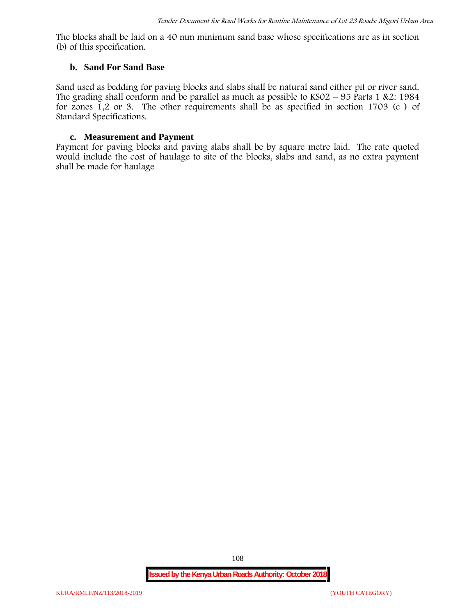The blocks shall be laid on a 40 mm minimum sand base whose specifications are as in section (b) of this specification.

#### **b. Sand For Sand Base**

Sand used as bedding for paving blocks and slabs shall be natural sand either pit or river sand. The grading shall conform and be parallel as much as possible to  $KSO2 - 95$  Parts 1 &2: 1984 for zones 1,2 or 3. The other requirements shall be as specified in section 1703 (c ) of Standard Specifications.

#### **c. Measurement and Payment**

Payment for paving blocks and paving slabs shall be by square metre laid. The rate quoted would include the cost of haulage to site of the blocks, slabs and sand, as no extra payment shall be made for haulage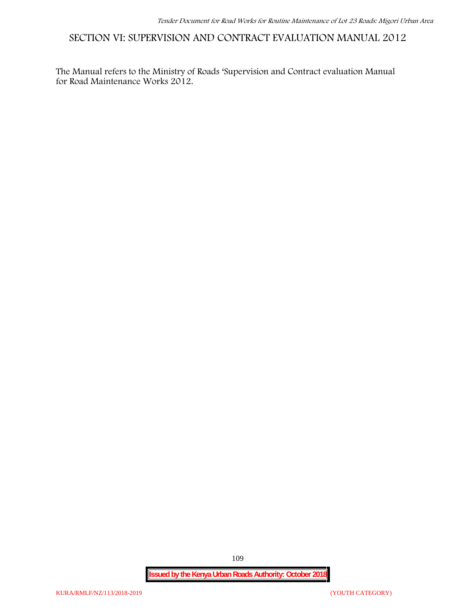**SECTION VI: SUPERVISION AND CONTRACT EVALUATION MANUAL 2012**

The Manual refers to the Ministry of Roads 'Supervision and Contract evaluation Manual for Road Maintenance Works 2012.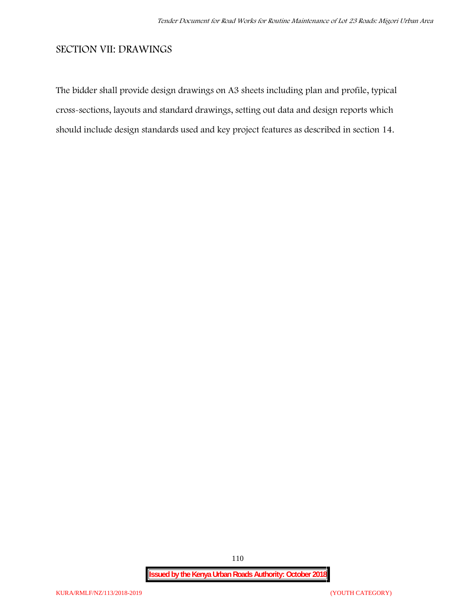# **SECTION VII: DRAWINGS**

The bidder shall provide design drawings on A3 sheets including plan and profile, typical cross-sections, layouts and standard drawings, setting out data and design reports which should include design standards used and key project features as described in section 14.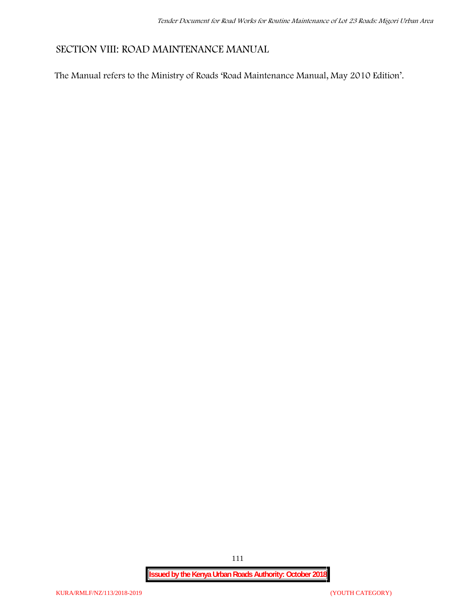# **SECTION VIII: ROAD MAINTENANCE MANUAL**

The Manual refers to the Ministry of Roads 'Road Maintenance Manual, May 2010 Edition'.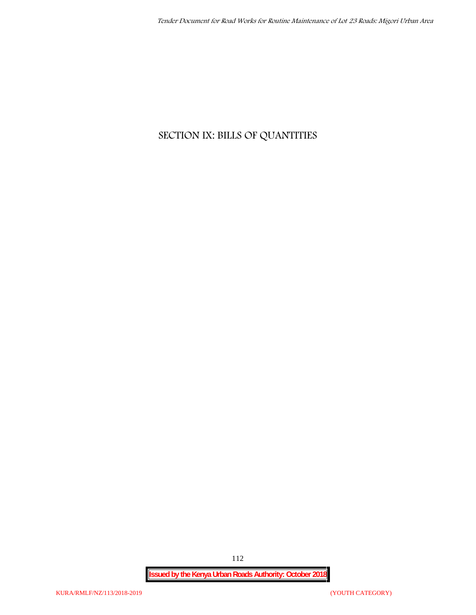# **SECTION IX: BILLS OF QUANTITIES**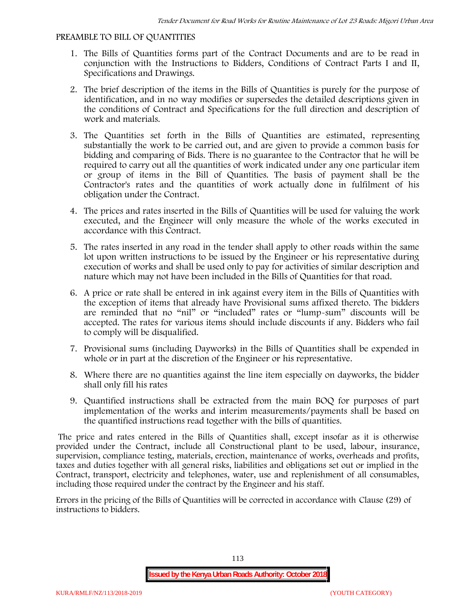#### **PREAMBLE TO BILL OF QUANTITIES**

- 1. The Bills of Quantities forms part of the Contract Documents and are to be read in conjunction with the Instructions to Bidders, Conditions of Contract Parts I and II, Specifications and Drawings.
- 2. The brief description of the items in the Bills of Quantities is purely for the purpose of identification, and in no way modifies or supersedes the detailed descriptions given in the conditions of Contract and Specifications for the full direction and description of work and materials.
- 3. The Quantities set forth in the Bills of Quantities are estimated, representing substantially the work to be carried out, and are given to provide a common basis for bidding and comparing of Bids. There is no guarantee to the Contractor that he will be required to carry out all the quantities of work indicated under any one particular item or group of items in the Bill of Quantities. The basis of payment shall be the Contractor's rates and the quantities of work actually done in fulfilment of his obligation under the Contract.
- 4. The prices and rates inserted in the Bills of Quantities will be used for valuing the work executed, and the Engineer will only measure the whole of the works executed in accordance with this Contract.
- 5. The rates inserted in any road in the tender shall apply to other roads within the same lot upon written instructions to be issued by the Engineer or his representative during execution of works and shall be used only to pay for activities of similar description and nature which may not have been included in the Bills of Quantities for that road.
- 6. A price or rate shall be entered in ink against every item in the Bills of Quantities with the exception of items that already have Provisional sums affixed thereto. The bidders are reminded that no "nil" or "included" rates or "lump-sum" discounts will be accepted. The rates for various items should include discounts if any. Bidders who fail to comply will be disqualified.
- 7. Provisional sums (including Dayworks) in the Bills of Quantities shall be expended in whole or in part at the discretion of the Engineer or his representative.
- 8. Where there are no quantities against the line item especially on dayworks, the bidder shall only fill his rates
- 9. Quantified instructions shall be extracted from the main BOQ for purposes of part implementation of the works and interim measurements/payments shall be based on the quantified instructions read together with the bills of quantities.

The price and rates entered in the Bills of Quantities shall, except insofar as it is otherwise provided under the Contract, include all Constructional plant to be used, labour, insurance, supervision, compliance testing, materials, erection, maintenance of works, overheads and profits, taxes and duties together with all general risks, liabilities and obligations set out or implied in the Contract, transport, electricity and telephones, water, use and replenishment of all consumables, including those required under the contract by the Engineer and his staff.

Errors in the pricing of the Bills of Quantities will be corrected in accordance with Clause (29) of instructions to bidders.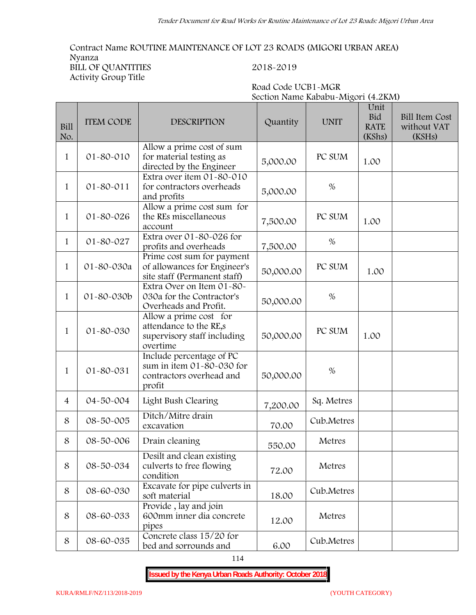**Road Code UCB1-MGR**

**Contract Name ROUTINE MAINTENANCE OF LOT 23 ROADS (MIGORI URBAN AREA) Nyanza BILL OF QUANTITIES 2018-2019 Activity Group Title**

|                |                  |                                                                                             | Section Name Kababu-Migori (4.2KM) |             |                                             |                                                |  |  |  |
|----------------|------------------|---------------------------------------------------------------------------------------------|------------------------------------|-------------|---------------------------------------------|------------------------------------------------|--|--|--|
| Bill<br>No.    | <b>ITEM CODE</b> | <b>DESCRIPTION</b>                                                                          | Quantity                           | <b>UNIT</b> | Unit<br><b>Bid</b><br><b>RATE</b><br>(KShs) | <b>Bill Item Cost</b><br>without VAT<br>(KSHs) |  |  |  |
| $\mathbf{1}$   | 01-80-010        | Allow a prime cost of sum<br>for material testing as<br>directed by the Engineer            | 5,000.00                           | PC SUM      | 1.00                                        |                                                |  |  |  |
| $\mathbf{1}$   | $01 - 80 - 011$  | Extra over item 01-80-010<br>for contractors overheads<br>and profits                       | 5,000.00                           | $\%$        |                                             |                                                |  |  |  |
| $\mathbf{1}$   | 01-80-026        | Allow a prime cost sum for<br>the REs miscellaneous<br>account                              | 7,500.00                           | PC SUM      | 1.00                                        |                                                |  |  |  |
| $\mathbf{1}$   | 01-80-027        | Extra over 01-80-026 for<br>profits and overheads                                           | 7,500.00                           | %           |                                             |                                                |  |  |  |
| $\mathbf{1}$   | 01-80-030a       | Prime cost sum for payment<br>of allowances for Engineer's<br>site staff (Permanent staff)  | 50,000.00                          | PC SUM      | 1.00                                        |                                                |  |  |  |
| $\mathbf{1}$   | 01-80-030b       | Extra Over on Item 01-80-<br>030a for the Contractor's<br>Overheads and Profit.             | 50,000.00                          | $\%$        |                                             |                                                |  |  |  |
| $\mathbf{1}$   | 01-80-030        | Allow a prime cost for<br>attendance to the RE,s<br>supervisory staff including<br>overtime | 50,000.00                          | PC SUM      | 1.00                                        |                                                |  |  |  |
| $\mathbf{1}$   | 01-80-031        | Include percentage of PC<br>sum in item 01-80-030 for<br>contractors overhead and<br>profit | 50,000.00                          | $\%$        |                                             |                                                |  |  |  |
| $\overline{4}$ | 04-50-004        | Light Bush Clearing                                                                         | 7,200.00                           | Sq. Metres  |                                             |                                                |  |  |  |
| 8              | 08-50-005        | Ditch/Mitre drain<br>excavation                                                             | 70.00                              | Cub.Metres  |                                             |                                                |  |  |  |
| 8              | 08-50-006        | Drain cleaning                                                                              | 550.00                             | Metres      |                                             |                                                |  |  |  |
| 8              | 08-50-034        | Desilt and clean existing<br>culverts to free flowing<br>condition                          | 72.00                              | Metres      |                                             |                                                |  |  |  |
| 8              | 08-60-030        | Excavate for pipe culverts in<br>soft material                                              | 18.00                              | Cub.Metres  |                                             |                                                |  |  |  |
| 8              | 08-60-033        | Provide, lay and join<br>600mm inner dia concrete<br>pipes                                  | 12.00                              | Metres      |                                             |                                                |  |  |  |
| 8              | 08-60-035        | Concrete class 15/20 for<br>bed and sorrounds and                                           | 6.00                               | Cub.Metres  |                                             |                                                |  |  |  |

114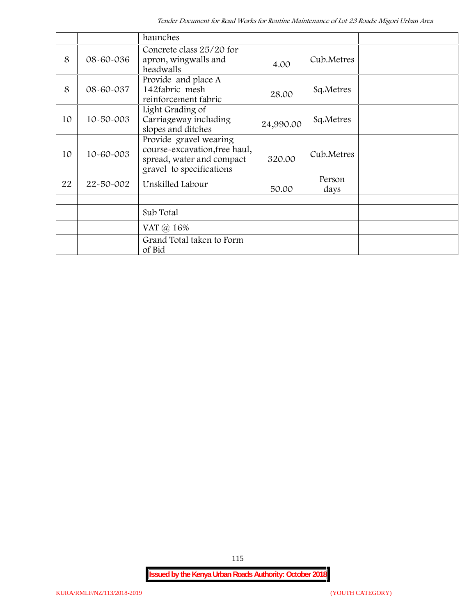|    |                 | haunches                                                                                                         |           |                |  |
|----|-----------------|------------------------------------------------------------------------------------------------------------------|-----------|----------------|--|
| 8  | 08-60-036       | Concrete class 25/20 for<br>apron, wingwalls and<br>headwalls                                                    | 4.00      | Cub.Metres     |  |
| 8  | 08-60-037       | Provide and place A<br>142fabric mesh<br>reinforcement fabric                                                    | 28.00     | Sq.Metres      |  |
| 10 | $10 - 50 - 003$ | Light Grading of<br>Carriageway including<br>slopes and ditches                                                  | 24,990.00 | Sq.Metres      |  |
| 10 | 10-60-003       | Provide gravel wearing<br>course-excavation, free haul,<br>spread, water and compact<br>gravel to specifications | 320.00    | Cub.Metres     |  |
| 22 | 22-50-002       | Unskilled Labour                                                                                                 | 50.00     | Person<br>days |  |
|    |                 |                                                                                                                  |           |                |  |
|    |                 | Sub Total                                                                                                        |           |                |  |
|    |                 | VAT @ 16%                                                                                                        |           |                |  |
|    |                 | Grand Total taken to Form<br>of Bid                                                                              |           |                |  |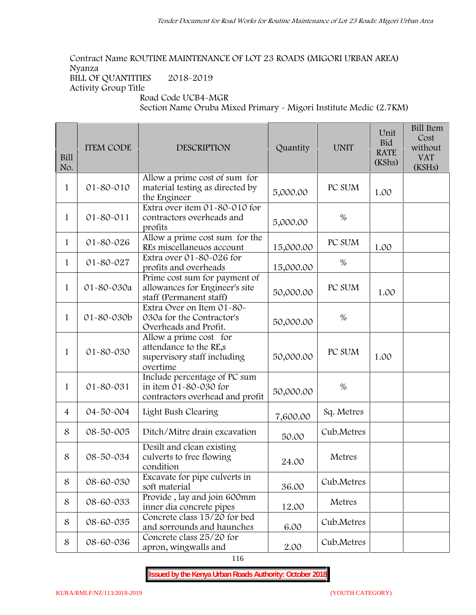# **Contract Name ROUTINE MAINTENANCE OF LOT 23 ROADS (MIGORI URBAN AREA) Nyanza**

**BILL OF QUANTITIES 2018-2019 Activity Group Title**

**Road Code UCB4-MGR**

**Section Name Oruba Mixed Primary - Migori Institute Medic (2.7KM)**

| Bill<br>No.    | <b>ITEM CODE</b> | <b>DESCRIPTION</b>                                                                          | Quantity  | <b>UNIT</b> | Unit<br><b>Bid</b><br><b>RATE</b><br>(KShs) | <b>Bill Item</b><br>Cost<br>without<br><b>VAT</b><br>(KSHs) |
|----------------|------------------|---------------------------------------------------------------------------------------------|-----------|-------------|---------------------------------------------|-------------------------------------------------------------|
| 1              | 01-80-010        | Allow a prime cost of sum for<br>material testing as directed by<br>the Engineer            | 5,000.00  | PC SUM      | 1.00                                        |                                                             |
| $\mathbf{1}$   | $01 - 80 - 011$  | Extra over item 01-80-010 for<br>contractors overheads and<br>profits                       | 5,000.00  | $\%$        |                                             |                                                             |
| $\mathbf{1}$   | 01-80-026        | Allow a prime cost sum for the<br>REs miscellaneuos account                                 | 15,000.00 | PC SUM      | 1.00                                        |                                                             |
| $\mathbf{1}$   | 01-80-027        | Extra over 01-80-026 for<br>profits and overheads                                           | 15,000.00 | $\%$        |                                             |                                                             |
| $\mathbf{1}$   | 01-80-030a       | Prime cost sum for payment of<br>allowances for Engineer's site<br>staff (Permanent staff)  | 50,000.00 | PC SUM      | 1.00                                        |                                                             |
| $\mathbf{1}$   | 01-80-030b       | Extra Over on Item 01-80-<br>030a for the Contractor's<br>Overheads and Profit.             | 50,000.00 | $\%$        |                                             |                                                             |
| 1              | 01-80-030        | Allow a prime cost for<br>attendance to the RE,s<br>supervisory staff including<br>overtime | 50,000.00 | PC SUM      | 1.00                                        |                                                             |
| 1              | 01-80-031        | Include percentage of PC sum<br>in item 01-80-030 for<br>contractors overhead and profit    | 50,000.00 | $\%$        |                                             |                                                             |
| $\overline{4}$ | 04-50-004        | Light Bush Clearing                                                                         | 7,600.00  | Sq. Metres  |                                             |                                                             |
| 8              | 08-50-005        | Ditch/Mitre drain excavation                                                                | 50.00     | Cub.Metres  |                                             |                                                             |
| 8              | 08-50-034        | Desilt and clean existing<br>culverts to free flowing<br>condition                          | 24.00     | Metres      |                                             |                                                             |
| 8              | 08-60-030        | Excavate for pipe culverts in<br>soft material                                              | 36.00     | Cub.Metres  |                                             |                                                             |
| 8              | 08-60-033        | Provide, lay and join 600mm<br>inner dia concrete pipes                                     | 12.00     | Metres      |                                             |                                                             |
| 8              | 08-60-035        | Concrete class 15/20 for bed<br>and sorrounds and haunches                                  | 6.00      | Cub.Metres  |                                             |                                                             |
| 8              | 08-60-036        | Concrete class 25/20 for<br>apron, wingwalls and                                            | 2.00      | Cub.Metres  |                                             |                                                             |

116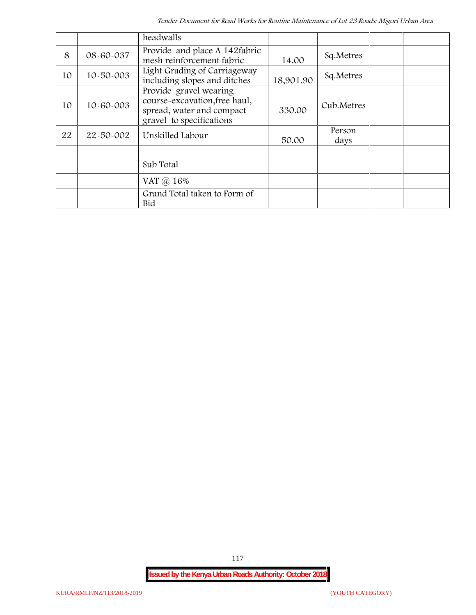|    |                 | headwalls                                                                                                        |           |                |  |
|----|-----------------|------------------------------------------------------------------------------------------------------------------|-----------|----------------|--|
| 8  | 08-60-037       | Provide and place A 142fabric<br>mesh reinforcement fabric                                                       | 14.00     | Sq.Metres      |  |
| 10 | $10 - 50 - 003$ | Light Grading of Carriageway<br>including slopes and ditches                                                     | 18,901.90 | Sq.Metres      |  |
| 10 | 10-60-003       | Provide gravel wearing<br>course-excavation, free haul,<br>spread, water and compact<br>gravel to specifications | 330.00    | Cub.Metres     |  |
| 22 | $22 - 50 - 002$ | Unskilled Labour                                                                                                 | 50.00     | Person<br>days |  |
|    |                 |                                                                                                                  |           |                |  |
|    |                 | Sub Total                                                                                                        |           |                |  |
|    |                 | VAT $\omega$ 16%                                                                                                 |           |                |  |
|    |                 | Grand Total taken to Form of<br>Bid                                                                              |           |                |  |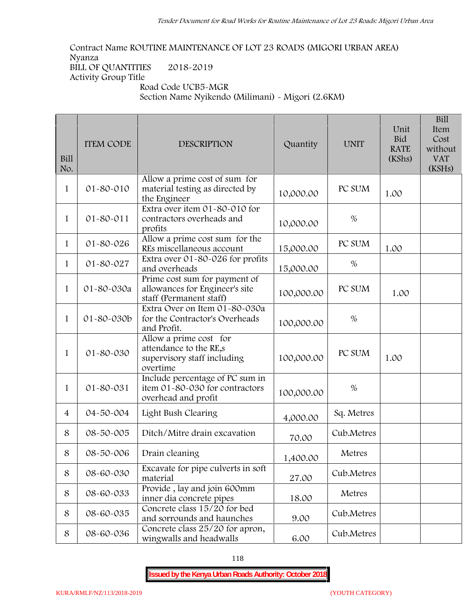**Contract Name ROUTINE MAINTENANCE OF LOT 23 ROADS (MIGORI URBAN AREA) Nyanza BILL OF QUANTITIES 2018-2019 Activity Group Title Road Code UCB5-MGR**

**Section Name Nyikendo (Milimani) - Migori (2.6KM)**

| Bill<br>No.    | <b>ITEM CODE</b> | <b>DESCRIPTION</b>                                                                                       | Quantity   | <b>UNIT</b> | Unit<br><b>Bid</b><br><b>RATE</b><br>(KShs) | <b>Bill</b><br>Item<br>Cost<br>without<br><b>VAT</b><br>(KSHs) |
|----------------|------------------|----------------------------------------------------------------------------------------------------------|------------|-------------|---------------------------------------------|----------------------------------------------------------------|
| $\mathbf{1}$   | 01-80-010        | Allow a prime cost of sum for<br>material testing as directed by<br>the Engineer                         | 10,000.00  | PC SUM      | 1.00                                        |                                                                |
| $\mathbf{1}$   | $01 - 80 - 011$  | Extra over item 01-80-010 for<br>contractors overheads and<br>profits                                    | 10,000.00  | $\%$        |                                             |                                                                |
| 1              | 01-80-026        | Allow a prime cost sum for the<br>REs miscellaneous account                                              | 15,000.00  | PC SUM      | 1.00                                        |                                                                |
| $\mathbf{1}$   | 01-80-027        | Extra over 01-80-026 for profits<br>and overheads                                                        | 15,000.00  | %           |                                             |                                                                |
| $\mathbf{1}$   | 01-80-030a       | Prime cost sum for payment of<br>allowances for Engineer's site<br>staff (Permanent staff)               | 100,000.00 | PC SUM      | 1.00                                        |                                                                |
| $\mathbf{1}$   | 01-80-030b       | Extra Over on Item 01-80-030a<br>for the Contractor's Overheads<br>and Profit.                           | 100,000.00 | $\%$        |                                             |                                                                |
| $\mathbf{1}$   | 01-80-030        | Allow a prime cost $\overline{for}$<br>attendance to the RE,s<br>supervisory staff including<br>overtime | 100,000.00 | PC SUM      | 1.00                                        |                                                                |
| $\mathbf{1}$   | 01-80-031        | Include percentage of PC sum in<br>item 01-80-030 for contractors<br>overhead and profit                 | 100,000.00 | $\%$        |                                             |                                                                |
| $\overline{4}$ | 04-50-004        | Light Bush Clearing                                                                                      | 4,000.00   | Sq. Metres  |                                             |                                                                |
| 8              | 08-50-005        | Ditch/Mitre drain excavation                                                                             | 70.00      | Cub.Metres  |                                             |                                                                |
| 8              | 08-50-006        | Drain cleaning                                                                                           | 1,400.00   | Metres      |                                             |                                                                |
| 8              | 08-60-030        | Excavate for pipe culverts in soft<br>material                                                           | 27.00      | Cub.Metres  |                                             |                                                                |
| 8              | 08-60-033        | Provide, lay and join 600mm<br>inner dia concrete pipes                                                  | 18.00      | Metres      |                                             |                                                                |
| 8              | 08-60-035        | Concrete class 15/20 for bed<br>and sorrounds and haunches                                               | 9.00       | Cub.Metres  |                                             |                                                                |
| 8              | 08-60-036        | Concrete class 25/20 for apron,<br>wingwalls and headwalls                                               | 6.00       | Cub.Metres  |                                             |                                                                |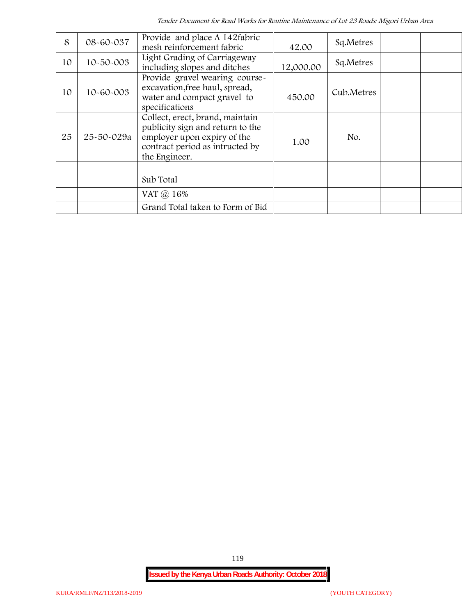*Tender Document for Road Works for Routine Maintenance of Lot 23 Roads: Migori Urban Area*

| 8  | 08-60-037  | Provide and place A 142 fabric<br>mesh reinforcement fabric                                                                                            | 42.00     | Sq.Metres  |  |
|----|------------|--------------------------------------------------------------------------------------------------------------------------------------------------------|-----------|------------|--|
| 10 | 10-50-003  | Light Grading of Carriageway<br>including slopes and ditches                                                                                           | 12,000.00 | Sq.Metres  |  |
| 10 | 10-60-003  | Provide gravel wearing course-<br>excavation, free haul, spread,<br>water and compact gravel to<br>specifications                                      | 450.00    | Cub.Metres |  |
| 25 | 25-50-029a | Collect, erect, brand, maintain<br>publicity sign and return to the<br>employer upon expiry of the<br>contract period as intructed by<br>the Engineer. | 1.00      | No.        |  |
|    |            |                                                                                                                                                        |           |            |  |
|    |            | Sub Total                                                                                                                                              |           |            |  |
|    |            | VAT @ 16%                                                                                                                                              |           |            |  |
|    |            | Grand Total taken to Form of Bid                                                                                                                       |           |            |  |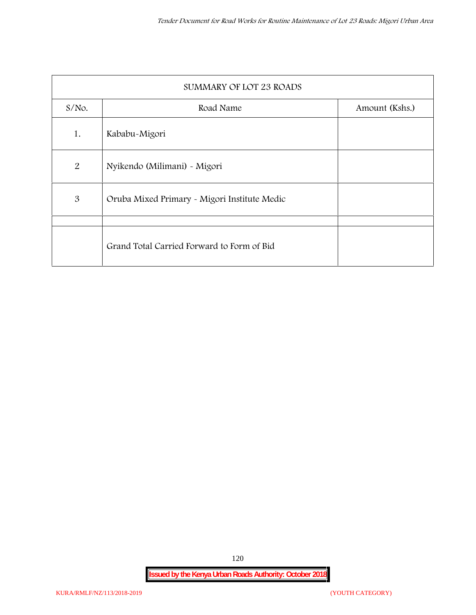| SUMMARY OF LOT 23 ROADS |                                              |                |  |  |  |  |
|-------------------------|----------------------------------------------|----------------|--|--|--|--|
| $S/NO$ .                | Road Name                                    | Amount (Kshs.) |  |  |  |  |
| 1.                      | Kababu-Migori                                |                |  |  |  |  |
| 2                       | Nyikendo (Milimani) - Migori                 |                |  |  |  |  |
| 3                       | Oruba Mixed Primary - Migori Institute Medic |                |  |  |  |  |
|                         |                                              |                |  |  |  |  |
|                         | Grand Total Carried Forward to Form of Bid   |                |  |  |  |  |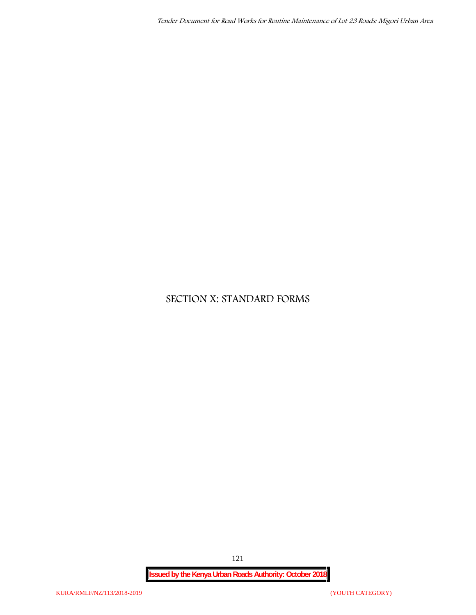# **SECTION X: STANDARD FORMS**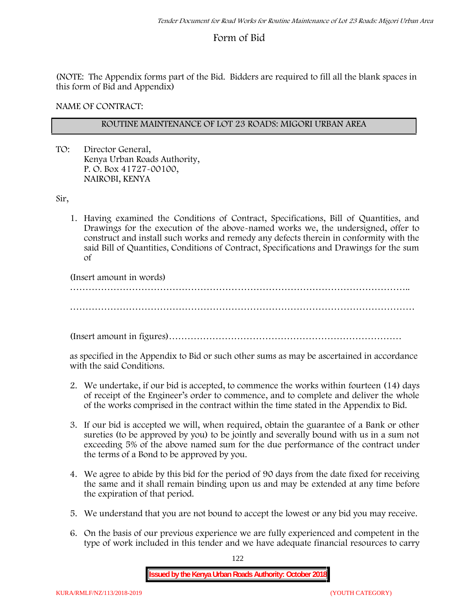# **Form of Bid**

(NOTE: The Appendix forms part of the Bid. Bidders are required to fill all the blank spaces in this form of Bid and Appendix)

**NAME OF CONTRACT:**

# **ROUTINE MAINTENANCE OF LOT 23 ROADS: MIGORI URBAN AREA**

TO: Director General, Kenya Urban Roads Authority, P. O. Box 41727-00100, **NAIROBI, KENYA**

Sir,

1. Having examined the Conditions of Contract, Specifications, Bill of Quantities, and Drawings for the execution of the above-named works we, the undersigned, offer to construct and install such works and remedy any defects therein in conformity with the said Bill of Quantities, Conditions of Contract, Specifications and Drawings for the sum of

(Insert amount in words)

………………………………………………………………………………………………..

…………………………………………………………………………………………………

(Insert amount in figures)…………………………………………………………………

as specified in the Appendix to Bid or such other sums as may be ascertained in accordance with the said Conditions.

- 2. We undertake, if our bid is accepted, to commence the works within fourteen (14) days of receipt of the Engineer's order to commence, and to complete and deliver the whole of the works comprised in the contract within the time stated in the Appendix to Bid.
- 3. If our bid is accepted we will, when required, obtain the guarantee of a Bank or other sureties (to be approved by you) to be jointly and severally bound with us in a sum not exceeding 5% of the above named sum for the due performance of the contract under the terms of a Bond to be approved by you.
- 4. We agree to abide by this bid for the period of 90 days from the date fixed for receiving the same and it shall remain binding upon us and may be extended at any time before the expiration of that period.
- 5. We understand that you are not bound to accept the lowest or any bid you may receive.
- 6. On the basis of our previous experience we are fully experienced and competent in the type of work included in this tender and we have adequate financial resources to carry

122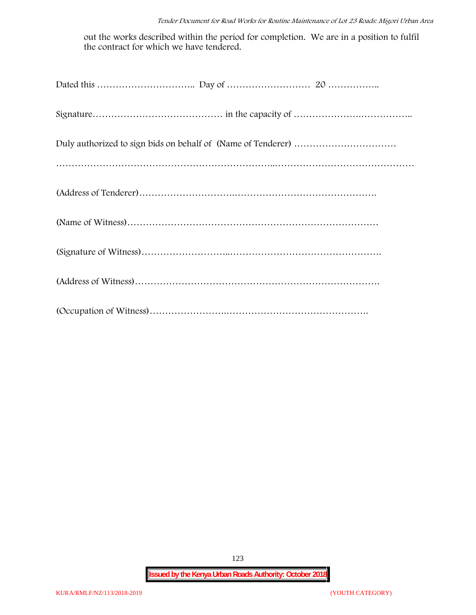out the works described within the period for completion. We are in a position to fulfil the contract for which we have tendered.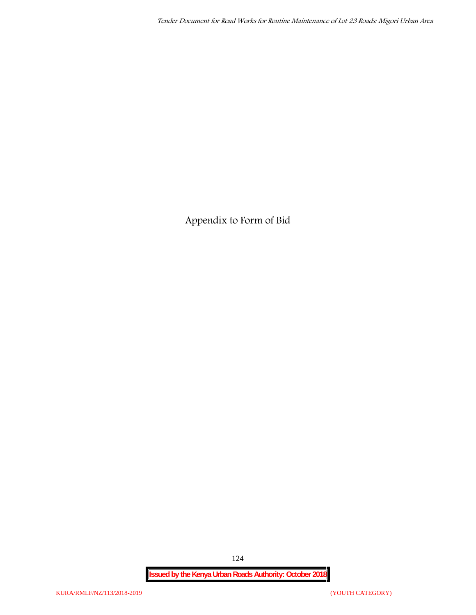**Appendix to Form of Bid**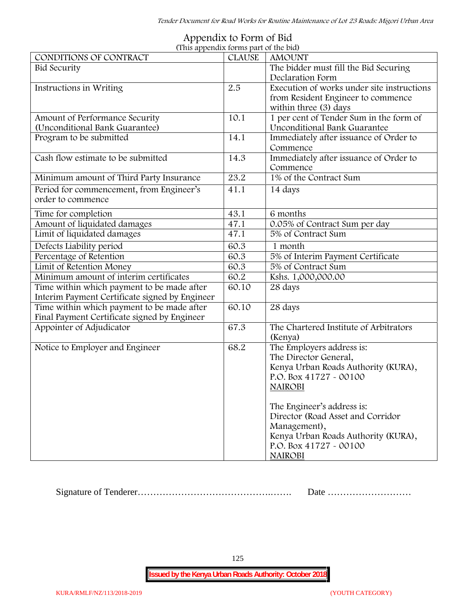*Tender Document for Road Works for Routine Maintenance of Lot 23 Roads: Migori Urban Area*

| (This appendix forms part of the bid)          |               |                                            |
|------------------------------------------------|---------------|--------------------------------------------|
| CONDITIONS OF CONTRACT                         | <b>CLAUSE</b> | <b>AMOUNT</b>                              |
| <b>Bid Security</b>                            |               | The bidder must fill the Bid Securing      |
|                                                |               | Declaration Form                           |
| Instructions in Writing                        | 2.5           | Execution of works under site instructions |
|                                                |               | from Resident Engineer to commence         |
|                                                |               | within three (3) days                      |
| Amount of Performance Security                 | 10.1          | 1 per cent of Tender Sum in the form of    |
| (Unconditional Bank Guarantee)                 |               | Unconditional Bank Guarantee               |
| Program to be submitted                        | 14.1          | Immediately after issuance of Order to     |
|                                                |               | Commence                                   |
| Cash flow estimate to be submitted             | 14.3          | Immediately after issuance of Order to     |
|                                                |               | Commence                                   |
| Minimum amount of Third Party Insurance        | 23.2          | 1% of the Contract Sum                     |
| Period for commencement, from Engineer's       | 41.1          | 14 days                                    |
| order to commence                              |               |                                            |
| Time for completion                            | 43.1          | 6 months                                   |
| Amount of liquidated damages                   | 47.1          | 0.05% of Contract Sum per day              |
| Limit of liquidated damages                    | 47.1          | 5% of Contract Sum                         |
| Defects Liability period                       | 60.3          | 1 month                                    |
| Percentage of Retention                        | 60.3          | 5% of Interim Payment Certificate          |
| Limit of Retention Money                       | 60.3          | 5% of Contract Sum                         |
| Minimum amount of interim certificates         | 60.2          | Kshs. 1,000,000.00                         |
| Time within which payment to be made after     | 60.10         | 28 days                                    |
| Interim Payment Certificate signed by Engineer |               |                                            |
| Time within which payment to be made after     | 60.10         | 28 days                                    |
| Final Payment Certificate signed by Engineer   |               |                                            |
| Appointer of Adjudicator                       | 67.3          | The Chartered Institute of Arbitrators     |
|                                                |               | (Kenya)                                    |
| Notice to Employer and Engineer                | 68.2          | The Employers address is:                  |
|                                                |               | The Director General,                      |
|                                                |               | Kenya Urban Roads Authority (KURA),        |
|                                                |               | P.O. Box 41727 - 00100                     |
|                                                |               | <b>NAIROBI</b>                             |
|                                                |               |                                            |
|                                                |               | The Engineer's address is:                 |
|                                                |               | Director (Road Asset and Corridor          |
|                                                |               | Management),                               |
|                                                |               | Kenya Urban Roads Authority (KURA),        |
|                                                |               | P.O. Box 41727 - 00100                     |
|                                                |               | <b>NAIROBI</b>                             |

# **Appendix to Form of Bid**

Signature of Tenderer…………………………………….……. Date ………………………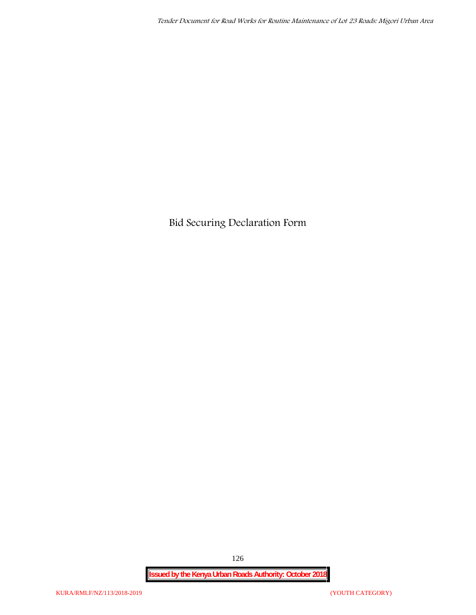**Bid Securing Declaration Form**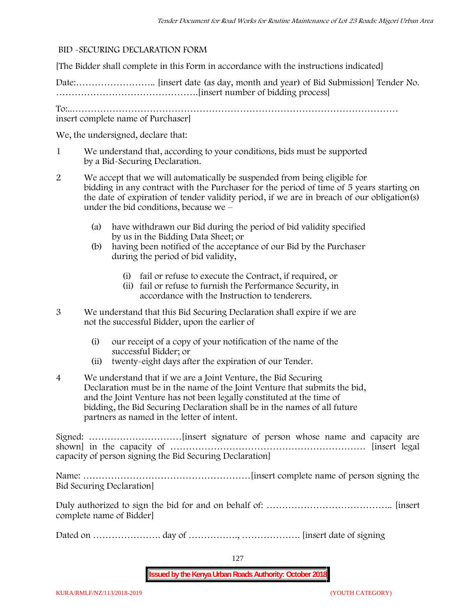## **BID -SECURING DECLARATION FORM**

[The Bidder shall complete in this Form in accordance with the instructions indicated]

Date:…………………….. [insert date (as day, month and year) of Bid Submission] Tender No. ……………………………………….[insert number of bidding process]

To:..…………………………………………………………………………………………… insert complete name of Purchaser]

We, the undersigned, declare that:

- 1 We understand that, according to your conditions, bids must be supported by a Bid-Securing Declaration.
- 2 We accept that we will automatically be suspended from being eligible for bidding in any contract with the Purchaser for the period of time of **5 years** starting on the date of expiration of tender validity period, if we are in breach of our obligation(s) under the bid conditions, because we –
	- (a) have withdrawn our Bid during the period of bid validity specified by us in the Bidding Data Sheet; or
	- (b) having been notified of the acceptance of our Bid by the Purchaser during the period of bid validity,
		- (i) fail or refuse to execute the Contract, if required, or
		- (ii) fail or refuse to furnish the Performance Security, in accordance with the Instruction to tenderers.
- 3 We understand that this Bid Securing Declaration shall expire if we are not the successful Bidder, upon the earlier of
	- (i) our receipt of a copy of your notification of the name of the successful Bidder; or
	- (ii) twenty-eight days after the expiration of our Tender.
- 4 We understand that if we are a Joint Venture, the Bid Securing Declaration must be in the name of the Joint Venture that submits the bid, and the Joint Venture has not been legally constituted at the time of bidding, the Bid Securing Declaration shall be in the names of all future partners as named in the letter of intent.

Signed: …………………………[insert signature of person whose name and capacity are shown] in the capacity of ……………………………………………………… [insert legal capacity of person signing the Bid Securing Declaration]

Name: ………………………………………………[insert complete name of person signing the Bid Securing Declaration]

Duly authorized to sign the bid for and on behalf of: ………………………………….. [insert complete name of Bidder]

Dated on …………………. day of ……………., ………………. [insert date of signing

127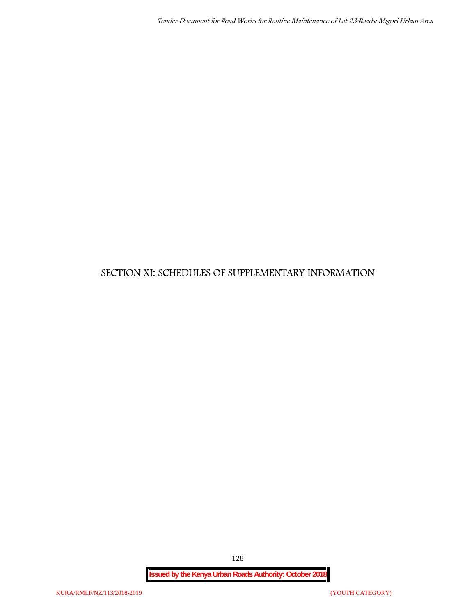# **SECTION XI: SCHEDULES OF SUPPLEMENTARY INFORMATION**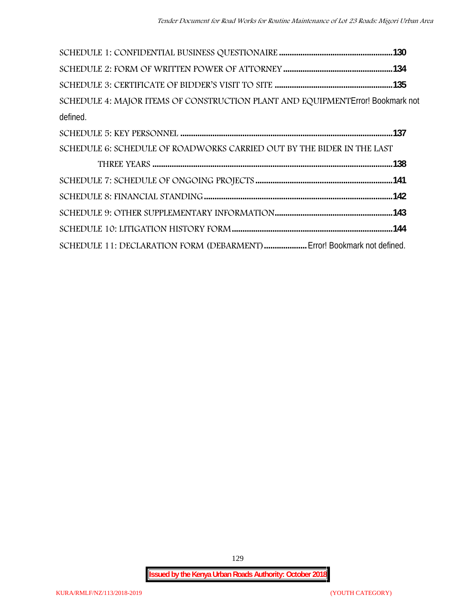| SCHEDULE 4: MAJOR ITEMS OF CONSTRUCTION PLANT AND EQUIPMENT Error! Bookmark not |  |
|---------------------------------------------------------------------------------|--|
| defined.                                                                        |  |
|                                                                                 |  |
| SCHEDULE 6: SCHEDULE OF ROADWORKS CARRIED OUT BY THE BIDER IN THE LAST          |  |
|                                                                                 |  |
|                                                                                 |  |
|                                                                                 |  |
|                                                                                 |  |
|                                                                                 |  |
| SCHEDULE 11: DECLARATION FORM (DEBARMENT)  Error! Bookmark not defined.         |  |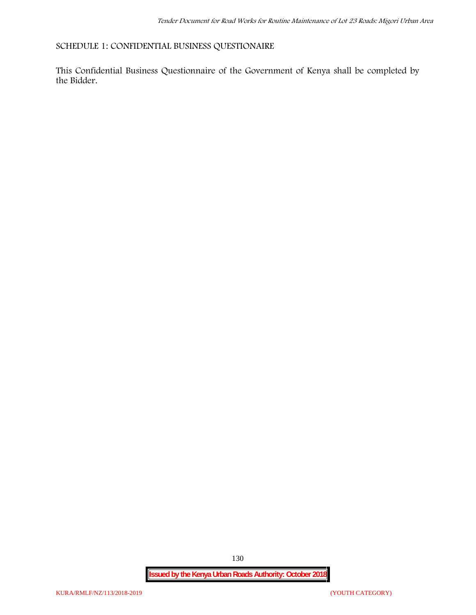**SCHEDULE 1: CONFIDENTIAL BUSINESS QUESTIONAIRE**

This Confidential Business Questionnaire of the Government of Kenya shall be completed by the Bidder.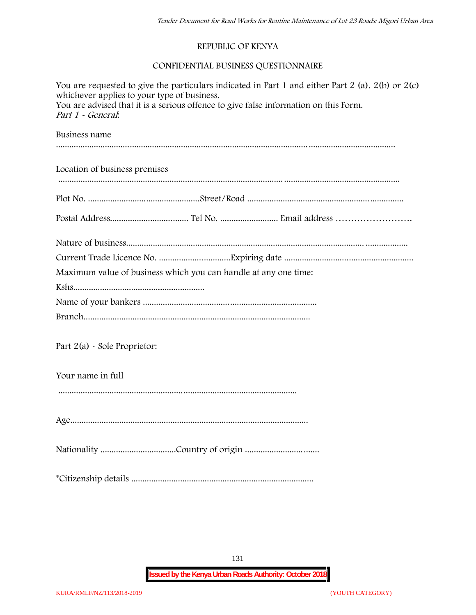# **REPUBLIC OF KENYA**

# **CONFIDENTIAL BUSINESS QUESTIONNAIRE**

| You are requested to give the particulars indicated in Part 1 and either Part 2 (a). $2(b)$ or $2(c)$<br>whichever applies to your type of business.<br>You are advised that it is a serious offence to give false information on this Form.<br>Part 1 - General: |  |  |  |  |  |
|-------------------------------------------------------------------------------------------------------------------------------------------------------------------------------------------------------------------------------------------------------------------|--|--|--|--|--|
| Business name                                                                                                                                                                                                                                                     |  |  |  |  |  |
| Location of business premises                                                                                                                                                                                                                                     |  |  |  |  |  |
|                                                                                                                                                                                                                                                                   |  |  |  |  |  |
|                                                                                                                                                                                                                                                                   |  |  |  |  |  |
|                                                                                                                                                                                                                                                                   |  |  |  |  |  |
|                                                                                                                                                                                                                                                                   |  |  |  |  |  |
| Maximum value of business which you can handle at any one time:                                                                                                                                                                                                   |  |  |  |  |  |
|                                                                                                                                                                                                                                                                   |  |  |  |  |  |
|                                                                                                                                                                                                                                                                   |  |  |  |  |  |
|                                                                                                                                                                                                                                                                   |  |  |  |  |  |
| Part 2(a) - Sole Proprietor:                                                                                                                                                                                                                                      |  |  |  |  |  |
| Your name in full                                                                                                                                                                                                                                                 |  |  |  |  |  |
|                                                                                                                                                                                                                                                                   |  |  |  |  |  |
|                                                                                                                                                                                                                                                                   |  |  |  |  |  |
|                                                                                                                                                                                                                                                                   |  |  |  |  |  |

131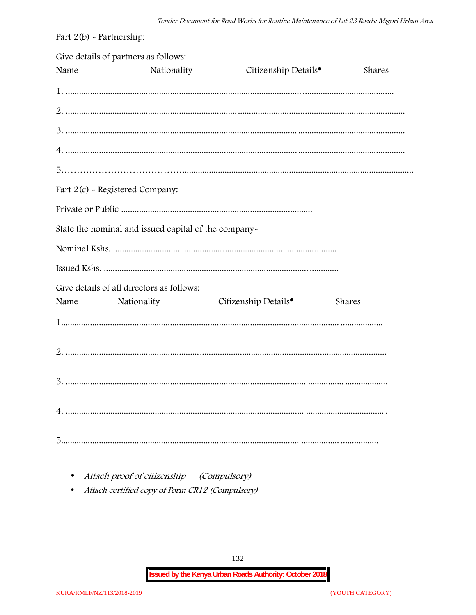| Part $2(b)$ - Partnership: |                                                          |                                  |        |
|----------------------------|----------------------------------------------------------|----------------------------------|--------|
| Name                       | Give details of partners as follows:<br>Nationality      | Citizenship Details <sup>•</sup> | Shares |
|                            |                                                          |                                  |        |
|                            |                                                          |                                  |        |
|                            |                                                          |                                  |        |
|                            |                                                          |                                  |        |
|                            |                                                          |                                  |        |
|                            | Part 2(c) - Registered Company:                          |                                  |        |
|                            |                                                          |                                  |        |
|                            | State the nominal and issued capital of the company-     |                                  |        |
|                            |                                                          |                                  |        |
|                            |                                                          |                                  |        |
| Name                       | Give details of all directors as follows:<br>Nationality | Citizenship Details <sup>•</sup> | Shares |
|                            |                                                          |                                  |        |
|                            |                                                          |                                  |        |
|                            |                                                          |                                  |        |
|                            |                                                          |                                  |        |
|                            |                                                          |                                  |        |

• Attach proof of citizenship (Compulsory)

• Attach certified copy of Form CR12 (Compulsory)

132

**Issued by the Kenya Urban Roads Authority: October 2018**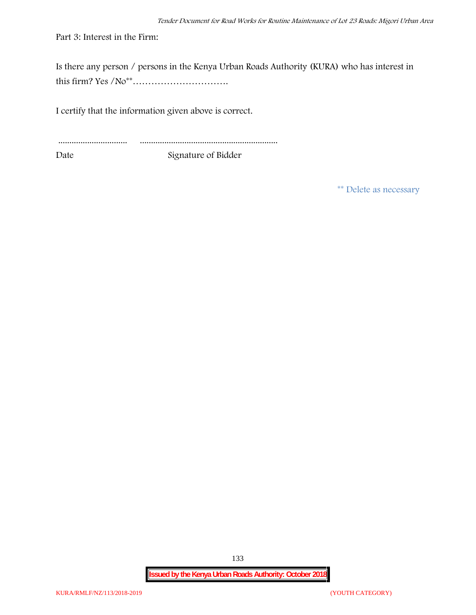Part 3: Interest in the Firm:

Is there any person / persons in the Kenya Urban Roads Authority (KURA) who has interest in this firm? Yes /No\*\*………………………….

I certify that the information given above is correct.

............................... .............................................................. Date Signature of Bidder

**\*\* Delete as necessary**

**Issued by the Kenya Urban Roads Authority: October 2018**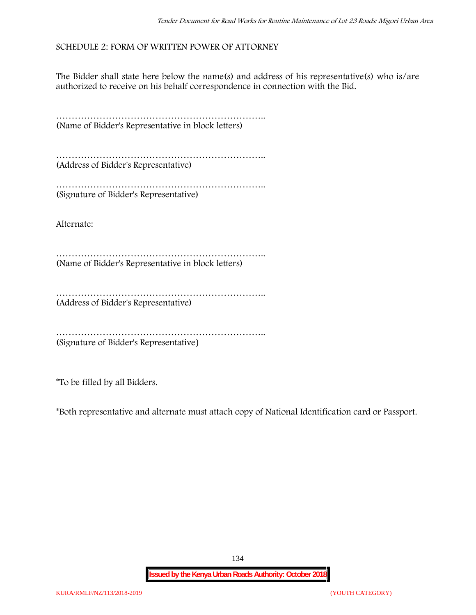# **SCHEDULE 2: FORM OF WRITTEN POWER OF ATTORNEY**

The Bidder shall state here below the name(s) and address of his representative(s) who is/are authorized to receive on his behalf correspondence in connection with the Bid.

………………………………………………………….. (Name of Bidder's Representative in block letters)

………………………………………………………….. (Address of Bidder's Representative)

………………………………………………………….. (Signature of Bidder's Representative)

Alternate:

………………………………………………………….. (Name of Bidder's Representative in block letters)

……………………………………………………………………… (Address of Bidder's Representative)

………………………………………………………….. (Signature of Bidder's Representative)

\*To be filled by all Bidders.

\*Both representative and alternate **must** attach copy of National Identification card or Passport.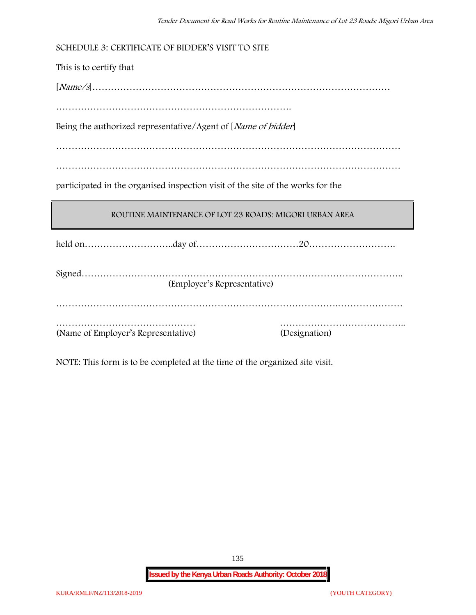| SCHEDULE 3: CERTIFICATE OF BIDDER'S VISIT TO SITE                               |               |  |  |  |
|---------------------------------------------------------------------------------|---------------|--|--|--|
| This is to certify that                                                         |               |  |  |  |
|                                                                                 |               |  |  |  |
|                                                                                 |               |  |  |  |
| Being the authorized representative/Agent of [Name of bidder]                   |               |  |  |  |
|                                                                                 |               |  |  |  |
|                                                                                 |               |  |  |  |
| participated in the organised inspection visit of the site of the works for the |               |  |  |  |
|                                                                                 |               |  |  |  |
| ROUTINE MAINTENANCE OF LOT 23 ROADS: MIGORI URBAN AREA                          |               |  |  |  |
|                                                                                 |               |  |  |  |
| (Employer's Representative)                                                     |               |  |  |  |
| (Name of Employer's Representative)                                             | (Designation) |  |  |  |

NOTE: This form is to be completed at the time of the organized site visit.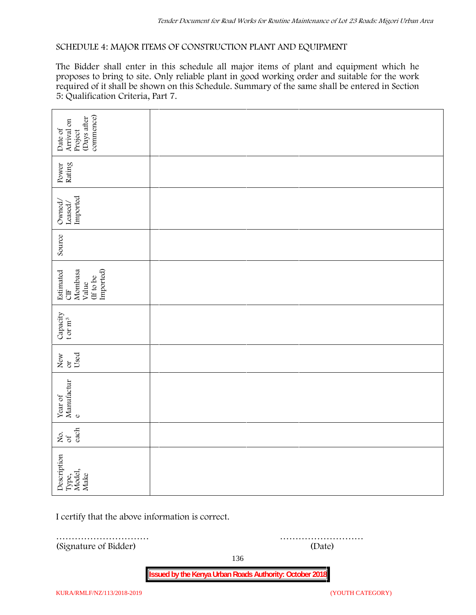## **SCHEDULE 4: MAJOR ITEMS OF CONSTRUCTION PLANT AND EQUIPMENT**

The Bidder shall enter in this schedule all major items of plant and equipment which he proposes to bring to site. Only reliable plant in good working order and suitable for the work required of it shall be shown on this Schedule. Summary of the same shall be entered in Section 5: Qualification Criteria, Part 7.

| commence)<br>(Days after<br>Arrival on<br>Date of<br>Project   |        |  |  |  |
|----------------------------------------------------------------|--------|--|--|--|
| Power<br>Rating                                                |        |  |  |  |
| Leased/<br>Imported<br>Owned/                                  |        |  |  |  |
| Source                                                         |        |  |  |  |
| Imported)<br>Estimated<br>CIF<br>Mombasa<br>(If to be<br>Value |        |  |  |  |
| Capacity t or $\mathbf{m}^3$                                   |        |  |  |  |
| Used<br>New or                                                 |        |  |  |  |
| Year of Manufactur $_{\rm e}$                                  |        |  |  |  |
| each<br>Σό.                                                    |        |  |  |  |
| Description<br>Type,<br>Model,<br>Make                         |        |  |  |  |
| I certify that the above information is correct.               |        |  |  |  |
| (Signature of Bidder)                                          | (Date) |  |  |  |

136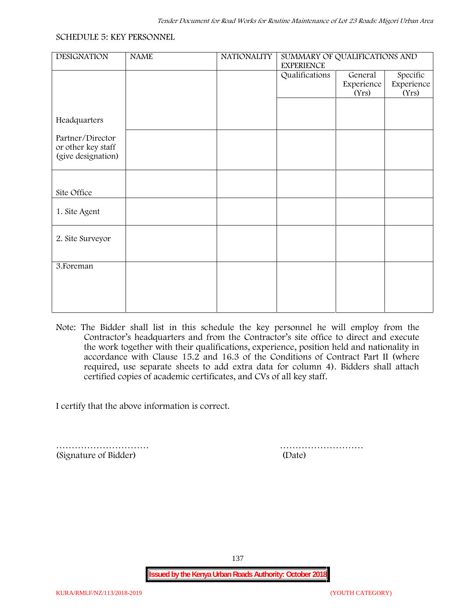#### **SCHEDULE 5: KEY PERSONNEL**

| <b>NAME</b> | <b>NATIONALITY</b> | SUMMARY OF QUALIFICATIONS AND |                                |                                 |  |
|-------------|--------------------|-------------------------------|--------------------------------|---------------------------------|--|
|             |                    | Qualifications                | General<br>Experience<br>(Yrs) | Specific<br>Experience<br>(Yrs) |  |
|             |                    |                               |                                |                                 |  |
|             |                    |                               |                                |                                 |  |
|             |                    |                               |                                |                                 |  |
|             |                    |                               |                                |                                 |  |
|             |                    |                               |                                |                                 |  |
|             |                    |                               |                                |                                 |  |
|             |                    |                               |                                |                                 |  |
|             |                    |                               |                                |                                 |  |
|             |                    |                               |                                |                                 |  |
|             |                    |                               |                                |                                 |  |
|             |                    |                               | <b>EXPERIENCE</b>              |                                 |  |

**Note:** The Bidder shall list in this schedule the key personnel he will employ from the Contractor's headquarters and from the Contractor's site office to direct and execute the work together with their qualifications, experience, position held and nationality in accordance with Clause 15.2 and 16.3 of the Conditions of Contract Part II (where required, use separate sheets to add extra data for column 4). Bidders shall attach certified copies of academic certificates, and CVs of all key staff.

I certify that the above information is correct.

(Signature of Bidder) (Date)

………………………… ………………………

137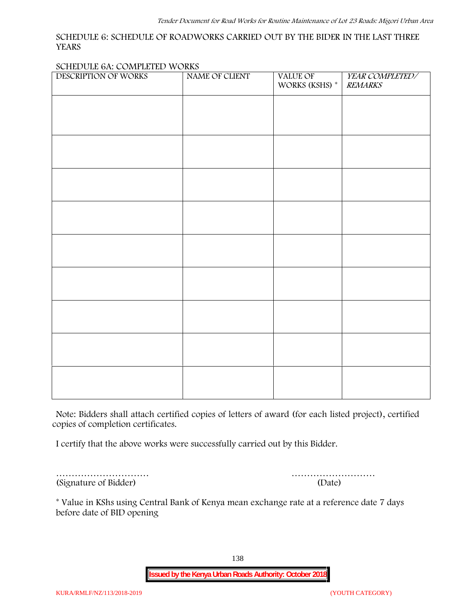#### **SCHEDULE 6: SCHEDULE OF ROADWORKS CARRIED OUT BY THE BIDER IN THE LAST THREE YEARS**

#### **SCHEDULE 6A: COMPLETED WORKS**

| DESCRIPTION OF WORKS | NAME OF CLIENT | VALUE OF<br>WORKS (KSHS) $^\ast$ | YEAR COMPLETED/<br><b>REMARKS</b> |
|----------------------|----------------|----------------------------------|-----------------------------------|
|                      |                |                                  |                                   |
|                      |                |                                  |                                   |
|                      |                |                                  |                                   |
|                      |                |                                  |                                   |
|                      |                |                                  |                                   |
|                      |                |                                  |                                   |
|                      |                |                                  |                                   |
|                      |                |                                  |                                   |
|                      |                |                                  |                                   |
|                      |                |                                  |                                   |
|                      |                |                                  |                                   |
|                      |                |                                  |                                   |
|                      |                |                                  |                                   |

**Note:** Bidders shall attach certified copies of letters of award (for each listed project), certified copies of completion certificates.

I certify that the above works were successfully carried out by this Bidder.

(Signature of Bidder) (Date)

………………………… ………………………

\* **Value in KShs using Central Bank of Kenya mean exchange rate at a reference date 7 days before date of BID opening**

138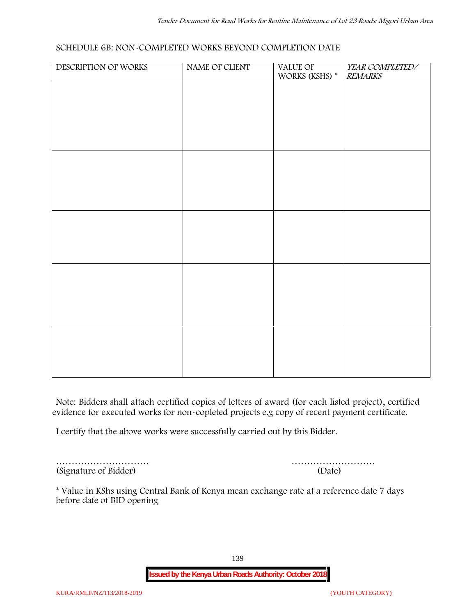## **SCHEDULE 6B: NON-COMPLETED WORKS BEYOND COMPLETION DATE**

| DESCRIPTION OF WORKS | NAME OF CLIENT | VALUE OF<br>WORKS (KSHS) * | YEAR COMPLETED/<br><b>REMARKS</b> |
|----------------------|----------------|----------------------------|-----------------------------------|
|                      |                |                            |                                   |
|                      |                |                            |                                   |
|                      |                |                            |                                   |
|                      |                |                            |                                   |
|                      |                |                            |                                   |
|                      |                |                            |                                   |
|                      |                |                            |                                   |
|                      |                |                            |                                   |
|                      |                |                            |                                   |
|                      |                |                            |                                   |
|                      |                |                            |                                   |
|                      |                |                            |                                   |
|                      |                |                            |                                   |
|                      |                |                            |                                   |
|                      |                |                            |                                   |
|                      |                |                            |                                   |
|                      |                |                            |                                   |

**Note:** Bidders shall attach certified copies of letters of award (for each listed project), certified evidence for executed works for non-copleted projects e.g copy of recent payment certificate.

I certify that the above works were successfully carried out by this Bidder.

(Signature of Bidder) (Date)

………………………… ………………………

\* **Value in KShs using Central Bank of Kenya mean exchange rate at a reference date 7 days before date of BID opening**

139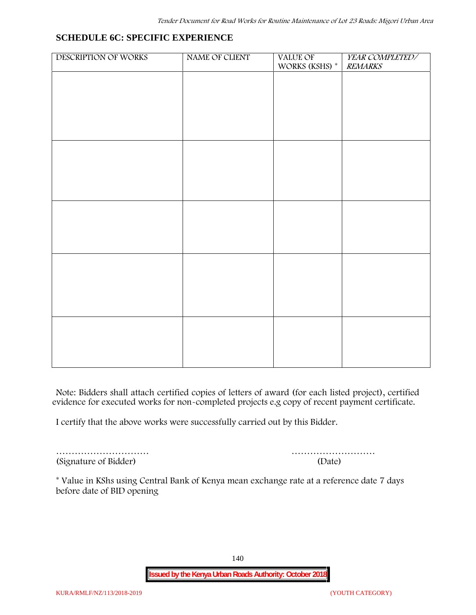# **SCHEDULE 6C: SPECIFIC EXPERIENCE**

| DESCRIPTION OF WORKS | NAME OF CLIENT | VALUE OF<br>WORKS (KSHS) * | YEAR COMPLETED/<br><b>REMARKS</b> |
|----------------------|----------------|----------------------------|-----------------------------------|
|                      |                |                            |                                   |
|                      |                |                            |                                   |
|                      |                |                            |                                   |
|                      |                |                            |                                   |
|                      |                |                            |                                   |
|                      |                |                            |                                   |
|                      |                |                            |                                   |
|                      |                |                            |                                   |
|                      |                |                            |                                   |
|                      |                |                            |                                   |
|                      |                |                            |                                   |
|                      |                |                            |                                   |
|                      |                |                            |                                   |
|                      |                |                            |                                   |
|                      |                |                            |                                   |
|                      |                |                            |                                   |
|                      |                |                            |                                   |

**Note:** Bidders shall attach certified copies of letters of award (for each listed project), certified evidence for executed works for non-completed projects e.g copy of recent payment certificate.

I certify that the above works were successfully carried out by this Bidder.

(Signature of Bidder) (Date)

………………………… ………………………

\* **Value in KShs using Central Bank of Kenya mean exchange rate at a reference date 7 days before date of BID opening**

140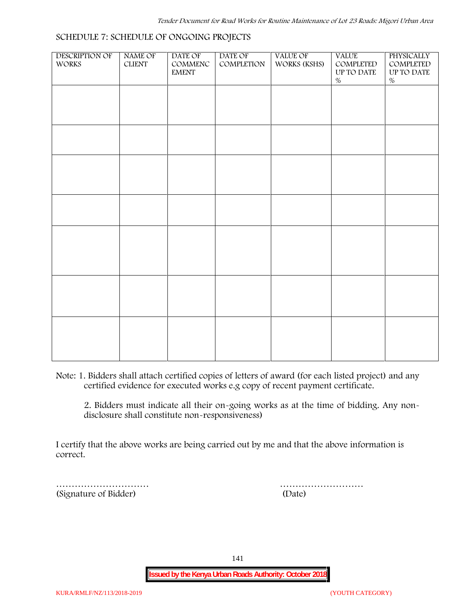#### **SCHEDULE 7: SCHEDULE OF ONGOING PROJECTS**

| DESCRIPTION OF<br>WORKS | NAME OF<br>${\tt CLIENT}$ | DATE OF<br>$\mathsf{COMMENC}$<br><b>EMENT</b> | DATE OF<br>COMPLETION | <b>VALUE OF</b><br>WORKS (KSHS) | <b>VALUE</b><br>COMPLETED<br>UP TO DATE | PHYSICALLY<br>COMPLETED<br>$\,$ UP TO DATE |  |
|-------------------------|---------------------------|-----------------------------------------------|-----------------------|---------------------------------|-----------------------------------------|--------------------------------------------|--|
|                         |                           |                                               |                       |                                 | $\%$                                    | $\%$                                       |  |
|                         |                           |                                               |                       |                                 |                                         |                                            |  |
|                         |                           |                                               |                       |                                 |                                         |                                            |  |
|                         |                           |                                               |                       |                                 |                                         |                                            |  |
|                         |                           |                                               |                       |                                 |                                         |                                            |  |
|                         |                           |                                               |                       |                                 |                                         |                                            |  |
|                         |                           |                                               |                       |                                 |                                         |                                            |  |
|                         |                           |                                               |                       |                                 |                                         |                                            |  |
|                         |                           |                                               |                       |                                 |                                         |                                            |  |
|                         |                           |                                               |                       |                                 |                                         |                                            |  |
|                         |                           |                                               |                       |                                 |                                         |                                            |  |
|                         |                           |                                               |                       |                                 |                                         |                                            |  |
|                         |                           |                                               |                       |                                 |                                         |                                            |  |
|                         |                           |                                               |                       |                                 |                                         |                                            |  |
|                         |                           |                                               |                       |                                 |                                         |                                            |  |
|                         |                           |                                               |                       |                                 |                                         |                                            |  |
|                         |                           |                                               |                       |                                 |                                         |                                            |  |
|                         |                           |                                               |                       |                                 |                                         |                                            |  |

**Note:** 1. Bidders shall attach certified copies of letters of award (for each listed project) and any certified evidence for executed works e.g copy of recent payment certificate.

2. Bidders must indicate all their on-going works as at the time of bidding. Any non disclosure shall constitute non-responsiveness)

I certify that the above works are being carried out by me and that the above information is correct.

(Signature of Bidder) (Date)

………………………… ………………………

141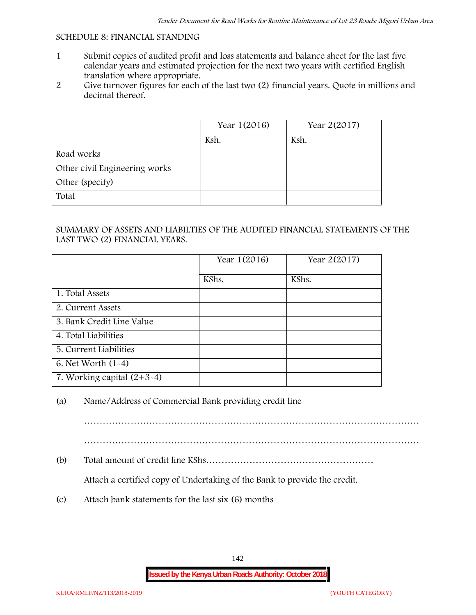#### **SCHEDULE 8: FINANCIAL STANDING**

- 1 Submit copies of audited profit and loss statements and balance sheet for the last five calendar years and estimated projection for the next two years with certified English translation where appropriate.
- 2 Give turnover figures for each of the last two (2) financial years. Quote in millions and decimal thereof.

|                               | Year 1(2016) | Year 2(2017) |
|-------------------------------|--------------|--------------|
|                               | Ksh.         | Ksh.         |
| Road works                    |              |              |
| Other civil Engineering works |              |              |
| Other (specify)               |              |              |
| Total                         |              |              |

## SUMMARY OF ASSETS AND LIABILTIES OF THE AUDITED FINANCIAL STATEMENTS OF THE LAST TWO (2) FINANCIAL YEARS.

|                              | Year 1(2016) | Year 2(2017) |
|------------------------------|--------------|--------------|
|                              | KShs.        | KShs.        |
| 1. Total Assets              |              |              |
| 2. Current Assets            |              |              |
| 3. Bank Credit Line Value    |              |              |
| 4. Total Liabilities         |              |              |
| 5. Current Liabilities       |              |              |
| 6. Net Worth (1-4)           |              |              |
| 7. Working capital $(2+3-4)$ |              |              |

# (a) Name/Address of Commercial Bank providing credit line

………………………………………………………………………………………………

………………………………………………………………………………………………

(b) Total amount of credit line KShs………………………………………………

Attach a certified copy of Undertaking of the Bank to provide the credit.

(c) Attach bank statements for the last six (6) months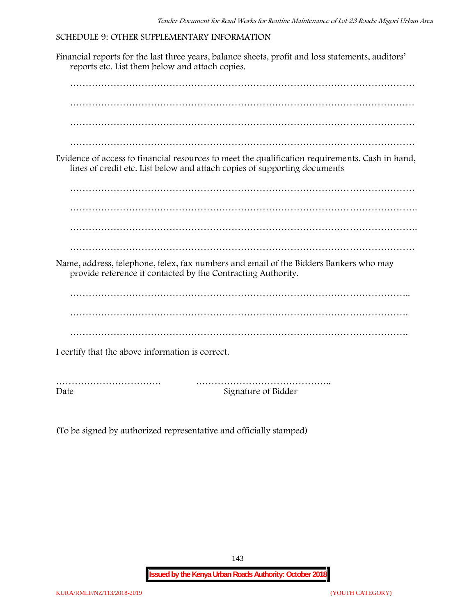## **SCHEDULE 9: OTHER SUPPLEMENTARY INFORMATION**

Financial reports for the last three years, balance sheets, profit and loss statements, auditors' reports etc. List them below and attach copies. ………………………………………………………………………………………………… ………………………………………………………………………………………………… ………………………………………………………………………………………………… ………………………………………………………………………………………………… Evidence of access to financial resources to meet the qualification requirements. Cash in hand, lines of credit etc. List below and attach copies of supporting documents ………………………………………………………………………………………………… …………………………………………………………………………………………………. ………………………………………………………………………………………………… Name, address, telephone, telex, fax numbers and email of the Bidders Bankers who may provide reference if contacted by the Contracting Authority. ……………………………………………………………………………………………….. ………………………………………………………………………………………………. ………………………………………………………………………………………………. I certify that the above information is correct. ……………………………. …………………………………….. Date Signature of Bidder

(To be signed by authorized representative and officially stamped)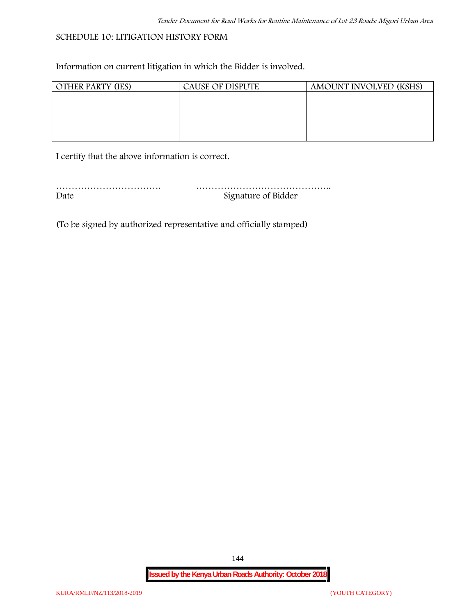## **SCHEDULE 10: LITIGATION HISTORY FORM**

Information on current litigation in which the Bidder is involved.

| <b>OTHER PARTY (IES)</b> | <b>CAUSE OF DISPUTE</b> | AMOUNT INVOLVED (KSHS) |
|--------------------------|-------------------------|------------------------|
|                          |                         |                        |
|                          |                         |                        |
|                          |                         |                        |
|                          |                         |                        |
|                          |                         |                        |

I certify that the above information is correct.

| Date | Signature of Bidder |
|------|---------------------|

(To be signed by authorized representative and officially stamped)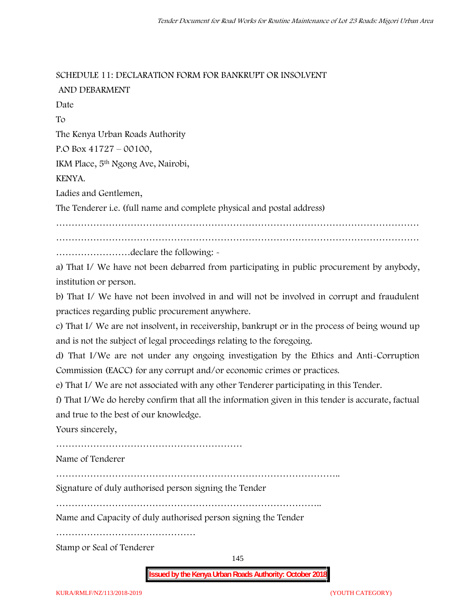**SCHEDULE 11: DECLARATION FORM FOR BANKRUPT OR INSOLVENT AND DEBARMENT**

Date To The Kenya Urban Roads Authority P.O Box 41727 – 00100, IKM Place, 5th Ngong Ave, Nairobi, KENYA. Ladies and Gentlemen, The Tenderer i.e. (full name and complete physical and postal address) ………………………………………………………………………………………………………

……………………declare the following: -

a) That I/ We have not been debarred from participating in public procurement by anybody, institution or person.

b) That I/ We have not been involved in and will not be involved in corrupt and fraudulent practices regarding public procurement anywhere.

c) That I/ We are not insolvent, in receivership, bankrupt or in the process of being wound up and is not the subject of legal proceedings relating to the foregoing.

d) That I/We are not under any ongoing investigation by the Ethics and Anti-Corruption Commission (EACC) for any corrupt and/or economic crimes or practices.

e) That I/ We are not associated with any other Tenderer participating in this Tender.

f) That I/We do hereby confirm that all the information given in this tender is accurate, factual and true to the best of our knowledge.

Yours sincerely,

………………………………………………………………………………

Name of Tenderer

Signature of duly authorised person signing the Tender

…………………………………………………………………………..

Name and Capacity of duly authorised person signing the Tender

………………………………………

Stamp or Seal of Tenderer

145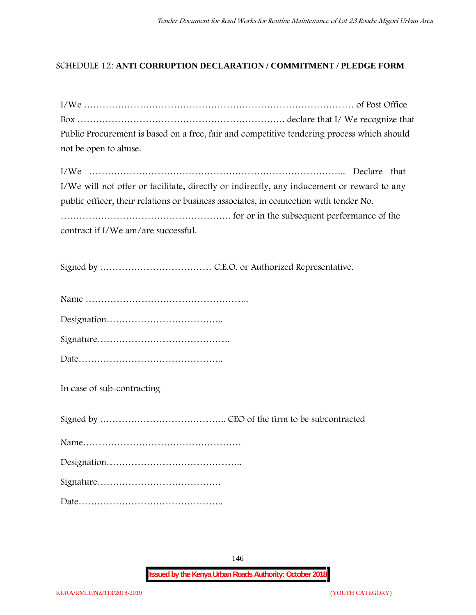## **SCHEDULE 12: ANTI CORRUPTION DECLARATION / COMMITMENT / PLEDGE FORM**

| Public Procurement is based on a free, fair and competitive tendering process which should |  |
|--------------------------------------------------------------------------------------------|--|
| not be open to abuse.                                                                      |  |
|                                                                                            |  |

| I/We will not offer or facilitate, directly or indirectly, any inducement or reward to any |  |
|--------------------------------------------------------------------------------------------|--|
| public officer, their relations or business associates, in connection with tender No.      |  |
|                                                                                            |  |
| contract if I/We am/are successful.                                                        |  |

Signed by ……………………………… C.E.O. or Authorized Representative.

Designation………………………………..

|--|

**In case of sub-contracting**

Signed by ………………………………….. CEO of the firm to be subcontracted Name…………………………………………… Designation…………………………………….. Signature…………………………………. Date………………………………………..

146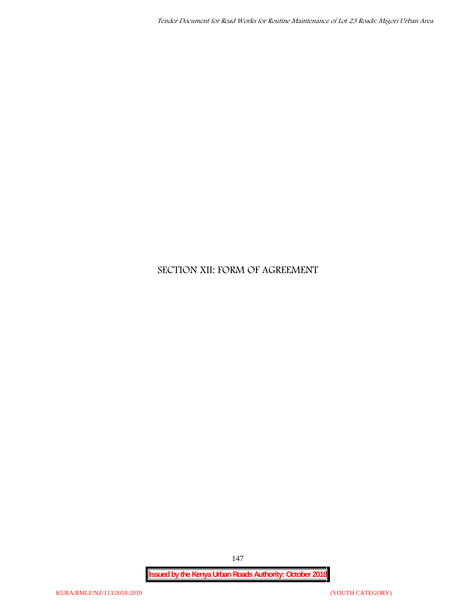# **SECTION XII: FORM OF AGREEMENT**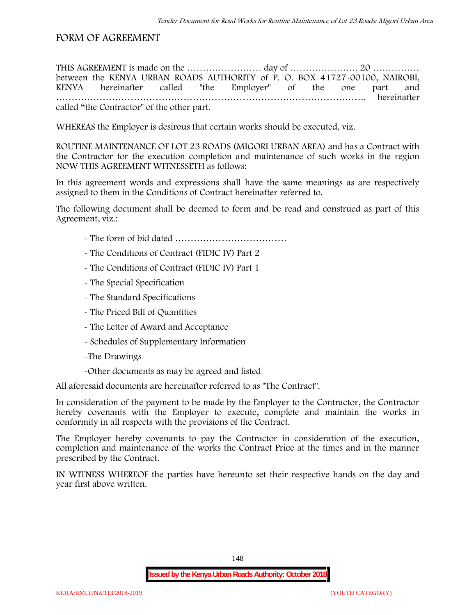## **FORM OF AGREEMENT**

THIS AGREEMENT is made on the ………………………… day of ……………………………………………………………………………………… between the **KENYA URBAN ROADS AUTHORITY** of **P. O. BOX 41727-00100, NAIROBI, KENYA** hereinafter called "the Employer" of the one part and **……………………………………………………………………………………….** hereinafter called "the Contractor" of the other part.

WHEREAS the Employer is desirous that certain works should be executed, viz.

**ROUTINE MAINTENANCE OF LOT 23 ROADS (MIGORI URBAN AREA)** and has a Contract with the Contractor for the execution completion and maintenance of such works in the region NOW THIS AGREEMENT WITNESSETH as follows:

In this agreement words and expressions shall have the same meanings as are respectively assigned to them in the Conditions of Contract hereinafter referred to.

The following document shall be deemed to form and be read and construed as part of this Agreement, viz.:

- The form of bid dated **………………………………**
- The Conditions of Contract (FIDIC IV) Part 2
- The Conditions of Contract (FIDIC IV) Part 1
- The Special Specification
- The Standard Specifications
- The Priced Bill of Quantities
- The Letter of Award and Acceptance
- Schedules of Supplementary Information
- -The Drawings
- -Other documents as may be agreed and listed

All aforesaid documents are hereinafter referred to as "The Contract".

In consideration of the payment to be made by the Employer to the Contractor, the Contractor hereby covenants with the Employer to execute, complete and maintain the works in conformity in all respects with the provisions of the Contract.

The Employer hereby covenants to pay the Contractor in consideration of the execution, completion and maintenance of the works the Contract Price at the times and in the manner prescribed by the Contract.

IN WITNESS WHEREOF the parties have hereunto set their respective hands on the day and year first above written.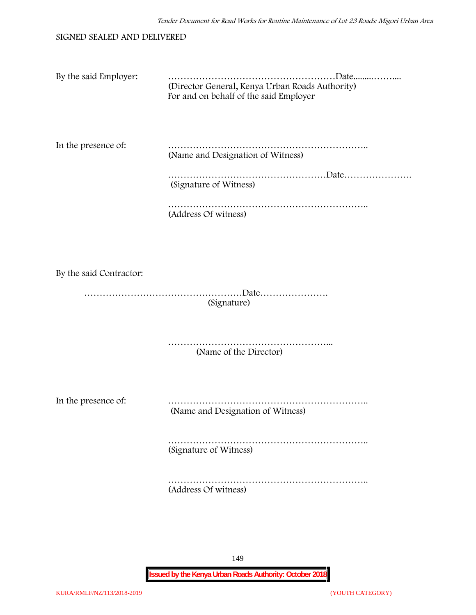#### SIGNED SEALED AND DELIVERED

| By the said Employer:   | (Director General, Kenya Urban Roads Authority)<br>For and on behalf of the said Employer |
|-------------------------|-------------------------------------------------------------------------------------------|
| In the presence of:     | (Name and Designation of Witness)                                                         |
|                         | (Signature of Witness)                                                                    |
|                         | (Address Of witness)                                                                      |
| By the said Contractor: |                                                                                           |
|                         | (Signature)                                                                               |
|                         | .<br>(Name of the Director)                                                               |
| In the presence of:     | (Name and Designation of Witness)                                                         |
|                         | (Signature of Witness)                                                                    |

……………………………………………………….. (Address Of witness)

149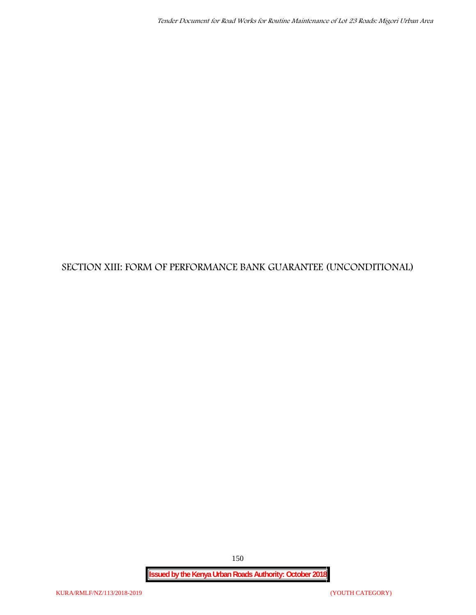# **SECTION XIII: FORM OF PERFORMANCE BANK GUARANTEE (UNCONDITIONAL)**